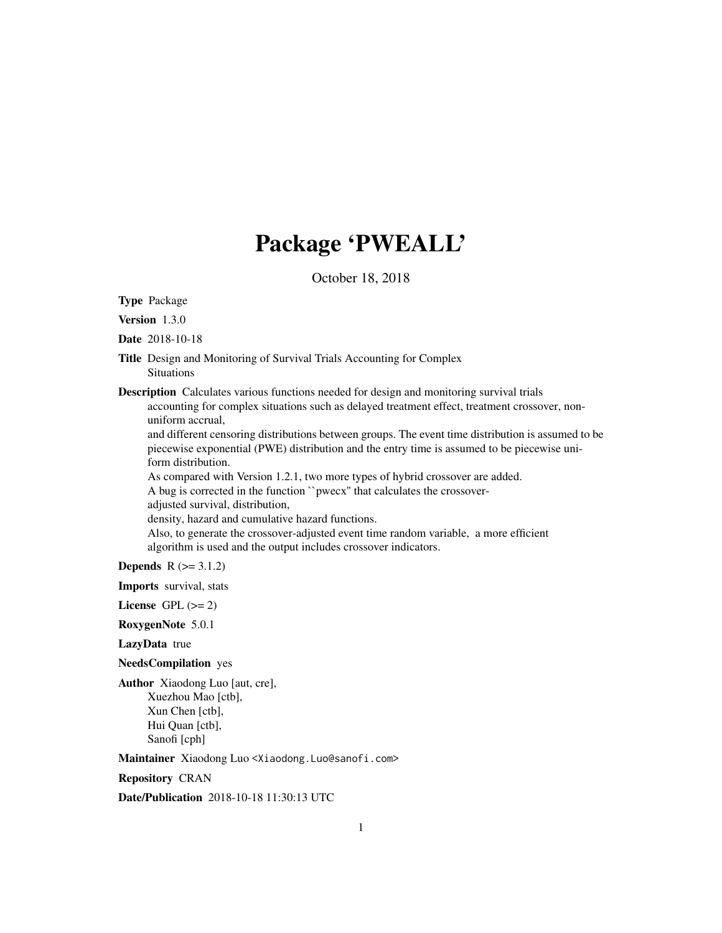# Package 'PWEALL'

October 18, 2018

Type Package

Version 1.3.0

Date 2018-10-18

- Title Design and Monitoring of Survival Trials Accounting for Complex Situations
- Description Calculates various functions needed for design and monitoring survival trials accounting for complex situations such as delayed treatment effect, treatment crossover, nonuniform accrual,

and different censoring distributions between groups. The event time distribution is assumed to be piecewise exponential (PWE) distribution and the entry time is assumed to be piecewise uniform distribution.

As compared with Version 1.2.1, two more types of hybrid crossover are added.

A bug is corrected in the function ``pwecx'' that calculates the crossover-

adjusted survival, distribution,

density, hazard and cumulative hazard functions.

Also, to generate the crossover-adjusted event time random variable, a more efficient algorithm is used and the output includes crossover indicators.

**Depends**  $R (= 3.1.2)$ 

Imports survival, stats

License GPL  $(>= 2)$ 

RoxygenNote 5.0.1

LazyData true

NeedsCompilation yes

Author Xiaodong Luo [aut, cre], Xuezhou Mao [ctb], Xun Chen [ctb], Hui Quan [ctb], Sanofi [cph]

Maintainer Xiaodong Luo <Xiaodong.Luo@sanofi.com>

Repository CRAN

Date/Publication 2018-10-18 11:30:13 UTC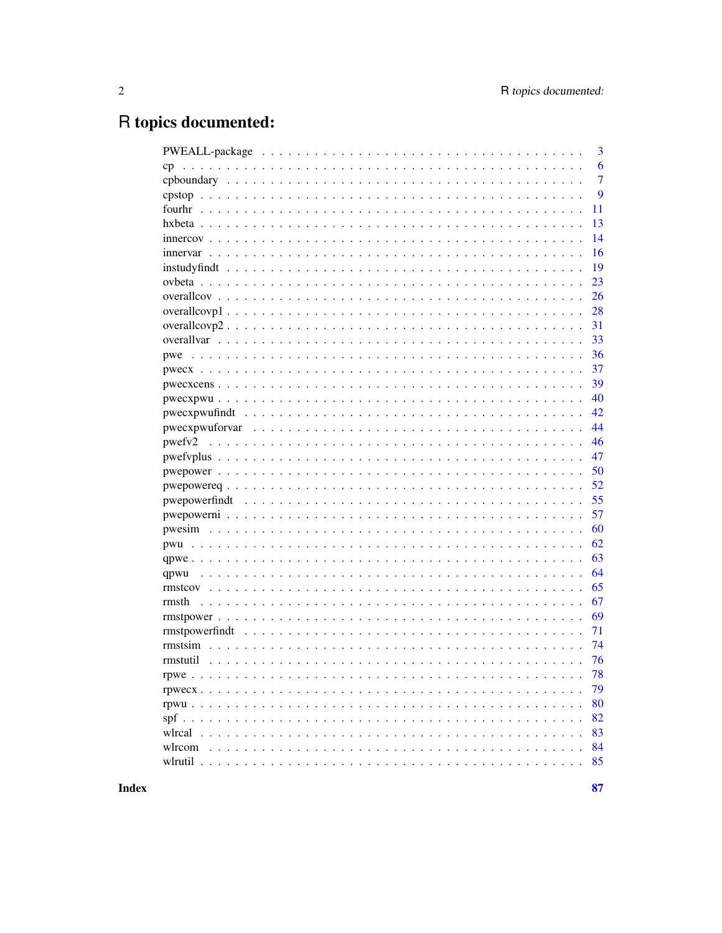# R topics documented:

|                | 3  |
|----------------|----|
| cp             | 6  |
|                | 7  |
|                | 9  |
|                | 11 |
|                | 13 |
|                | 14 |
|                | 16 |
|                | 19 |
|                | 23 |
|                | 26 |
|                | 28 |
|                | 31 |
|                | 33 |
| pwe            | 36 |
|                | 37 |
|                | 39 |
|                | 40 |
|                | 42 |
|                | 44 |
|                | 46 |
|                | 47 |
|                | 50 |
|                | 52 |
| pwepowerfindt  | 55 |
|                | 57 |
|                | 60 |
|                | 62 |
|                | 63 |
| qpwu           | 64 |
|                | 65 |
| rmsth          | 67 |
|                | 69 |
| rmstpowerfindt | 71 |
|                | 74 |
| rmstutil       | 76 |
|                | 78 |
|                | 79 |
|                | 80 |
|                | 82 |
|                | 83 |
| wlrcom         | 84 |
|                | 85 |

**Index**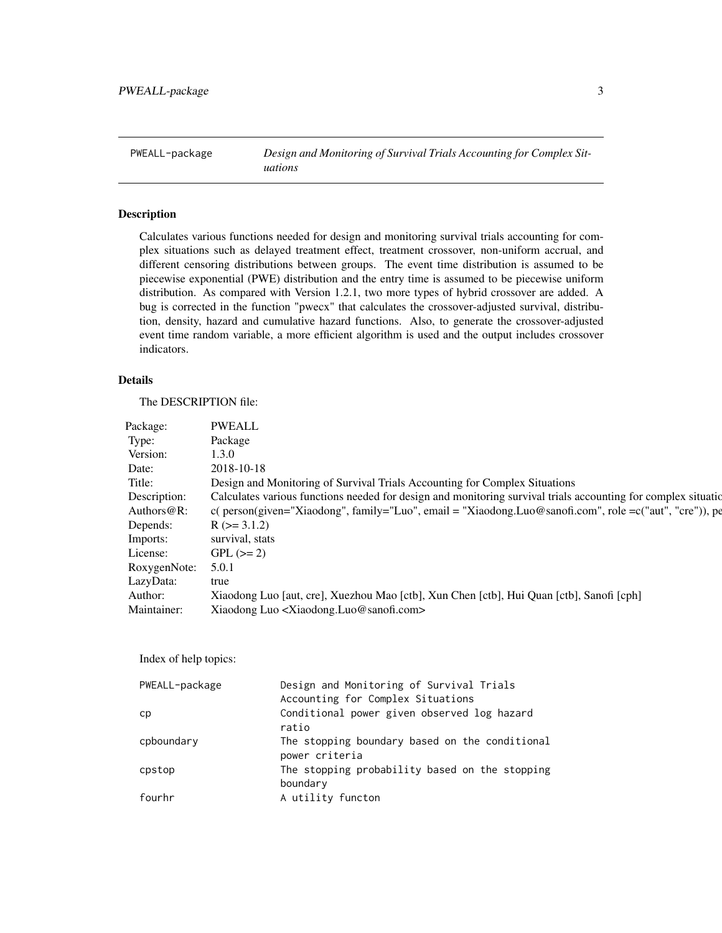<span id="page-2-0"></span>PWEALL-package *Design and Monitoring of Survival Trials Accounting for Complex Situations*

# Description

Calculates various functions needed for design and monitoring survival trials accounting for complex situations such as delayed treatment effect, treatment crossover, non-uniform accrual, and different censoring distributions between groups. The event time distribution is assumed to be piecewise exponential (PWE) distribution and the entry time is assumed to be piecewise uniform distribution. As compared with Version 1.2.1, two more types of hybrid crossover are added. A bug is corrected in the function "pwecx" that calculates the crossover-adjusted survival, distribution, density, hazard and cumulative hazard functions. Also, to generate the crossover-adjusted event time random variable, a more efficient algorithm is used and the output includes crossover indicators.

# Details

The DESCRIPTION file:

| Package:           | <b>PWEALI</b>                                                                                                               |  |
|--------------------|-----------------------------------------------------------------------------------------------------------------------------|--|
|                    | Package                                                                                                                     |  |
| Version:           | 1.3.0                                                                                                                       |  |
|                    | 2018-10-18                                                                                                                  |  |
|                    | Design and Monitoring of Survival Trials Accounting for Complex Situations                                                  |  |
|                    | Description: Calculates various functions needed for design and monitoring survival trials accounting for complex situation |  |
|                    | Authors@R: c(person(given="Xiaodong", family="Luo", email = "Xiaodong.Luo@sanofi.com", role =c("aut", "cre")), pe           |  |
|                    | Depends: $R (> = 3.1.2)$                                                                                                    |  |
|                    | Imports: survival, stats                                                                                                    |  |
|                    | License: $GPL \left(>=2\right)$                                                                                             |  |
| RoxygenNote: 5.0.1 |                                                                                                                             |  |
| LazyData:          |                                                                                                                             |  |
| Author:            | Xiaodong Luo [aut, cre], Xuezhou Mao [ctb], Xun Chen [ctb], Hui Quan [ctb], Sanofi [cph]                                    |  |
|                    | Maintainer: Xiaodong Luo <xiaodong.luo@sanofi.com></xiaodong.luo@sanofi.com>                                                |  |

Index of help topics:

| PWEALL-package | Design and Monitoring of Survival Trials       |
|----------------|------------------------------------------------|
|                | Accounting for Complex Situations              |
| cp             | Conditional power given observed log hazard    |
|                | ratio                                          |
| cpboundary     | The stopping boundary based on the conditional |
|                | power criteria                                 |
| cpstop         | The stopping probability based on the stopping |
|                | boundary                                       |
| fourhr         | A utility functon                              |
|                |                                                |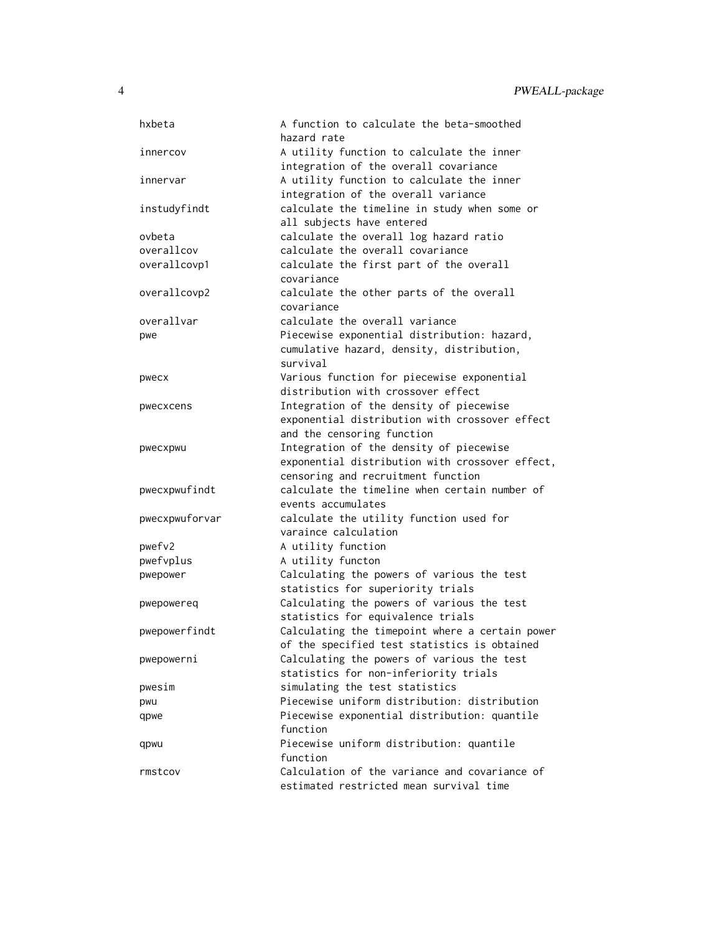| hxbeta         | A function to calculate the beta-smoothed                                          |
|----------------|------------------------------------------------------------------------------------|
|                | hazard rate                                                                        |
| innercov       | A utility function to calculate the inner<br>integration of the overall covariance |
|                |                                                                                    |
| innervar       | A utility function to calculate the inner                                          |
|                | integration of the overall variance                                                |
| instudyfindt   | calculate the timeline in study when some or                                       |
|                | all subjects have entered<br>calculate the overall log hazard ratio                |
| ovbeta         |                                                                                    |
| overallcov     | calculate the overall covariance                                                   |
| overallcovp1   | calculate the first part of the overall<br>covariance                              |
| overallcovp2   | calculate the other parts of the overall                                           |
|                | covariance                                                                         |
| overallvar     | calculate the overall variance                                                     |
| pwe            | Piecewise exponential distribution: hazard,                                        |
|                | cumulative hazard, density, distribution,                                          |
|                | survival                                                                           |
| pwecx          | Various function for piecewise exponential                                         |
|                | distribution with crossover effect                                                 |
| pwecxcens      | Integration of the density of piecewise                                            |
|                | exponential distribution with crossover effect                                     |
|                | and the censoring function                                                         |
| pwecxpwu       | Integration of the density of piecewise                                            |
|                | exponential distribution with crossover effect,                                    |
|                | censoring and recruitment function                                                 |
| pwecxpwufindt  | calculate the timeline when certain number of                                      |
|                | events accumulates                                                                 |
| pwecxpwuforvar | calculate the utility function used for                                            |
|                | varaince calculation                                                               |
| pwefv2         | A utility function                                                                 |
| pwefvplus      | A utility functon                                                                  |
| pwepower       | Calculating the powers of various the test                                         |
|                | statistics for superiority trials                                                  |
| pwepowereq     | Calculating the powers of various the test                                         |
|                | statistics for equivalence trials                                                  |
| pwepowerfindt  | Calculating the timepoint where a certain power                                    |
|                | of the specified test statistics is obtained                                       |
| pwepowerni     | Calculating the powers of various the test                                         |
|                | statistics for non-inferiority trials                                              |
| pwesim         | simulating the test statistics                                                     |
| pwu            | Piecewise uniform distribution: distribution                                       |
| qpwe           | Piecewise exponential distribution: quantile                                       |
|                | function                                                                           |
| qpwu           | Piecewise uniform distribution: quantile                                           |
|                | function                                                                           |
| rmstcov        | Calculation of the variance and covariance of                                      |
|                | estimated restricted mean survival time                                            |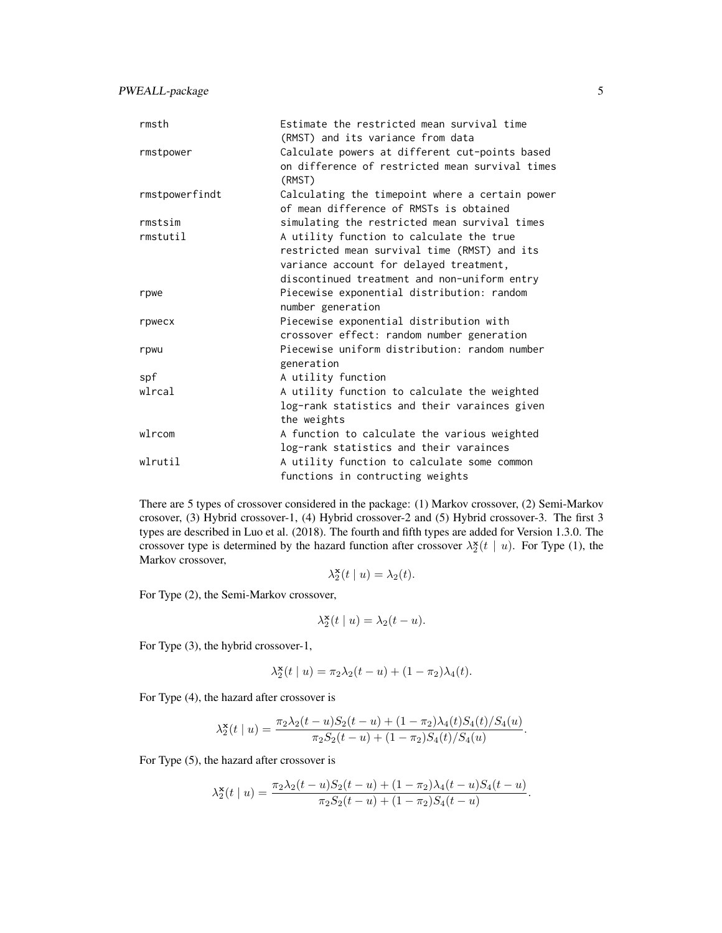PWEALL-package 5

| rmsth          | Estimate the restricted mean survival time<br>(RMST) and its variance from data                             |
|----------------|-------------------------------------------------------------------------------------------------------------|
| rmstpower      | Calculate powers at different cut-points based<br>on difference of restricted mean survival times<br>(RMST) |
| rmstpowerfindt | Calculating the timepoint where a certain power<br>of mean difference of RMSTs is obtained                  |
| rmstsim        | simulating the restricted mean survival times                                                               |
| rmstutil       | A utility function to calculate the true                                                                    |
|                | restricted mean survival time (RMST) and its                                                                |
|                | variance account for delayed treatment,                                                                     |
|                | discontinued treatment and non-uniform entry                                                                |
| rpwe           | Piecewise exponential distribution: random                                                                  |
|                | number generation                                                                                           |
| rpwecx         | Piecewise exponential distribution with                                                                     |
|                | crossover effect: random number generation                                                                  |
| rpwu           | Piecewise uniform distribution: random number                                                               |
|                | generation                                                                                                  |
| spf            | A utility function                                                                                          |
| wlrcal         | A utility function to calculate the weighted                                                                |
|                | log-rank statistics and their varainces given                                                               |
|                | the weights                                                                                                 |
| wlrcom         | A function to calculate the various weighted                                                                |
|                | log-rank statistics and their varainces                                                                     |
| wlrutil        | A utility function to calculate some common                                                                 |
|                | functions in contructing weights                                                                            |

There are 5 types of crossover considered in the package: (1) Markov crossover, (2) Semi-Markov crosover, (3) Hybrid crossover-1, (4) Hybrid crossover-2 and (5) Hybrid crossover-3. The first 3 types are described in Luo et al. (2018). The fourth and fifth types are added for Version 1.3.0. The crossover type is determined by the hazard function after crossover  $\lambda_2^{\mathbf{x}}(t \mid u)$ . For Type (1), the Markov crossover,

$$
\lambda_2^{\mathbf{x}}(t \mid u) = \lambda_2(t).
$$

For Type (2), the Semi-Markov crossover,

$$
\lambda_2^{\mathbf{x}}(t \mid u) = \lambda_2(t - u).
$$

For Type (3), the hybrid crossover-1,

$$
\lambda_2^{\mathbf{x}}(t \mid u) = \pi_2 \lambda_2(t - u) + (1 - \pi_2) \lambda_4(t).
$$

For Type (4), the hazard after crossover is

$$
\lambda_2^{\mathbf{x}}(t \mid u) = \frac{\pi_2 \lambda_2(t - u) S_2(t - u) + (1 - \pi_2) \lambda_4(t) S_4(t) / S_4(u)}{\pi_2 S_2(t - u) + (1 - \pi_2) S_4(t) / S_4(u)}.
$$

For Type (5), the hazard after crossover is

$$
\lambda_2^{\mathbf{x}}(t \mid u) = \frac{\pi_2 \lambda_2(t - u) S_2(t - u) + (1 - \pi_2) \lambda_4(t - u) S_4(t - u)}{\pi_2 S_2(t - u) + (1 - \pi_2) S_4(t - u)}.
$$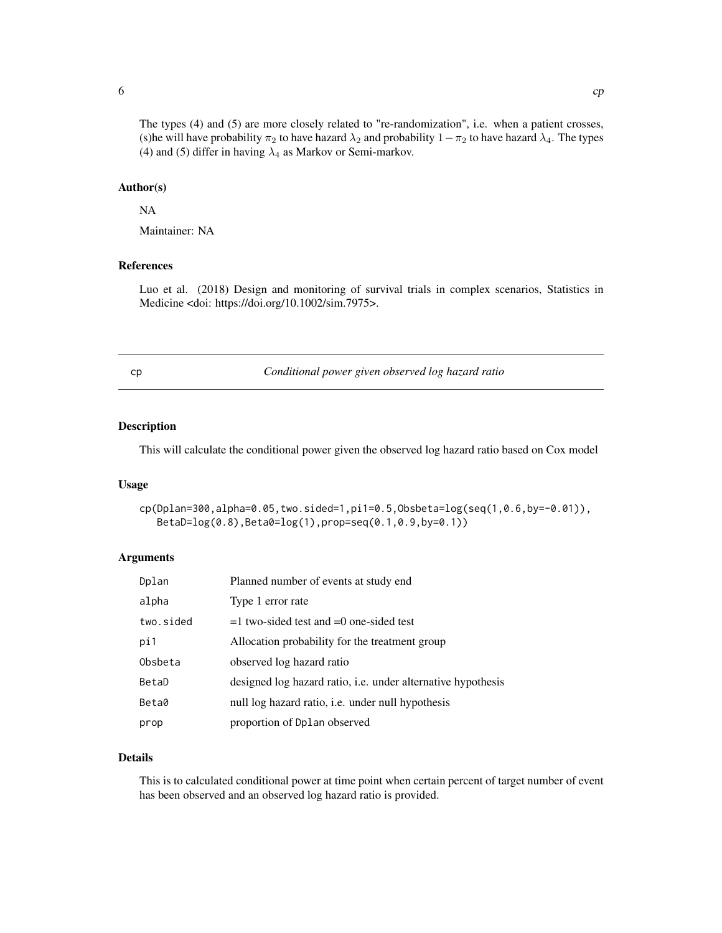#### Author(s)

#### NA

Maintainer: NA

<span id="page-5-0"></span>(4) and (5) differ in having  $\lambda_4$  as Markov or Semi-markov.

# References

Luo et al. (2018) Design and monitoring of survival trials in complex scenarios, Statistics in Medicine <doi: https://doi.org/10.1002/sim.7975>.

<span id="page-5-1"></span>cp *Conditional power given observed log hazard ratio*

# Description

This will calculate the conditional power given the observed log hazard ratio based on Cox model

# Usage

cp(Dplan=300,alpha=0.05,two.sided=1,pi1=0.5,Obsbeta=log(seq(1,0.6,by=-0.01)), BetaD=log(0.8),Beta0=log(1),prop=seq(0.1,0.9,by=0.1))

# Arguments

| Dplan     | Planned number of events at study end                        |
|-----------|--------------------------------------------------------------|
| alpha     | Type 1 error rate                                            |
| two.sided | $=1$ two-sided test and $=0$ one-sided test                  |
| pi1       | Allocation probability for the treatment group               |
| Obsbeta   | observed log hazard ratio                                    |
| BetaD     | designed log hazard ratio, i.e. under alternative hypothesis |
| Beta0     | null log hazard ratio, <i>i.e.</i> under null hypothesis     |
| prop      | proportion of Dplan observed                                 |

# Details

This is to calculated conditional power at time point when certain percent of target number of event has been observed and an observed log hazard ratio is provided.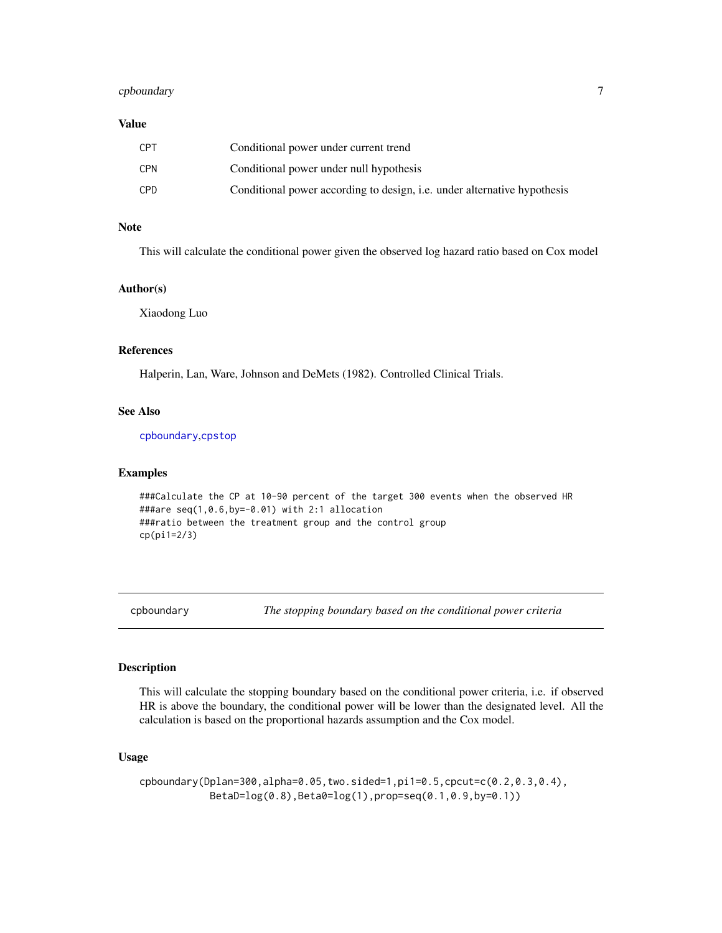# <span id="page-6-0"></span>cpboundary 7

## Value

| CPT | Conditional power under current trend                                           |
|-----|---------------------------------------------------------------------------------|
| CPN | Conditional power under null hypothesis                                         |
| CPD | Conditional power according to design, <i>i.e.</i> under alternative hypothesis |

# Note

This will calculate the conditional power given the observed log hazard ratio based on Cox model

#### Author(s)

Xiaodong Luo

#### References

Halperin, Lan, Ware, Johnson and DeMets (1982). Controlled Clinical Trials.

# See Also

[cpboundary](#page-6-1),[cpstop](#page-8-1)

# Examples

```
###Calculate the CP at 10-90 percent of the target 300 events when the observed HR
###are seq(1,0.6,by=-0.01) with 2:1 allocation
###ratio between the treatment group and the control group
cp(pi1=2/3)
```
<span id="page-6-1"></span>cpboundary *The stopping boundary based on the conditional power criteria*

#### Description

This will calculate the stopping boundary based on the conditional power criteria, i.e. if observed HR is above the boundary, the conditional power will be lower than the designated level. All the calculation is based on the proportional hazards assumption and the Cox model.

# Usage

cpboundary(Dplan=300,alpha=0.05,two.sided=1,pi1=0.5,cpcut=c(0.2,0.3,0.4), BetaD=log(0.8),Beta0=log(1),prop=seq(0.1,0.9,by=0.1))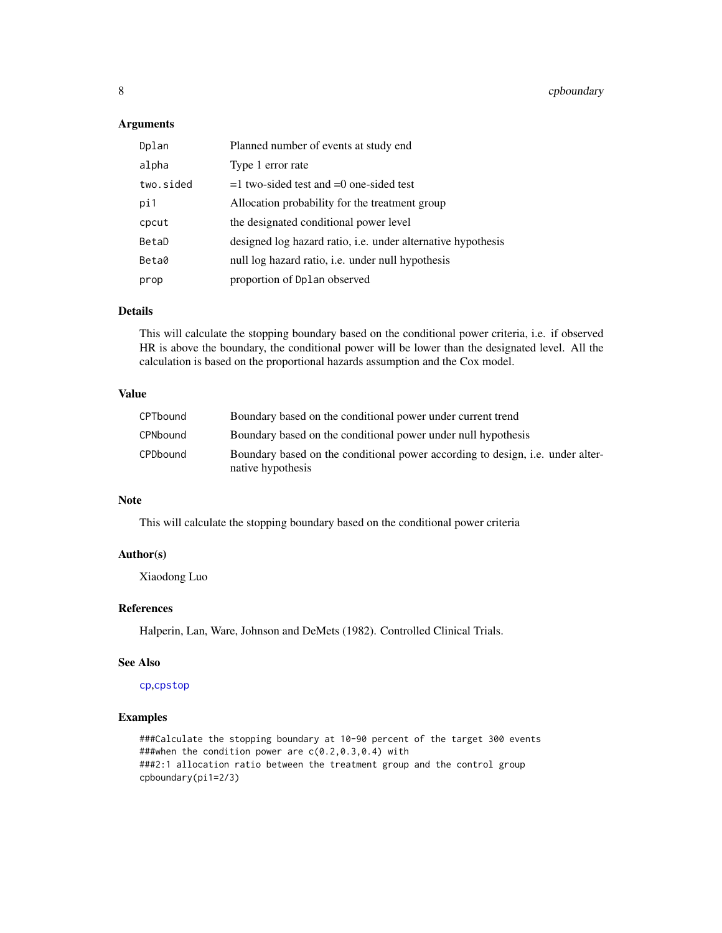# Arguments

| Dplan     | Planned number of events at study end                               |
|-----------|---------------------------------------------------------------------|
| alpha     | Type 1 error rate                                                   |
| two.sided | $=1$ two-sided test and $=0$ one-sided test                         |
| pi1       | Allocation probability for the treatment group                      |
| cpcut     | the designated conditional power level                              |
| BetaD     | designed log hazard ratio, <i>i.e.</i> under alternative hypothesis |
| Beta0     | null log hazard ratio, <i>i.e.</i> under null hypothesis            |
| prop      | proportion of Dplan observed                                        |

### Details

This will calculate the stopping boundary based on the conditional power criteria, i.e. if observed HR is above the boundary, the conditional power will be lower than the designated level. All the calculation is based on the proportional hazards assumption and the Cox model.

#### Value

| CPTbound | Boundary based on the conditional power under current trend                                                |
|----------|------------------------------------------------------------------------------------------------------------|
| CPNbound | Boundary based on the conditional power under null hypothesis                                              |
| CPDbound | Boundary based on the conditional power according to design, <i>i.e.</i> under alter-<br>native hypothesis |

# Note

This will calculate the stopping boundary based on the conditional power criteria

# Author(s)

Xiaodong Luo

# References

Halperin, Lan, Ware, Johnson and DeMets (1982). Controlled Clinical Trials.

#### See Also

#### [cp](#page-5-1),[cpstop](#page-8-1)

# Examples

###Calculate the stopping boundary at 10-90 percent of the target 300 events ###when the condition power are c(0.2,0.3,0.4) with ###2:1 allocation ratio between the treatment group and the control group cpboundary(pi1=2/3)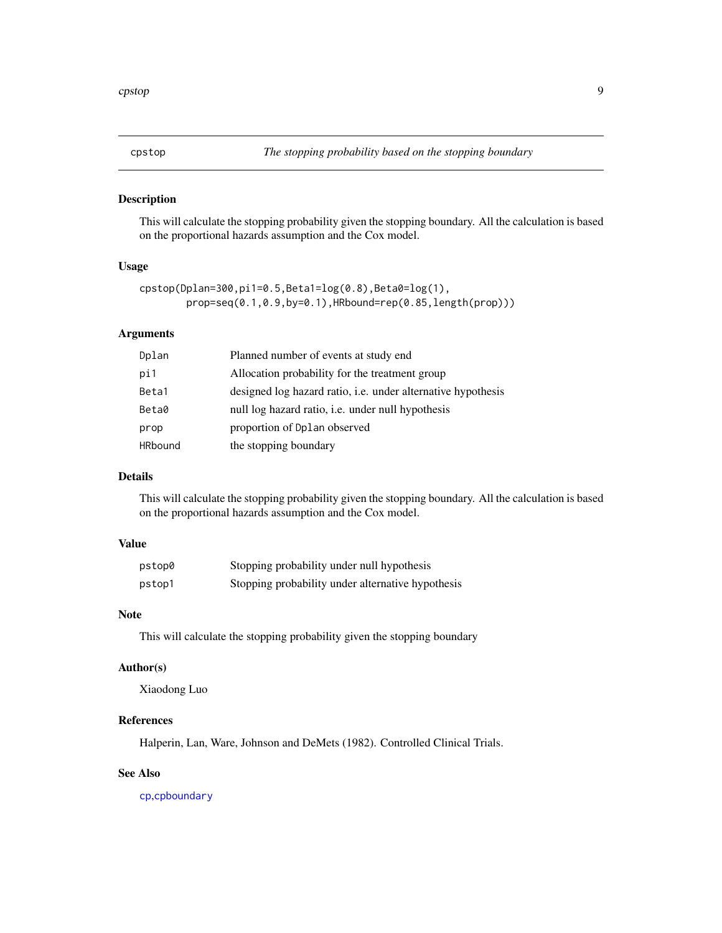<span id="page-8-1"></span><span id="page-8-0"></span>

#### Description

This will calculate the stopping probability given the stopping boundary. All the calculation is based on the proportional hazards assumption and the Cox model.

#### Usage

```
cpstop(Dplan=300,pi1=0.5,Beta1=log(0.8),Beta0=log(1),
       prop=seq(0.1,0.9,by=0.1),HRbound=rep(0.85,length(prop)))
```
#### Arguments

| Dplan          | Planned number of events at study end                        |
|----------------|--------------------------------------------------------------|
| pi1            | Allocation probability for the treatment group               |
| Beta1          | designed log hazard ratio, i.e. under alternative hypothesis |
| Beta0          | null log hazard ratio, <i>i.e.</i> under null hypothesis     |
| prop           | proportion of Dplan observed                                 |
| <b>HRbound</b> | the stopping boundary                                        |

# Details

This will calculate the stopping probability given the stopping boundary. All the calculation is based on the proportional hazards assumption and the Cox model.

# Value

| pstop0 | Stopping probability under null hypothesis        |
|--------|---------------------------------------------------|
| pstop1 | Stopping probability under alternative hypothesis |

# Note

This will calculate the stopping probability given the stopping boundary

# Author(s)

Xiaodong Luo

# References

Halperin, Lan, Ware, Johnson and DeMets (1982). Controlled Clinical Trials.

#### See Also

[cp](#page-5-1),[cpboundary](#page-6-1)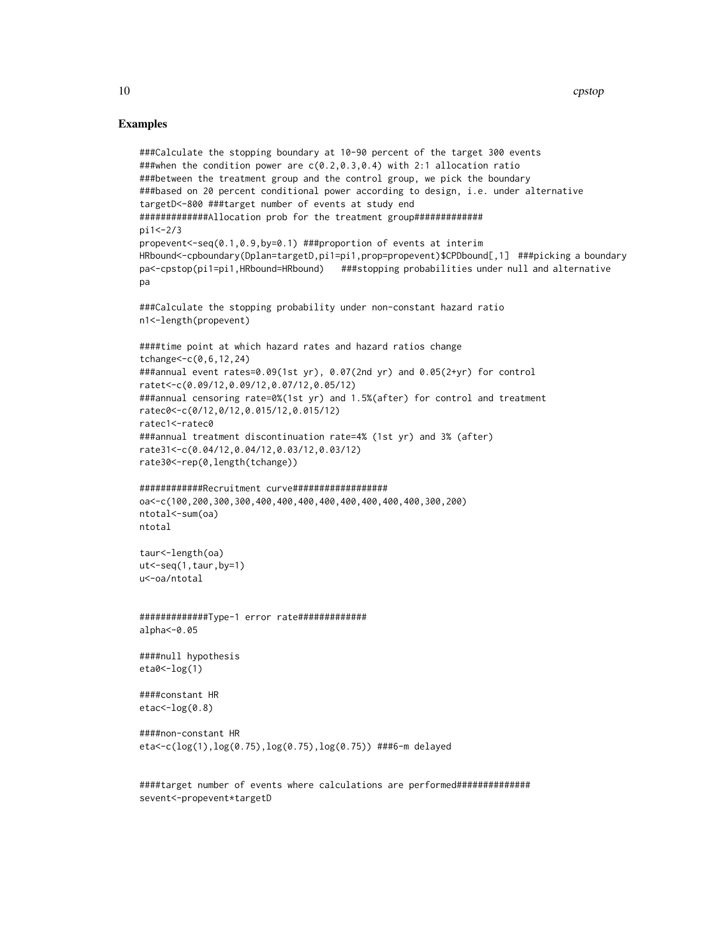# Examples

```
###Calculate the stopping boundary at 10-90 percent of the target 300 events
###when the condition power are c(0.2,0.3,0.4) with 2:1 allocation ratio
###between the treatment group and the control group, we pick the boundary
###based on 20 percent conditional power according to design, i.e. under alternative
targetD<-800 ###target number of events at study end
#############Allocation prob for the treatment group#############
pi1<-2/3
propevent<-seq(0.1,0.9,by=0.1) ###proportion of events at interim
HRbound<-cpboundary(Dplan=targetD,pi1=pi1,prop=propevent)$CPDbound[,1] ###picking a boundary
pa<-cpstop(pi1=pi1,HRbound=HRbound) ###stopping probabilities under null and alternative
pa
###Calculate the stopping probability under non-constant hazard ratio
n1<-length(propevent)
####time point at which hazard rates and hazard ratios change
tchange<-c(0,6,12,24)
###annual event rates=0.09(1st yr), 0.07(2nd yr) and 0.05(2+yr) for control
ratet<-c(0.09/12,0.09/12,0.07/12,0.05/12)
###annual censoring rate=0%(1st yr) and 1.5%(after) for control and treatment
ratec0<-c(0/12,0/12,0.015/12,0.015/12)
ratec1<-ratec0
###annual treatment discontinuation rate=4% (1st yr) and 3% (after)
rate31<-c(0.04/12,0.04/12,0.03/12,0.03/12)
rate30<-rep(0,length(tchange))
############Recruitment curve##################
```

```
oa<-c(100,200,300,300,400,400,400,400,400,400,400,400,300,200)
ntotal<-sum(oa)
ntotal
```

```
taur<-length(oa)
ut<-seq(1,taur,by=1)
u<-oa/ntotal
```

```
#############Type-1 error rate#############
alpha<-0.05
```

```
####null hypothesis
eta0<-log(1)
```

```
####constant HR
etac<-log(0.8)
```

```
####non-constant HR
eta<-c(log(1),log(0.75),log(0.75),log(0.75)) ###6-m delayed
```
####target number of events where calculations are performed############## sevent<-propevent\*targetD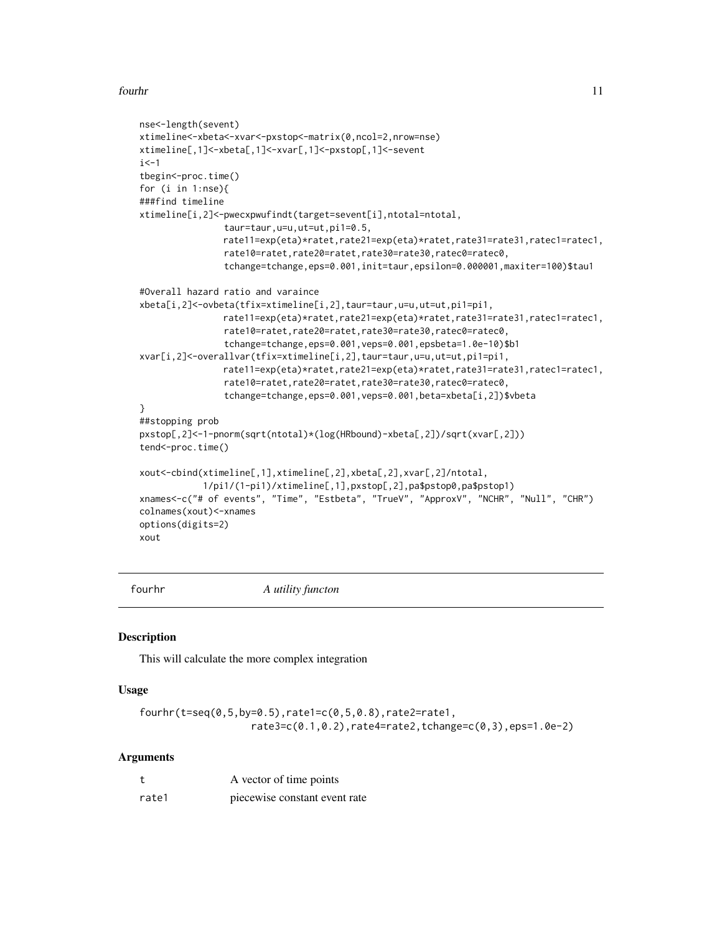#### <span id="page-10-0"></span>fourhr 11

```
nse<-length(sevent)
xtimeline<-xbeta<-xvar<-pxstop<-matrix(0,ncol=2,nrow=nse)
xtimeline[,1]<-xbeta[,1]<-xvar[,1]<-pxstop[,1]<-sevent
i < -1tbegin<-proc.time()
for (i in 1:nse){
###find timeline
xtimeline[i,2]<-pwecxpwufindt(target=sevent[i],ntotal=ntotal,
                taur=taur,u=u,ut=ut,pi1=0.5,
               rate11=exp(eta)*ratet,rate21=exp(eta)*ratet,rate31=rate31,ratec1=ratec1,
                rate10=ratet,rate20=ratet,rate30=rate30,ratec0=ratec0,
                tchange=tchange,eps=0.001,init=taur,epsilon=0.000001,maxiter=100)$tau1
#Overall hazard ratio and varaince
xbeta[i,2]<-ovbeta(tfix=xtimeline[i,2],taur=taur,u=u,ut=ut,pi1=pi1,
               rate11=exp(eta)*ratet,rate21=exp(eta)*ratet,rate31=rate31,ratec1=ratec1,
                rate10=ratet,rate20=ratet,rate30=rate30,ratec0=ratec0,
                tchange=tchange,eps=0.001,veps=0.001,epsbeta=1.0e-10)$b1
xvar[i,2]<-overallvar(tfix=xtimeline[i,2],taur=taur,u=u,ut=ut,pi1=pi1,
               rate11=exp(eta)*ratet,rate21=exp(eta)*ratet,rate31=rate31,ratec1=ratec1,
                rate10=ratet,rate20=ratet,rate30=rate30,ratec0=ratec0,
                tchange=tchange,eps=0.001,veps=0.001,beta=xbeta[i,2])$vbeta
}
##stopping prob
pxstop[,2]<-1-pnorm(sqrt(ntotal)*(log(HRbound)-xbeta[,2])/sqrt(xvar[,2]))
tend<-proc.time()
xout<-cbind(xtimeline[,1],xtimeline[,2],xbeta[,2],xvar[,2]/ntotal,
            1/pi1/(1-pi1)/xtimeline[,1],pxstop[,2],pa$pstop0,pa$pstop1)
xnames<-c("# of events", "Time", "Estbeta", "TrueV", "ApproxV", "NCHR", "Null", "CHR")
colnames(xout)<-xnames
options(digits=2)
xout
```
fourhr *A utility functon*

#### **Description**

This will calculate the more complex integration

#### Usage

```
fourhr(t=seq(0,5,by=0.5),rate1=c(0,5,0.8),rate2=rate1,
                   rate3=c(0.1,0.2),rate4=rate2,tchange=c(0,3),eps=1.0e-2)
```

|       | A vector of time points       |
|-------|-------------------------------|
| rate1 | piecewise constant event rate |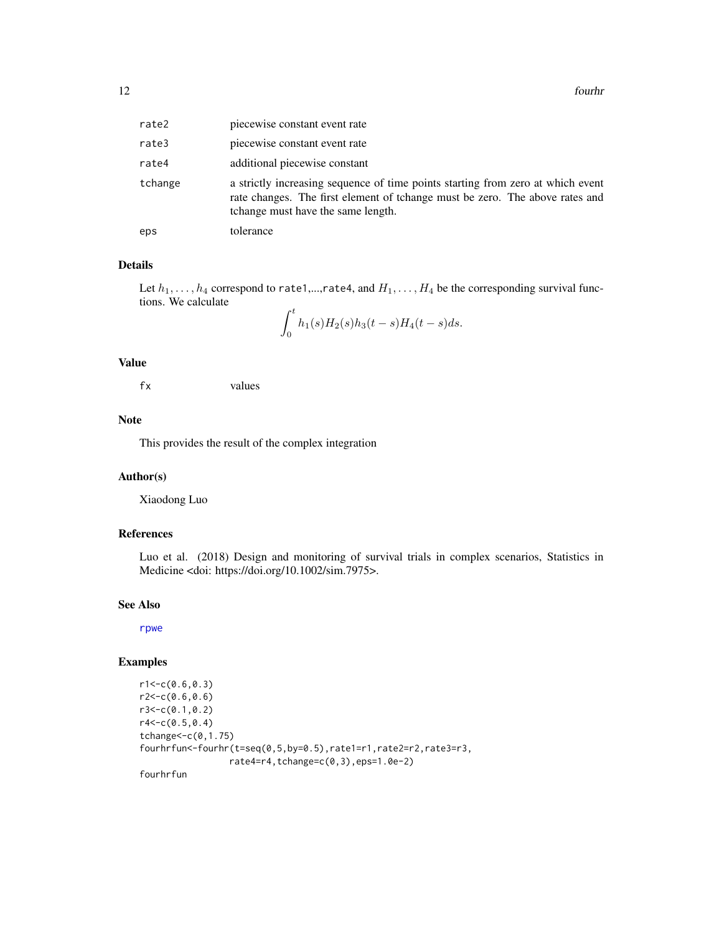| rate2   | piecewise constant event rate                                                                                                                                                                         |
|---------|-------------------------------------------------------------------------------------------------------------------------------------------------------------------------------------------------------|
| rate3   | piecewise constant event rate                                                                                                                                                                         |
| rate4   | additional piecewise constant                                                                                                                                                                         |
| tchange | a strictly increasing sequence of time points starting from zero at which event<br>rate changes. The first element of tchange must be zero. The above rates and<br>tchange must have the same length. |
| eps     | tolerance                                                                                                                                                                                             |

#### Details

Let  $h_1, \ldots, h_4$  correspond to rate1,...,rate4, and  $H_1, \ldots, H_4$  be the corresponding survival functions. We calculate

$$
\int_0^t h_1(s)H_2(s)h_3(t-s)H_4(t-s)ds.
$$

# Value

fx values

# Note

This provides the result of the complex integration

 $\cdot$ 

#### Author(s)

Xiaodong Luo

#### References

Luo et al. (2018) Design and monitoring of survival trials in complex scenarios, Statistics in Medicine <doi: https://doi.org/10.1002/sim.7975>.

#### See Also

[rpwe](#page-77-1)

# Examples

```
r1 < -c(0.6, 0.3)r2 < -c(0.6, 0.6)r3<-c(0.1,0.2)
r4<-c(0.5,0.4)
tchange<-c(0,1.75)
fourhrfun<-fourhr(t=seq(0,5,by=0.5),rate1=r1,rate2=r2,rate3=r3,
                 rate4=r4,tchange=c(0,3),eps=1.0e-2)
```
fourhrfun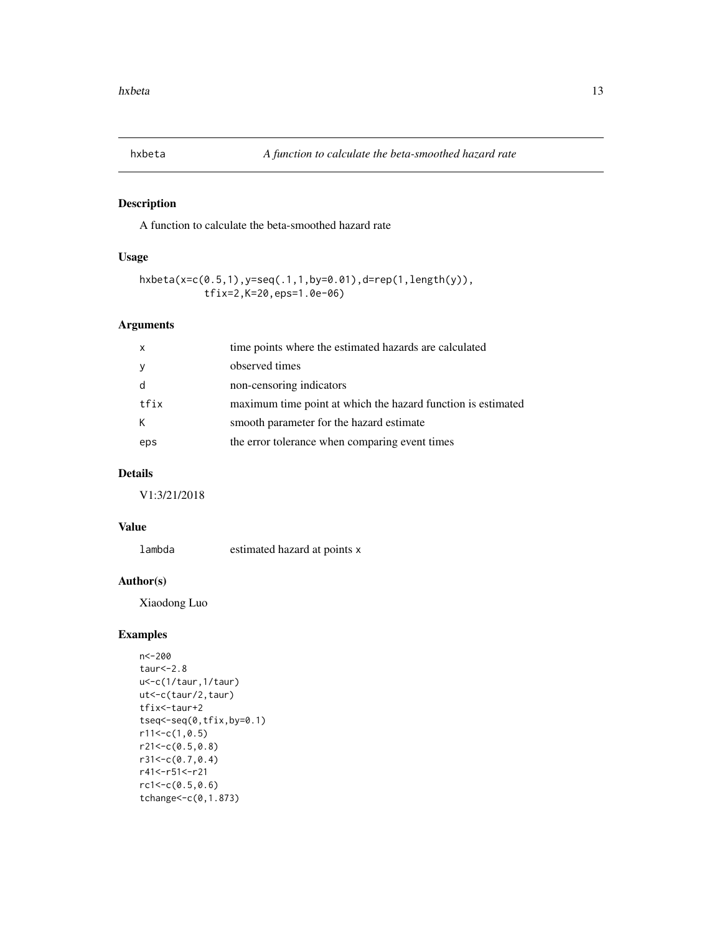<span id="page-12-0"></span>

# Description

A function to calculate the beta-smoothed hazard rate

# Usage

```
hxbeta(x=c(0.5,1),y=seq(.1,1,by=0.01),d=rep(1,length(y)),
           tfix=2,K=20,eps=1.0e-06)
```
# Arguments

| $\mathsf{x}$ | time points where the estimated hazards are calculated       |
|--------------|--------------------------------------------------------------|
|              | observed times                                               |
|              | non-censoring indicators                                     |
| tfix         | maximum time point at which the hazard function is estimated |
| К            | smooth parameter for the hazard estimate                     |
| eps          | the error tolerance when comparing event times               |

# Details

V1:3/21/2018

# Value

lambda estimated hazard at points x

# Author(s)

Xiaodong Luo

# Examples

```
n<-200
taur<-2.8
u<-c(1/taur,1/taur)
ut<-c(taur/2,taur)
tfix<-taur+2
tseq<-seq(0,tfix,by=0.1)
r11<-c(1,0.5)r21<-c(0.5,0.8)
r31<-c(0.7,0.4)
r41<-r51<-r21
rc1 < -c(0.5, 0.6)tchange<-c(0,1.873)
```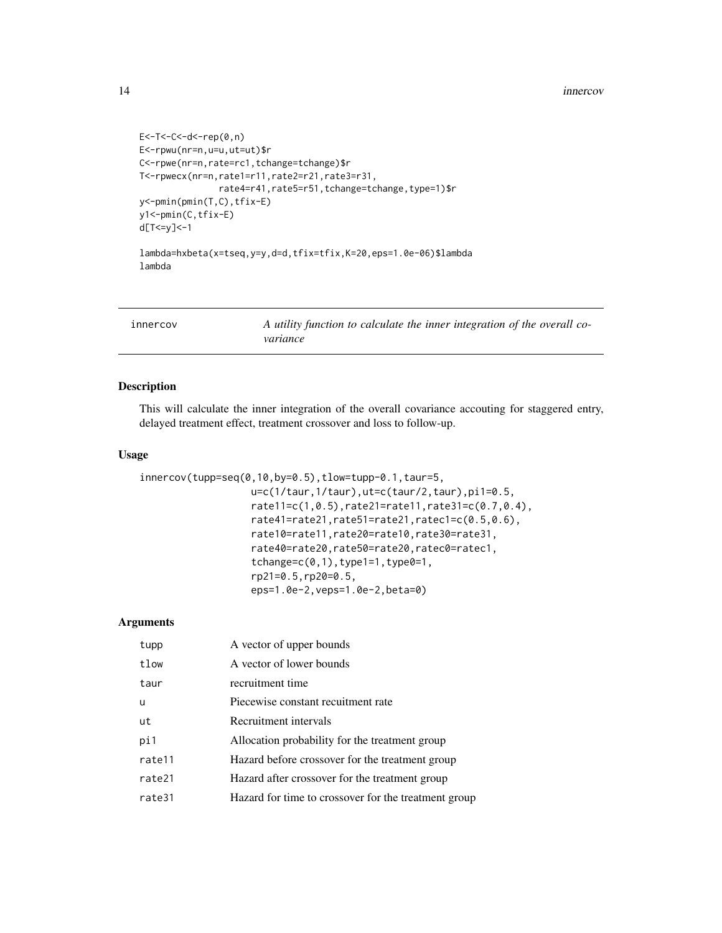#### <span id="page-13-0"></span>14 innercov

```
E<-T<-C<-d<-rep(0,n)
E<-rpwu(nr=n,u=u,ut=ut)$r
C<-rpwe(nr=n,rate=rc1,tchange=tchange)$r
T<-rpwecx(nr=n,rate1=r11,rate2=r21,rate3=r31,
              rate4=r41,rate5=r51,tchange=tchange,type=1)$r
y<-pmin(pmin(T,C),tfix-E)
y1<-pmin(C,tfix-E)
d[T<=y]<-1
lambda=hxbeta(x=tseq,y=y,d=d,tfix=tfix,K=20,eps=1.0e-06)$lambda
lambda
```
innercov *A utility function to calculate the inner integration of the overall covariance*

# Description

This will calculate the inner integration of the overall covariance accouting for staggered entry, delayed treatment effect, treatment crossover and loss to follow-up.

# Usage

```
innercov(tupp=seq(0,10,by=0.5),tlow=tupp-0.1,taur=5,
                  u=c(1/taur,1/taur),ut=c(taur/2,taur),pi1=0.5,
                   rate11=c(1,0.5),rate21=rate11,rate31=c(0.7,0.4),
                   rate41=rate21,rate51=rate21,ratec1=c(0.5,0.6),
                   rate10=rate11,rate20=rate10,rate30=rate31,
                   rate40=rate20,rate50=rate20,ratec0=ratec1,
                   tchange=c(0,1),type1=1,type0=1,rp21=0.5,rp20=0.5,
                   eps=1.0e-2,veps=1.0e-2,beta=0)
```

| tupp   | A vector of upper bounds                             |
|--------|------------------------------------------------------|
| tlow   | A vector of lower bounds                             |
| taur   | recruitment time                                     |
| u      | Piecewise constant recuitment rate                   |
| ut     | Recruitment intervals                                |
| pi1    | Allocation probability for the treatment group       |
| rate11 | Hazard before crossover for the treatment group      |
| rate21 | Hazard after crossover for the treatment group       |
| rate31 | Hazard for time to crossover for the treatment group |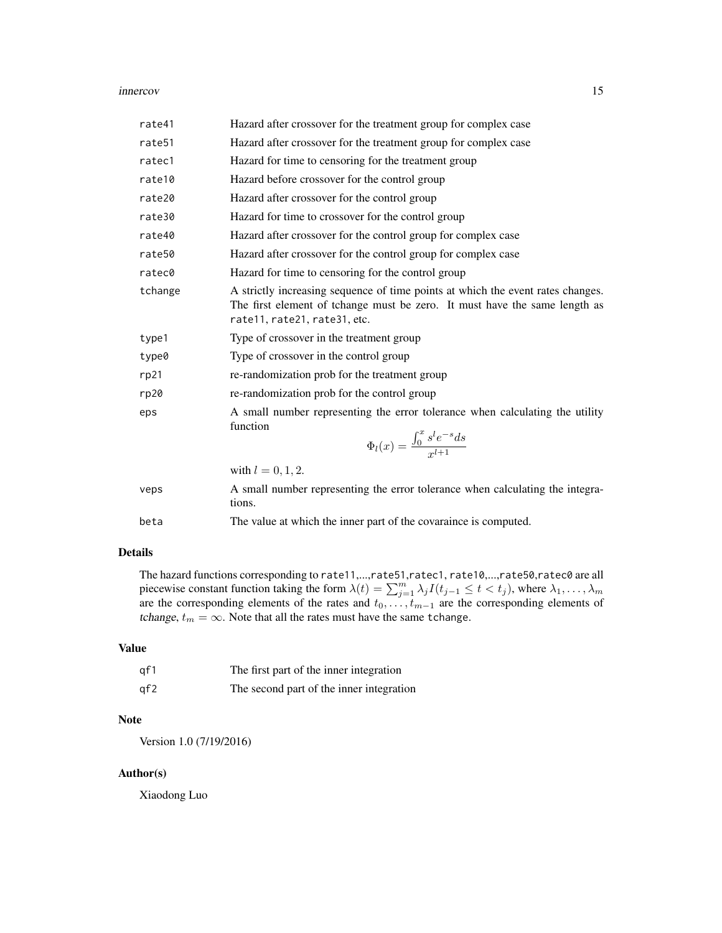#### innercov and the contract of the contract of the contract of the contract of the contract of the contract of the contract of the contract of the contract of the contract of the contract of the contract of the contract of t

| rate41  | Hazard after crossover for the treatment group for complex case                                                                                                                               |
|---------|-----------------------------------------------------------------------------------------------------------------------------------------------------------------------------------------------|
| rate51  | Hazard after crossover for the treatment group for complex case                                                                                                                               |
| ratec1  | Hazard for time to censoring for the treatment group                                                                                                                                          |
| rate10  | Hazard before crossover for the control group                                                                                                                                                 |
| rate20  | Hazard after crossover for the control group                                                                                                                                                  |
| rate30  | Hazard for time to crossover for the control group                                                                                                                                            |
| rate40  | Hazard after crossover for the control group for complex case                                                                                                                                 |
| rate50  | Hazard after crossover for the control group for complex case                                                                                                                                 |
| ratec0  | Hazard for time to censoring for the control group                                                                                                                                            |
| tchange | A strictly increasing sequence of time points at which the event rates changes.<br>The first element of tchange must be zero. It must have the same length as<br>rate11, rate21, rate31, etc. |
| type1   | Type of crossover in the treatment group                                                                                                                                                      |
| type0   | Type of crossover in the control group                                                                                                                                                        |
| rp21    | re-randomization prob for the treatment group                                                                                                                                                 |
| rp20    | re-randomization prob for the control group                                                                                                                                                   |
| eps     | A small number representing the error tolerance when calculating the utility<br>function<br>$\Phi_l(x) = \frac{\int_0^x s^l e^{-s} ds}{r^{l+1}}$                                              |
|         | with $l = 0, 1, 2$ .                                                                                                                                                                          |
| veps    | A small number representing the error tolerance when calculating the integra-<br>tions.                                                                                                       |
| beta    | The value at which the inner part of the covaraince is computed.                                                                                                                              |
|         |                                                                                                                                                                                               |

# Details

The hazard functions corresponding to rate11,...,rate51,ratec1, rate10,...,rate50,ratec0 are all piecewise constant function taking the form  $\lambda(t) = \sum_{j=1}^{m} \lambda_j I(t_{j-1} \leq t < t_j)$ , where  $\lambda_1, \dots, \lambda_m$ are the corresponding elements of the rates and  $t_0, \ldots, t_{m-1}$  are the corresponding elements of tchange,  $t_m = \infty.$  Note that all the rates must have the same tchange.

# Value

| af 1 | The first part of the inner integration  |
|------|------------------------------------------|
| af2  | The second part of the inner integration |

# Note

Version 1.0 (7/19/2016)

# Author(s)

Xiaodong Luo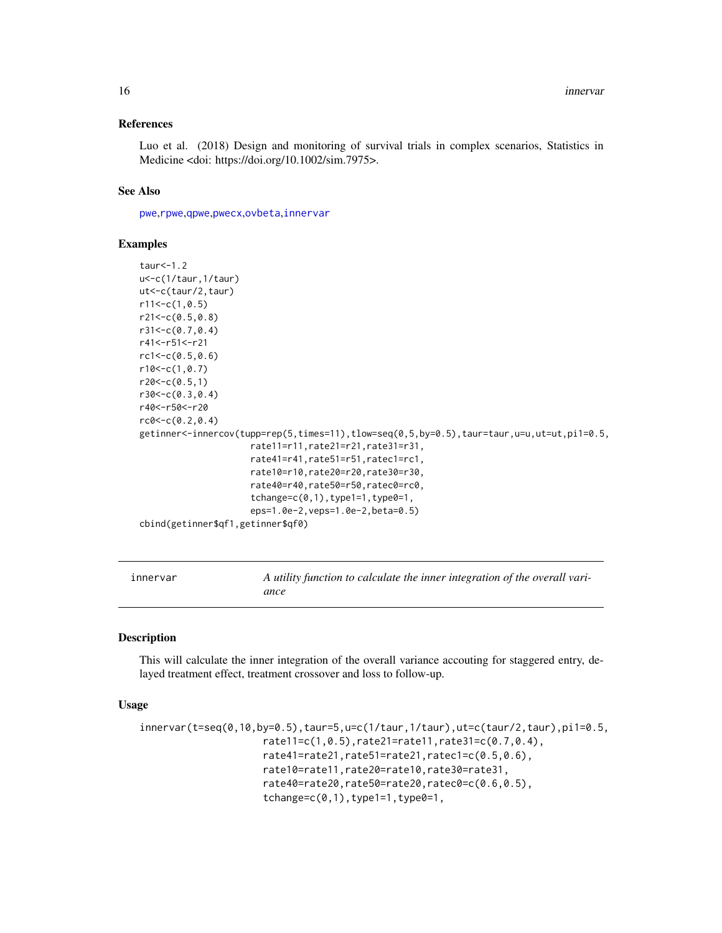#### <span id="page-15-0"></span>References

Luo et al. (2018) Design and monitoring of survival trials in complex scenarios, Statistics in Medicine <doi: https://doi.org/10.1002/sim.7975>.

#### See Also

[pwe](#page-35-1),[rpwe](#page-77-1),[qpwe](#page-62-1),[pwecx](#page-36-1),[ovbeta](#page-22-1),[innervar](#page-15-1)

#### Examples

```
taur < -1.2u<-c(1/taur,1/taur)
ut<-c(taur/2,taur)
r11<-c(1,0.5)r21<-c(0.5,0.8)
r31<-c(0.7,0.4)
r41<-r51<-r21
rc1<-c(0.5,0.6)
r10<-c(1,0.7)
r20 < -c(0.5, 1)r30<-c(0.3,0.4)
r40<-r50<-r20
rc0<-c(0.2,0.4)
getinner<-innercov(tupp=rep(5,times=11),tlow=seq(0,5,by=0.5),taur=taur,u=u,ut=ut,pi1=0.5,
                     rate11=r11,rate21=r21,rate31=r31,
                     rate41=r41,rate51=r51,ratec1=rc1,
                     rate10=r10,rate20=r20,rate30=r30,
                     rate40=r40,rate50=r50,ratec0=rc0,
                     tchange=c(0,1),type1=1,type0=1,eps=1.0e-2,veps=1.0e-2,beta=0.5)
cbind(getinner$qf1,getinner$qf0)
```
<span id="page-15-1"></span>innervar *A utility function to calculate the inner integration of the overall variance*

#### Description

This will calculate the inner integration of the overall variance accouting for staggered entry, delayed treatment effect, treatment crossover and loss to follow-up.

#### Usage

```
innervar(t=seq(0,10,by=0.5),taur=5, u=c(1/taur,1/taur),ut=c(taur/2,taur),pi1=0.5,rate11=c(1,0.5),rate21=rate11,rate31=c(0.7,0.4),
                     rate41=rate21,rate51=rate21,ratec1=c(0.5,0.6),
                     rate10=rate11,rate20=rate10,rate30=rate31,
                     rate40=rate20,rate50=rate20,ratec0=c(0.6,0.5),
                     tchange=c(0,1), type1=1, type0=1,
```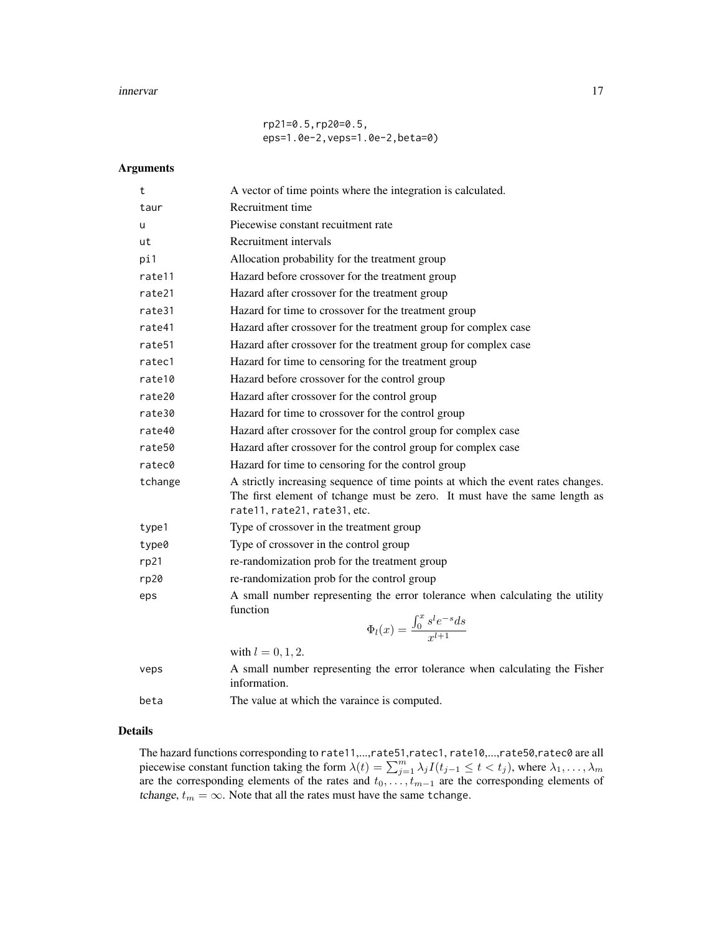#### innervar til 17

rp21=0.5,rp20=0.5, eps=1.0e-2,veps=1.0e-2,beta=0)

# Arguments

| t                  | A vector of time points where the integration is calculated.                                                                                                                                  |
|--------------------|-----------------------------------------------------------------------------------------------------------------------------------------------------------------------------------------------|
| taur               | Recruitment time                                                                                                                                                                              |
| u                  | Piecewise constant recuitment rate                                                                                                                                                            |
| ut                 | Recruitment intervals                                                                                                                                                                         |
| pi1                | Allocation probability for the treatment group                                                                                                                                                |
| rate11             | Hazard before crossover for the treatment group                                                                                                                                               |
| rate21             | Hazard after crossover for the treatment group                                                                                                                                                |
| rate31             | Hazard for time to crossover for the treatment group                                                                                                                                          |
| rate41             | Hazard after crossover for the treatment group for complex case                                                                                                                               |
| rate <sub>51</sub> | Hazard after crossover for the treatment group for complex case                                                                                                                               |
| ratec1             | Hazard for time to censoring for the treatment group                                                                                                                                          |
| rate10             | Hazard before crossover for the control group                                                                                                                                                 |
| rate20             | Hazard after crossover for the control group                                                                                                                                                  |
| rate30             | Hazard for time to crossover for the control group                                                                                                                                            |
| rate40             | Hazard after crossover for the control group for complex case                                                                                                                                 |
| rate50             | Hazard after crossover for the control group for complex case                                                                                                                                 |
| ratec0             | Hazard for time to censoring for the control group                                                                                                                                            |
| tchange            | A strictly increasing sequence of time points at which the event rates changes.<br>The first element of tchange must be zero. It must have the same length as<br>rate11, rate21, rate31, etc. |
| type1              | Type of crossover in the treatment group                                                                                                                                                      |
| type0              | Type of crossover in the control group                                                                                                                                                        |
| rp21               | re-randomization prob for the treatment group                                                                                                                                                 |
| rp20               | re-randomization prob for the control group                                                                                                                                                   |
| eps                | A small number representing the error tolerance when calculating the utility<br>function<br>$\Phi_l(x) = \frac{\int_0^x s^l e^{-s} ds}{r^{l+1}}$                                              |
|                    | with $l = 0, 1, 2$ .                                                                                                                                                                          |
| veps               | A small number representing the error tolerance when calculating the Fisher<br>information.                                                                                                   |
| beta               | The value at which the varaince is computed.                                                                                                                                                  |

# Details

The hazard functions corresponding to rate11,...,rate51,ratec1, rate10,...,rate50,ratec0 are all piecewise constant function taking the form  $\lambda(t) = \sum_{j=1}^{m} \lambda_j I(t_{j-1} \leq t < t_j)$ , where  $\lambda_1, \dots, \lambda_m$ are the corresponding elements of the rates and  $t_0, \ldots, t_{m-1}$  are the corresponding elements of tchange,  $t_m = \infty$ . Note that all the rates must have the same tchange.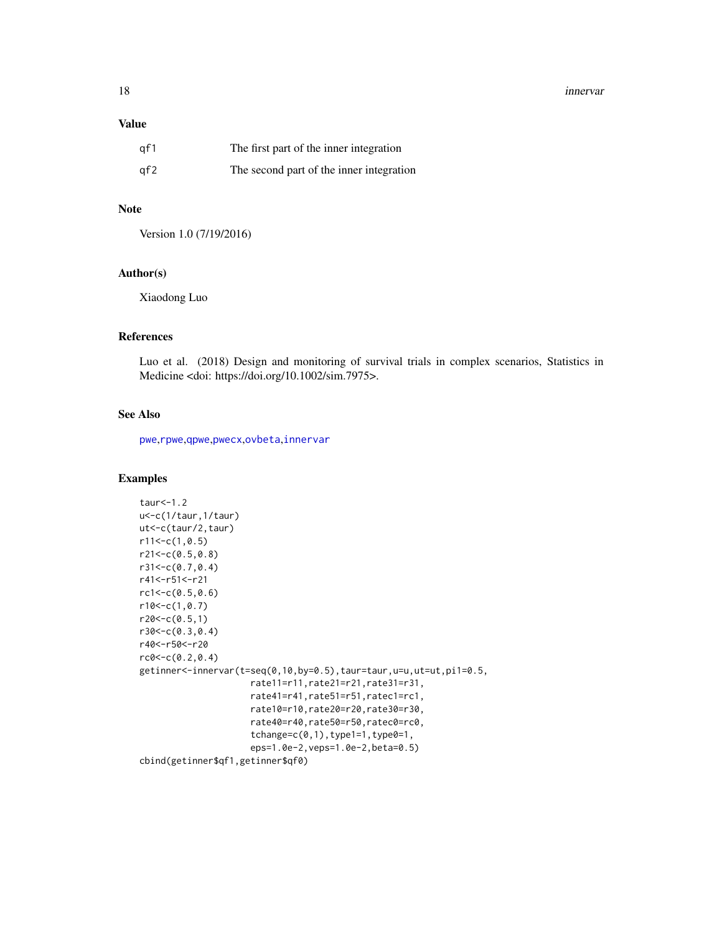#### 18 innervar

## Value

| qf1 | The first part of the inner integration  |
|-----|------------------------------------------|
| qf2 | The second part of the inner integration |

# Note

Version 1.0 (7/19/2016)

#### Author(s)

Xiaodong Luo

# References

Luo et al. (2018) Design and monitoring of survival trials in complex scenarios, Statistics in Medicine <doi: https://doi.org/10.1002/sim.7975>.

# See Also

[pwe](#page-35-1),[rpwe](#page-77-1),[qpwe](#page-62-1),[pwecx](#page-36-1),[ovbeta](#page-22-1),[innervar](#page-15-1)

#### Examples

```
taur<-1.2
u<-c(1/taur,1/taur)
ut<-c(taur/2,taur)
r11<-c(1,0.5)r21<-c(0.5,0.8)
r31<-c(0.7,0.4)
r41<-r51<-r21
rc1<-c(0.5,0.6)
r10<-c(1,0.7)r20<-c(0.5,1)r30<-c(0.3,0.4)
r40<-r50<-r20
rc0 < -c(0.2, 0.4)getinner<-innervar(t=seq(0,10,by=0.5),taur=taur,u=u,ut=ut,pi1=0.5,
                     rate11=r11,rate21=r21,rate31=r31,
                     rate41=r41,rate51=r51,ratec1=rc1,
                     rate10=r10,rate20=r20,rate30=r30,
                     rate40=r40,rate50=r50,ratec0=rc0,
                     tchange=c(0,1),type1=1,type0=1,
                     eps=1.0e-2,veps=1.0e-2,beta=0.5)
cbind(getinner$qf1,getinner$qf0)
```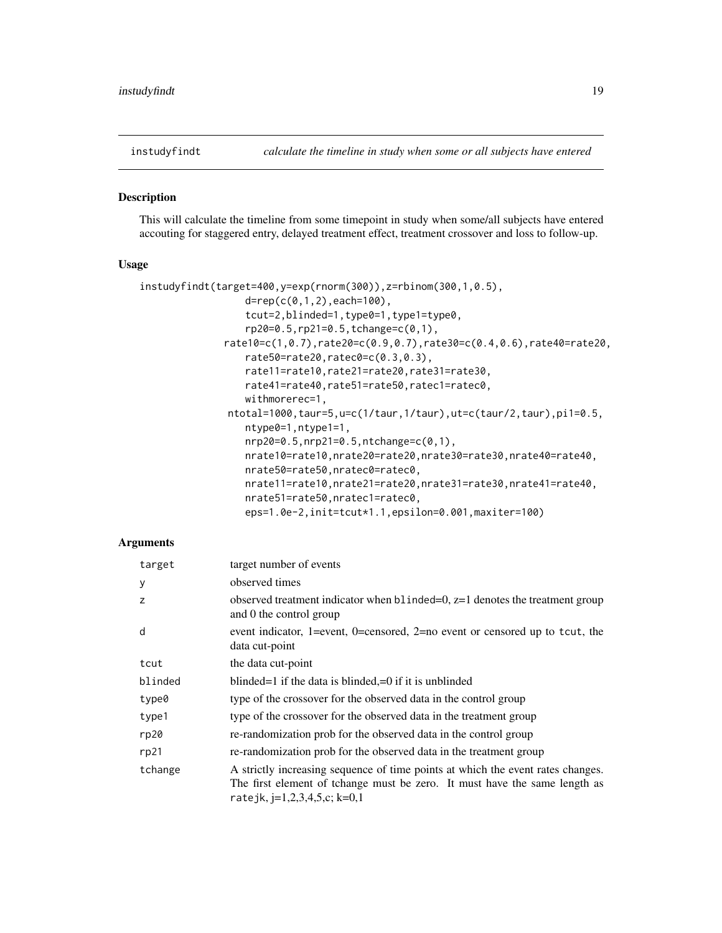<span id="page-18-0"></span>

#### Description

This will calculate the timeline from some timepoint in study when some/all subjects have entered accouting for staggered entry, delayed treatment effect, treatment crossover and loss to follow-up.

# Usage

```
instudyfindt(target=400,y=exp(rnorm(300)),z=rbinom(300,1,0.5),
                  d = rep(c(0,1,2), each = 100),
                  tcut=2,blinded=1,type0=1,type1=type0,
                  rp20=0.5,rp21=0.5,tchange=c(0,1),
              rate10=c(1,0.7),rate20=c(0.9,0.7),rate30=c(0.4,0.6),rate40=rate20,
                  rate50=rate20,ratec0=c(0.3,0.3),
                  rate11=rate10,rate21=rate20,rate31=rate30,
                  rate41=rate40,rate51=rate50,ratec1=ratec0,
                  withmorerec=1,
               ntotal=1000,taur=5,u=c(1/taur,1/taur),ut=c(taur/2,taur),pi1=0.5,
                  ntype0=1,ntype1=1,
                  nrp20=0.5,nrp21=0.5,ntchange=c(0,1),
                  nrate10=rate10,nrate20=rate20,nrate30=rate30,nrate40=rate40,
                  nrate50=rate50,nratec0=ratec0,
                  nrate11=rate10,nrate21=rate20,nrate31=rate30,nrate41=rate40,
                  nrate51=rate50,nratec1=ratec0,
                  eps=1.0e-2,init=tcut*1.1,epsilon=0.001,maxiter=100)
```

| target         | target number of events                                                                                                                                                                         |
|----------------|-------------------------------------------------------------------------------------------------------------------------------------------------------------------------------------------------|
| У              | observed times                                                                                                                                                                                  |
| $\overline{z}$ | observed treatment indicator when $b1$ indeed $=0$ , $z=1$ denotes the treatment group<br>and 0 the control group                                                                               |
| d              | event indicator, 1=event, 0=censored, 2=no event or censored up to tcut, the<br>data cut-point                                                                                                  |
| tcut           | the data cut-point                                                                                                                                                                              |
| blinded        | blinded=1 if the data is blinded,=0 if it is unblinded                                                                                                                                          |
| type0          | type of the crossover for the observed data in the control group                                                                                                                                |
| type1          | type of the crossover for the observed data in the treatment group                                                                                                                              |
| rp20           | re-randomization prob for the observed data in the control group                                                                                                                                |
| rp21           | re-randomization prob for the observed data in the treatment group                                                                                                                              |
| tchange        | A strictly increasing sequence of time points at which the event rates changes.<br>The first element of tchange must be zero. It must have the same length as<br>ratejk, $j=1,2,3,4,5,c; k=0,1$ |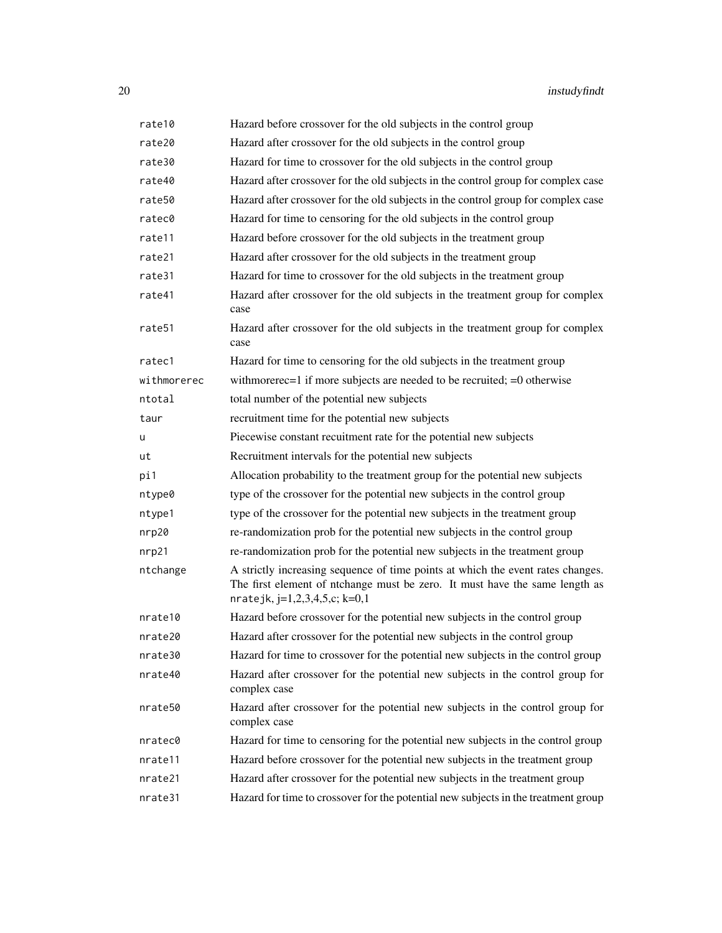| rate10      | Hazard before crossover for the old subjects in the control group                                                                                                                                 |
|-------------|---------------------------------------------------------------------------------------------------------------------------------------------------------------------------------------------------|
| rate20      | Hazard after crossover for the old subjects in the control group                                                                                                                                  |
| rate30      | Hazard for time to crossover for the old subjects in the control group                                                                                                                            |
| rate40      | Hazard after crossover for the old subjects in the control group for complex case                                                                                                                 |
| rate50      | Hazard after crossover for the old subjects in the control group for complex case                                                                                                                 |
| ratec0      | Hazard for time to censoring for the old subjects in the control group                                                                                                                            |
| rate11      | Hazard before crossover for the old subjects in the treatment group                                                                                                                               |
| rate21      | Hazard after crossover for the old subjects in the treatment group                                                                                                                                |
| rate31      | Hazard for time to crossover for the old subjects in the treatment group                                                                                                                          |
| rate41      | Hazard after crossover for the old subjects in the treatment group for complex<br>case                                                                                                            |
| rate51      | Hazard after crossover for the old subjects in the treatment group for complex<br>case                                                                                                            |
| ratec1      | Hazard for time to censoring for the old subjects in the treatment group                                                                                                                          |
| withmorerec | with more recepted if more subjects are needed to be recruited; $=0$ otherwise                                                                                                                    |
| ntotal      | total number of the potential new subjects                                                                                                                                                        |
| taur        | recruitment time for the potential new subjects                                                                                                                                                   |
| u           | Piecewise constant recuitment rate for the potential new subjects                                                                                                                                 |
| ut          | Recruitment intervals for the potential new subjects                                                                                                                                              |
| pi1         | Allocation probability to the treatment group for the potential new subjects                                                                                                                      |
| ntype0      | type of the crossover for the potential new subjects in the control group                                                                                                                         |
| ntype1      | type of the crossover for the potential new subjects in the treatment group                                                                                                                       |
| nrp20       | re-randomization prob for the potential new subjects in the control group                                                                                                                         |
| nrp21       | re-randomization prob for the potential new subjects in the treatment group                                                                                                                       |
| ntchange    | A strictly increasing sequence of time points at which the event rates changes.<br>The first element of ntchange must be zero. It must have the same length as<br>nratejk, $j=1,2,3,4,5,c; k=0,1$ |
| nrate10     | Hazard before crossover for the potential new subjects in the control group                                                                                                                       |
| nrate20     | Hazard after crossover for the potential new subjects in the control group                                                                                                                        |
| nrate30     | Hazard for time to crossover for the potential new subjects in the control group                                                                                                                  |
| nrate40     | Hazard after crossover for the potential new subjects in the control group for<br>complex case                                                                                                    |
| nrate50     | Hazard after crossover for the potential new subjects in the control group for<br>complex case                                                                                                    |
| nratec0     | Hazard for time to censoring for the potential new subjects in the control group                                                                                                                  |
| nrate11     | Hazard before crossover for the potential new subjects in the treatment group                                                                                                                     |
| nrate21     | Hazard after crossover for the potential new subjects in the treatment group                                                                                                                      |
| nrate31     | Hazard for time to crossover for the potential new subjects in the treatment group                                                                                                                |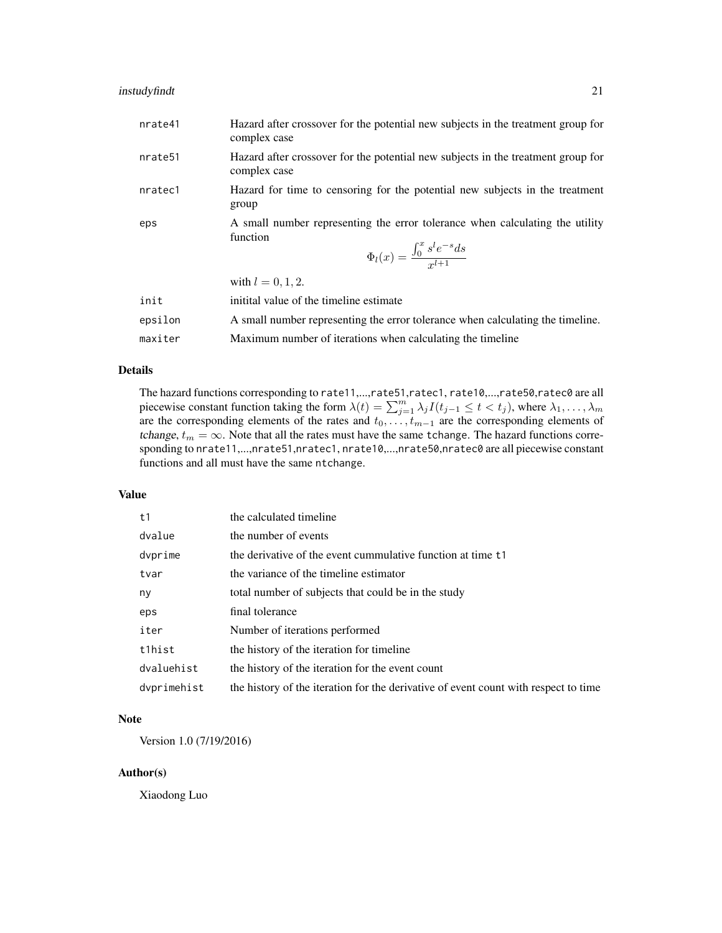# instudyfindt 21

| nrate41             | Hazard after crossover for the potential new subjects in the treatment group for<br>complex case                                                 |
|---------------------|--------------------------------------------------------------------------------------------------------------------------------------------------|
| nrate <sub>51</sub> | Hazard after crossover for the potential new subjects in the treatment group for<br>complex case                                                 |
| nratec1             | Hazard for time to censoring for the potential new subjects in the treatment<br>group                                                            |
| eps                 | A small number representing the error tolerance when calculating the utility<br>function<br>$\Phi_l(x) = \frac{\int_0^x s^l e^{-s} ds}{r^{l+1}}$ |
|                     | with $l = 0, 1, 2$ .                                                                                                                             |
| init                | initital value of the timeline estimate                                                                                                          |
| epsilon             | A small number representing the error tolerance when calculating the timeline.                                                                   |
| maxiter             | Maximum number of iterations when calculating the timeline                                                                                       |

#### Details

The hazard functions corresponding to rate11,...,rate51,ratec1, rate10,...,rate50,ratec0 are all piecewise constant function taking the form  $\lambda(t) = \sum_{j=1}^{m} \lambda_j I(t_{j-1} \leq t < t_j)$ , where  $\lambda_1, \dots, \lambda_m$ are the corresponding elements of the rates and  $t_0, \ldots, t_{m-1}$  are the corresponding elements of tchange,  $t_m = \infty$ . Note that all the rates must have the same tchange. The hazard functions corresponding to nrate11,...,nrate51,nratec1, nrate10,...,nrate50,nratec0 are all piecewise constant functions and all must have the same ntchange.

# Value

| t1          | the calculated timeline                                                             |
|-------------|-------------------------------------------------------------------------------------|
| dvalue      | the number of events                                                                |
| dvprime     | the derivative of the event cummulative function at time t1                         |
| tvar        | the variance of the timeline estimator                                              |
| ny          | total number of subjects that could be in the study                                 |
| eps         | final tolerance                                                                     |
| iter        | Number of iterations performed                                                      |
| t1hist      | the history of the iteration for timeline                                           |
| dvaluehist  | the history of the iteration for the event count                                    |
| dvprimehist | the history of the iteration for the derivative of event count with respect to time |

# Note

Version 1.0 (7/19/2016)

# Author(s)

Xiaodong Luo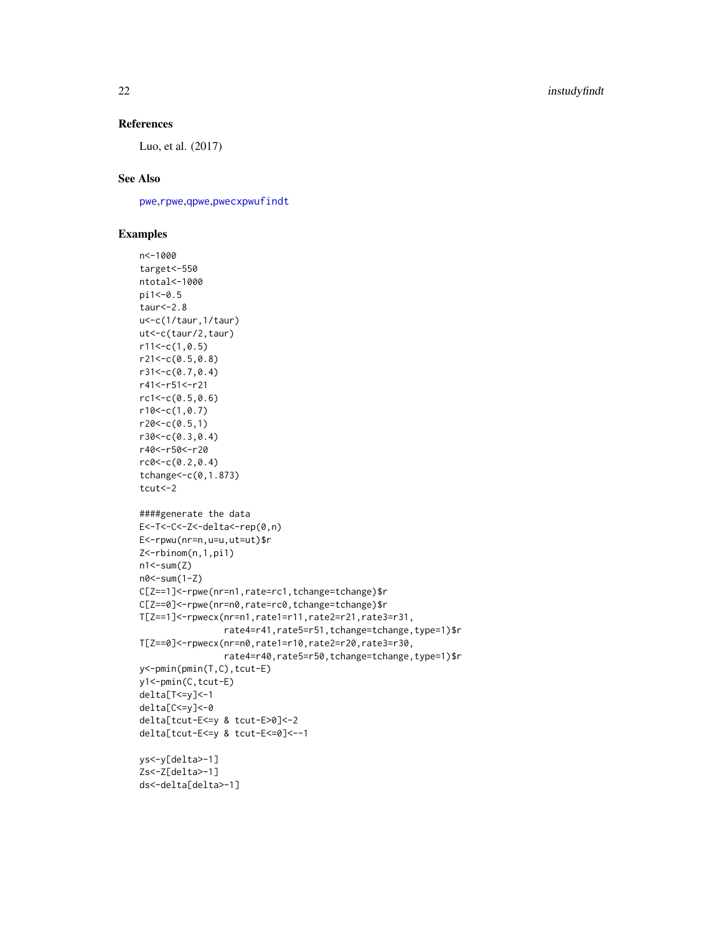# References

Luo, et al. (2017)

# See Also

[pwe](#page-35-1),[rpwe](#page-77-1),[qpwe](#page-62-1),[pwecxpwufindt](#page-41-1)

# Examples

```
n<-1000
target<-550
ntotal<-1000
pi1<-0.5
taur<-2.8
u<-c(1/taur,1/taur)
ut<-c(taur/2,taur)
r11<-c(1,0.5)
r21<-c(0.5,0.8)
r31<-c(0.7,0.4)
r41<-r51<-r21
rc1 < -c(0.5, 0.6)r10<-c(1,0.7)r20<-c(0.5,1)r30<-c(0.3,0.4)
r40<-r50<-r20
rc0 < -c(0.2, 0.4)tchange<-c(0,1.873)
tcut<-2
####generate the data
E<-T<-C<-Z<-delta<-rep(0,n)
E<-rpwu(nr=n,u=u,ut=ut)$r
Z<-rbinom(n,1,pi1)
n1 < -sum(Z)n0<-sum(1-Z)
C[Z==1]<-rpwe(nr=n1,rate=rc1,tchange=tchange)$r
C[Z==0]<-rpwe(nr=n0,rate=rc0,tchange=tchange)$r
T[Z==1]<-rpwecx(nr=n1,rate1=r11,rate2=r21,rate3=r31,
                rate4=r41,rate5=r51,tchange=tchange,type=1)$r
T[Z==0]<-rpwecx(nr=n0,rate1=r10,rate2=r20,rate3=r30,
                rate4=r40,rate5=r50,tchange=tchange,type=1)$r
y<-pmin(pmin(T,C),tcut-E)
y1<-pmin(C,tcut-E)
delta[T<=y]<-1
delta[C<=y]<-0
delta[tcut-E<=y & tcut-E>0]<-2
delta[tcut-E<=y & tcut-E<=0]<--1
ys<-y[delta>-1]
Zs<-Z[delta>-1]
ds<-delta[delta>-1]
```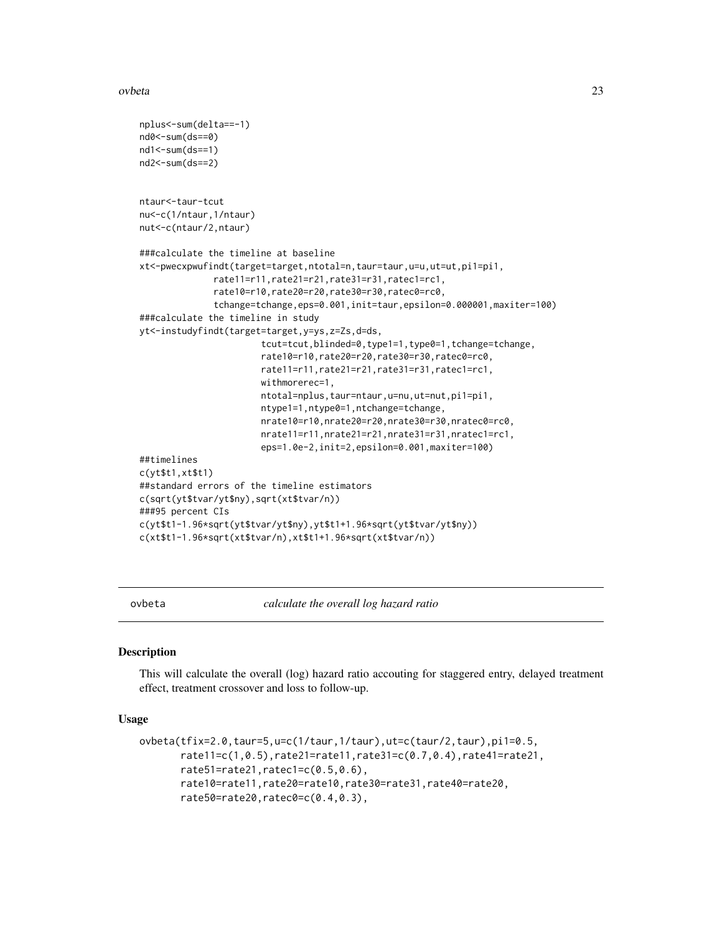#### <span id="page-22-0"></span>ovbeta 23

```
nplus<-sum(delta==-1)
nd0 < - sum (ds = = 0)
nd1<-sum(ds==1)
nd2<-sum(ds==2)
ntaur<-taur-tcut
nu<-c(1/ntaur,1/ntaur)
nut<-c(ntaur/2,ntaur)
###calculate the timeline at baseline
xt<-pwecxpwufindt(target=target,ntotal=n,taur=taur,u=u,ut=ut,pi1=pi1,
              rate11=r11,rate21=r21,rate31=r31,ratec1=rc1,
              rate10=r10,rate20=r20,rate30=r30,ratec0=rc0,
              tchange=tchange,eps=0.001,init=taur,epsilon=0.000001,maxiter=100)
###calculate the timeline in study
yt<-instudyfindt(target=target,y=ys,z=Zs,d=ds,
                       tcut=tcut,blinded=0,type1=1,type0=1,tchange=tchange,
                       rate10=r10,rate20=r20,rate30=r30,ratec0=rc0,
                       rate11=r11,rate21=r21,rate31=r31,ratec1=rc1,
                       withmorerec=1,
                       ntotal=nplus,taur=ntaur,u=nu,ut=nut,pi1=pi1,
                       ntype1=1,ntype0=1,ntchange=tchange,
                       nrate10=r10,nrate20=r20,nrate30=r30,nratec0=rc0,
                       nrate11=r11,nrate21=r21,nrate31=r31,nratec1=rc1,
                       eps=1.0e-2,init=2,epsilon=0.001,maxiter=100)
##timelines
c(yt$t1,xt$t1)
##standard errors of the timeline estimators
c(sqrt(yt$tvar/yt$ny),sqrt(xt$tvar/n))
###95 percent CIs
c(yt$t1-1.96*sqrt(yt$tvar/yt$ny),yt$t1+1.96*sqrt(yt$tvar/yt$ny))
c(xt$t1-1.96*sqrt(xt$tvar/n),xt$t1+1.96*sqrt(xt$tvar/n))
```
<span id="page-22-1"></span>

ovbeta *calculate the overall log hazard ratio*

#### Description

This will calculate the overall (log) hazard ratio accouting for staggered entry, delayed treatment effect, treatment crossover and loss to follow-up.

#### Usage

```
ovbeta(tfix=2.0,taur=5,u=c(1/taur,1/taur),ut=c(taur/2,taur),pi1=0.5,
       rate11=c(1,0.5),rate21=rate11,rate31=c(0.7,0.4),rate41=rate21,
       rate51=rate21,ratec1=c(0.5,0.6),
       rate10=rate11,rate20=rate10,rate30=rate31,rate40=rate20,
       rate50=rate20,ratec0=c(0.4,0.3),
```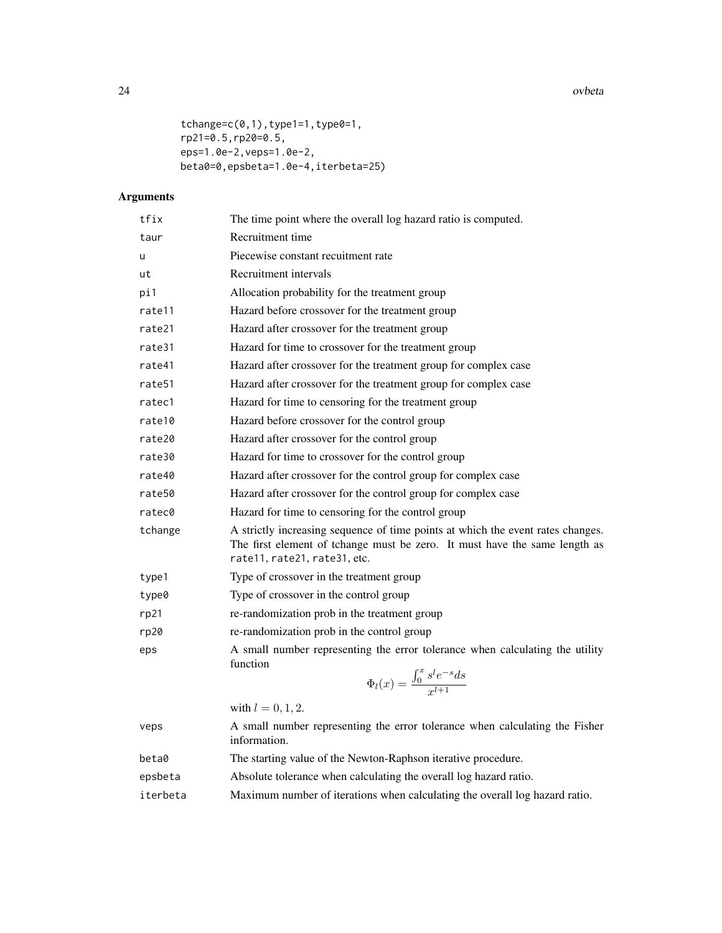24 ovbeta

```
tchange=c(0,1),type1=1,type0=1,
rp21=0.5,rp20=0.5,
eps=1.0e-2,veps=1.0e-2,
beta0=0,epsbeta=1.0e-4,iterbeta=25)
```

| tfix     | The time point where the overall log hazard ratio is computed.                                                                                                                                |
|----------|-----------------------------------------------------------------------------------------------------------------------------------------------------------------------------------------------|
| taur     | Recruitment time                                                                                                                                                                              |
| u        | Piecewise constant recuitment rate                                                                                                                                                            |
| ut       | Recruitment intervals                                                                                                                                                                         |
| pi1      | Allocation probability for the treatment group                                                                                                                                                |
| rate11   | Hazard before crossover for the treatment group                                                                                                                                               |
| rate21   | Hazard after crossover for the treatment group                                                                                                                                                |
| rate31   | Hazard for time to crossover for the treatment group                                                                                                                                          |
| rate41   | Hazard after crossover for the treatment group for complex case                                                                                                                               |
| rate51   | Hazard after crossover for the treatment group for complex case                                                                                                                               |
| ratec1   | Hazard for time to censoring for the treatment group                                                                                                                                          |
| rate10   | Hazard before crossover for the control group                                                                                                                                                 |
| rate20   | Hazard after crossover for the control group                                                                                                                                                  |
| rate30   | Hazard for time to crossover for the control group                                                                                                                                            |
| rate40   | Hazard after crossover for the control group for complex case                                                                                                                                 |
| rate50   | Hazard after crossover for the control group for complex case                                                                                                                                 |
| ratec0   | Hazard for time to censoring for the control group                                                                                                                                            |
| tchange  | A strictly increasing sequence of time points at which the event rates changes.<br>The first element of tchange must be zero. It must have the same length as<br>rate11, rate21, rate31, etc. |
| type1    | Type of crossover in the treatment group                                                                                                                                                      |
| type0    | Type of crossover in the control group                                                                                                                                                        |
| rp21     | re-randomization prob in the treatment group                                                                                                                                                  |
| rp20     | re-randomization prob in the control group                                                                                                                                                    |
| eps      | A small number representing the error tolerance when calculating the utility<br>function                                                                                                      |
|          | $\Phi_l(x) = \frac{\int_0^x s^l e^{-s} ds}{x^{l+1}}$                                                                                                                                          |
|          | with $l = 0, 1, 2$ .                                                                                                                                                                          |
| veps     | A small number representing the error tolerance when calculating the Fisher<br>information.                                                                                                   |
| beta0    | The starting value of the Newton-Raphson iterative procedure.                                                                                                                                 |
| epsbeta  | Absolute tolerance when calculating the overall log hazard ratio.                                                                                                                             |
| iterbeta | Maximum number of iterations when calculating the overall log hazard ratio.                                                                                                                   |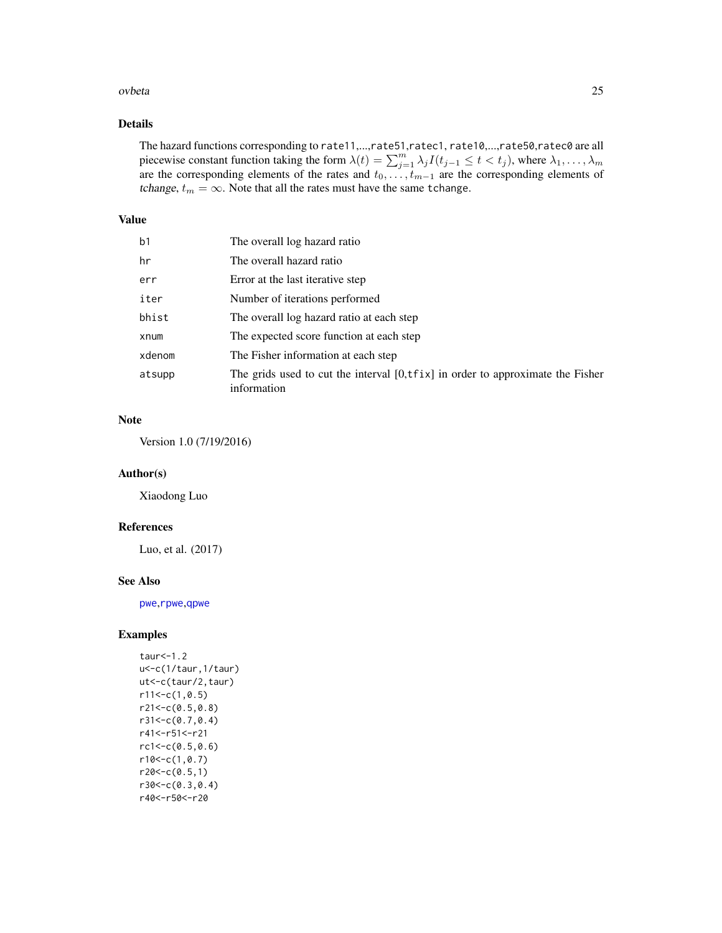#### ovbeta 25

# Details

The hazard functions corresponding to rate11,...,rate51,ratec1, rate10,...,rate50,ratec0 are all piecewise constant function taking the form  $\lambda(t) = \sum_{j=1}^{m} \lambda_j I(t_{j-1} \leq t < t_j)$ , where  $\lambda_1, \dots, \lambda_m$ are the corresponding elements of the rates and  $t_0, \ldots, t_{m-1}$  are the corresponding elements of tchange,  $t_m = \infty$ . Note that all the rates must have the same tchange.

# Value

| b1     | The overall log hazard ratio                                                                            |
|--------|---------------------------------------------------------------------------------------------------------|
| hr     | The overall hazard ratio                                                                                |
| err    | Error at the last iterative step                                                                        |
| iter   | Number of iterations performed                                                                          |
| bhist  | The overall log hazard ratio at each step                                                               |
| xnum   | The expected score function at each step                                                                |
| xdenom | The Fisher information at each step                                                                     |
| atsupp | The grids used to cut the interval $[0, \text{tfix}]$ in order to approximate the Fisher<br>information |

# Note

Version 1.0 (7/19/2016)

# Author(s)

Xiaodong Luo

# References

Luo, et al. (2017)

## See Also

[pwe](#page-35-1),[rpwe](#page-77-1),[qpwe](#page-62-1)

# Examples

```
taur<-1.2
u<-c(1/taur,1/taur)
ut<-c(taur/2,taur)
r11<-c(1,0.5)r21<-c(0.5,0.8)
r31<-c(0.7,0.4)
r41<-r51<-r21
rc1<-c(0.5,0.6)
r10<-c(1,0.7)r20 < -c(0.5,1)r30<-c(0.3,0.4)
r40<-r50<-r20
```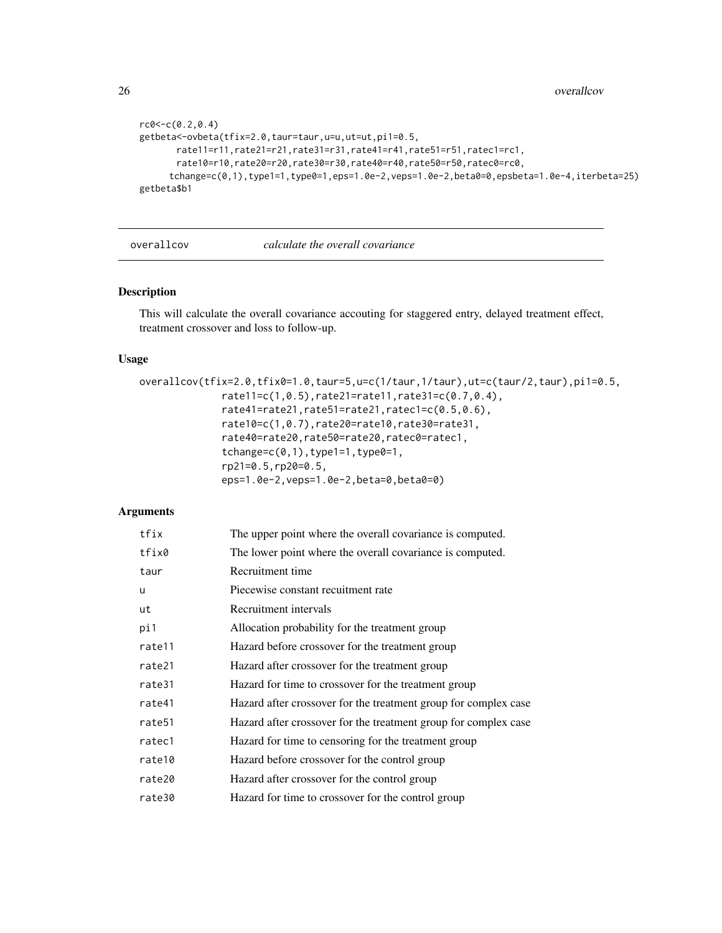```
rc0 < -c(0.2, 0.4)getbeta<-ovbeta(tfix=2.0,taur=taur,u=u,ut=ut,pi1=0.5,
      rate11=r11,rate21=r21,rate31=r31,rate41=r41,rate51=r51,ratec1=rc1,
      rate10=r10,rate20=r20,rate30=r30,rate40=r40,rate50=r50,ratec0=rc0,
     tchange=c(0,1),type1=1,type0=1,eps=1.0e-2,veps=1.0e-2,beta0=0,epsbeta=1.0e-4,iterbeta=25)
getbeta$b1
```
#### overallcov *calculate the overall covariance*

# Description

This will calculate the overall covariance accouting for staggered entry, delayed treatment effect, treatment crossover and loss to follow-up.

# Usage

```
overallcov(tfix=2.0,tfix0=1.0,taur=5,u=c(1/taur,1/taur),ut=c(taur/2,taur),pi1=0.5,
              rate11=c(1,0.5),rate21=rate11,rate31=c(0.7,0.4),
              rate41=rate21,rate51=rate21,ratec1=c(0.5,0.6),
              rate10=c(1,0.7),rate20=rate10,rate30=rate31,
              rate40=rate20,rate50=rate20,ratec0=ratec1,
              tchange=c(0,1), type1=1, type0=1,
              rp21=0.5,rp20=0.5,
              eps=1.0e-2,veps=1.0e-2,beta=0,beta0=0)
```

| tfix   | The upper point where the overall covariance is computed.       |
|--------|-----------------------------------------------------------------|
| tfix0  | The lower point where the overall covariance is computed.       |
| taur   | Recruitment time                                                |
| u      | Piecewise constant recuitment rate                              |
| ut     | Recruitment intervals                                           |
| pi1    | Allocation probability for the treatment group                  |
| rate11 | Hazard before crossover for the treatment group                 |
| rate21 | Hazard after crossover for the treatment group                  |
| rate31 | Hazard for time to crossover for the treatment group            |
| rate41 | Hazard after crossover for the treatment group for complex case |
| rate51 | Hazard after crossover for the treatment group for complex case |
| ratec1 | Hazard for time to censoring for the treatment group            |
| rate10 | Hazard before crossover for the control group                   |
| rate20 | Hazard after crossover for the control group                    |
| rate30 | Hazard for time to crossover for the control group              |

<span id="page-25-0"></span>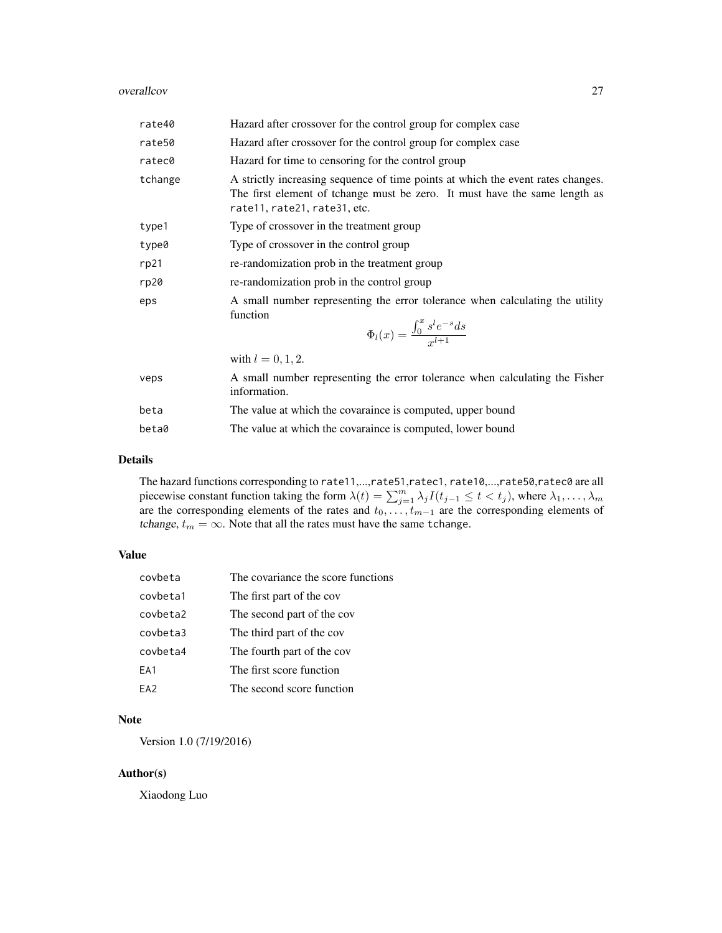#### overallcov 27

| rate40  | Hazard after crossover for the control group for complex case                                                                                                                                 |
|---------|-----------------------------------------------------------------------------------------------------------------------------------------------------------------------------------------------|
| rate50  | Hazard after crossover for the control group for complex case                                                                                                                                 |
| ratec0  | Hazard for time to censoring for the control group                                                                                                                                            |
| tchange | A strictly increasing sequence of time points at which the event rates changes.<br>The first element of tchange must be zero. It must have the same length as<br>rate11, rate21, rate31, etc. |
| type1   | Type of crossover in the treatment group                                                                                                                                                      |
| type0   | Type of crossover in the control group                                                                                                                                                        |
| rp21    | re-randomization prob in the treatment group                                                                                                                                                  |
| rp20    | re-randomization prob in the control group                                                                                                                                                    |
| eps     | A small number representing the error tolerance when calculating the utility<br>function<br>$\Phi_l(x) = \frac{\int_0^x s^l e^{-s} ds}{x^{l+1}}$                                              |
|         | with $l = 0, 1, 2$ .                                                                                                                                                                          |
| veps    | A small number representing the error tolerance when calculating the Fisher<br>information.                                                                                                   |
| beta    | The value at which the covaraince is computed, upper bound                                                                                                                                    |
| beta0   | The value at which the covaraince is computed, lower bound                                                                                                                                    |

# Details

The hazard functions corresponding to rate11,...,rate51,ratec1, rate10,...,rate50,ratec0 are all piecewise constant function taking the form  $\lambda(t) = \sum_{j=1}^{m} \lambda_j I(t_{j-1} \leq t < t_j)$ , where  $\lambda_1, \dots, \lambda_m$ are the corresponding elements of the rates and  $t_0, \ldots, t_{m-1}$  are the corresponding elements of tchange,  $t_m = \infty$ . Note that all the rates must have the same tchange.

# Value

| covbeta         | The covariance the score functions |
|-----------------|------------------------------------|
| covbeta1        | The first part of the cov          |
| covbeta2        | The second part of the cov         |
| covbeta3        | The third part of the cov          |
| covbeta4        | The fourth part of the cov         |
| EA1             | The first score function           |
| FA <sub>2</sub> | The second score function          |

# Note

Version 1.0 (7/19/2016)

# Author(s)

Xiaodong Luo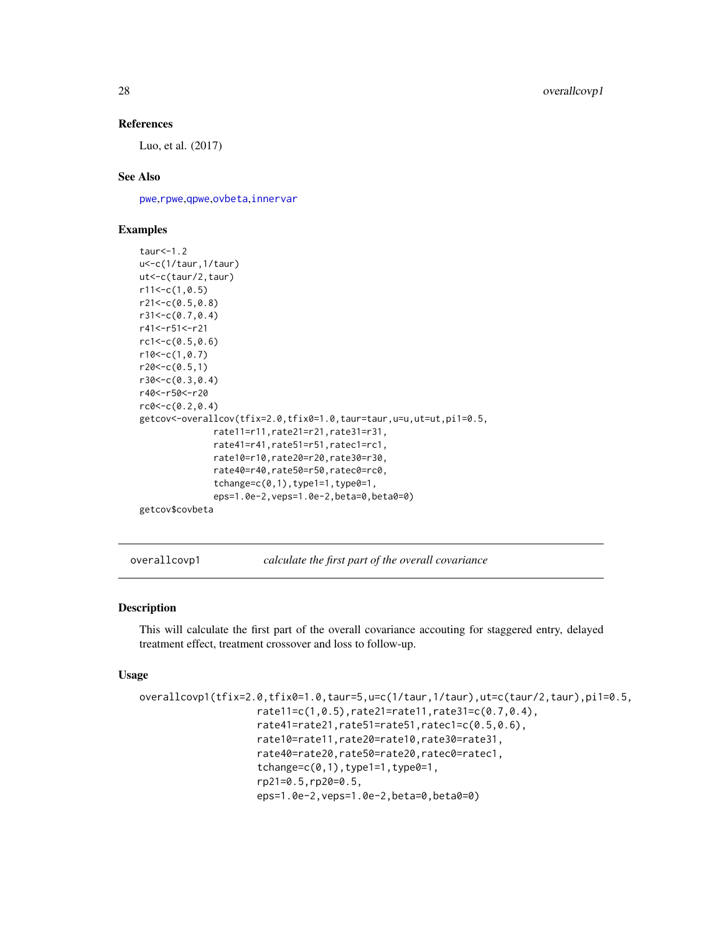#### References

Luo, et al. (2017)

# See Also

[pwe](#page-35-1),[rpwe](#page-77-1),[qpwe](#page-62-1),[ovbeta](#page-22-1),[innervar](#page-15-1)

#### Examples

```
taur<-1.2
u<-c(1/taur,1/taur)
ut<-c(taur/2,taur)
r11<-c(1,0.5)r21<-c(0.5,0.8)
r31<-c(0.7,0.4)
r41<-r51<-r21
rc1<-c(0.5,0.6)
r10<-c(1, 0.7)r20<-c(0.5,1)r30<-c(0.3,0.4)
r40<-r50<-r20
rc0 < -c(0.2, 0.4)getcov<-overallcov(tfix=2.0,tfix0=1.0,taur=taur,u=u,ut=ut,pi1=0.5,
              rate11=r11,rate21=r21,rate31=r31,
              rate41=r41,rate51=r51,ratec1=rc1,
              rate10=r10,rate20=r20,rate30=r30,
              rate40=r40,rate50=r50,ratec0=rc0,
              tchange=c(0,1),type1=1,type0=1,eps=1.0e-2,veps=1.0e-2,beta=0,beta0=0)
getcov$covbeta
```
overallcovp1 *calculate the first part of the overall covariance*

#### Description

This will calculate the first part of the overall covariance accouting for staggered entry, delayed treatment effect, treatment crossover and loss to follow-up.

#### Usage

```
overallcovp1(tfix=2.0,tfix0=1.0,taur=5,u=c(1/taur,1/taur),ut=c(taur/2,taur),pi1=0.5,
                    rate11=c(1,0.5),rate21=rate11,rate31=c(0.7,0.4),
                    rate41=rate21,rate51=rate51,ratec1=c(0.5,0.6),
                    rate10=rate11,rate20=rate10,rate30=rate31,
                    rate40=rate20,rate50=rate20,ratec0=ratec1,
                    tchange=c(0,1), type1=1, type0=1,
                    rp21=0.5,rp20=0.5,
                    eps=1.0e-2,veps=1.0e-2,beta=0,beta0=0)
```
<span id="page-27-0"></span>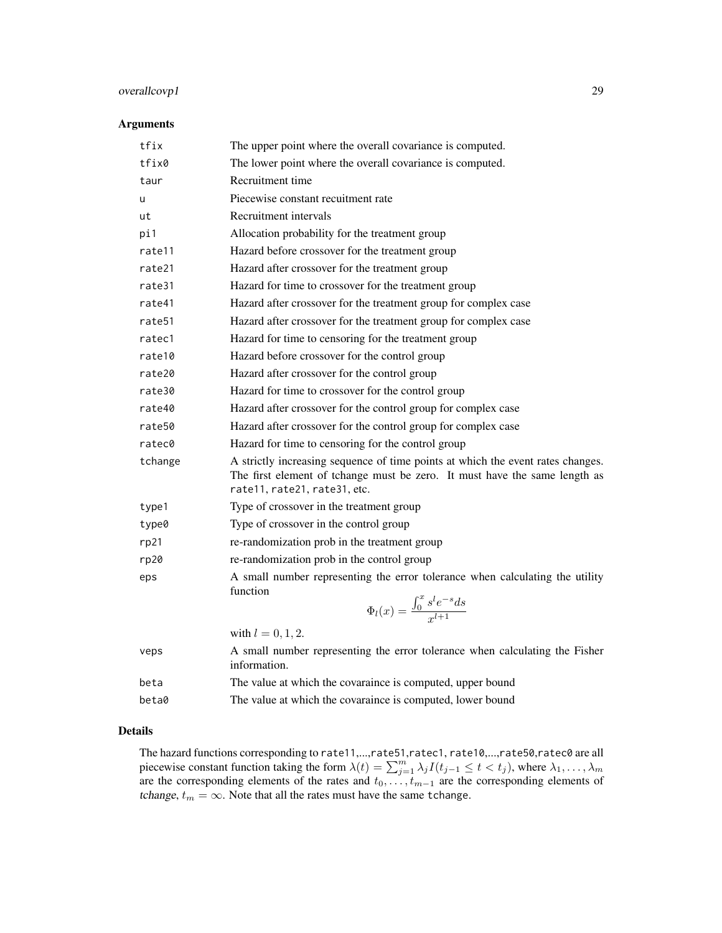# overallcovp1 29

## Arguments

| The upper point where the overall covariance is computed.                                                                                                                                     |
|-----------------------------------------------------------------------------------------------------------------------------------------------------------------------------------------------|
| The lower point where the overall covariance is computed.                                                                                                                                     |
| Recruitment time                                                                                                                                                                              |
| Piecewise constant recuitment rate                                                                                                                                                            |
| Recruitment intervals                                                                                                                                                                         |
| Allocation probability for the treatment group                                                                                                                                                |
| Hazard before crossover for the treatment group                                                                                                                                               |
| Hazard after crossover for the treatment group                                                                                                                                                |
| Hazard for time to crossover for the treatment group                                                                                                                                          |
| Hazard after crossover for the treatment group for complex case                                                                                                                               |
| Hazard after crossover for the treatment group for complex case                                                                                                                               |
| Hazard for time to censoring for the treatment group                                                                                                                                          |
| Hazard before crossover for the control group                                                                                                                                                 |
| Hazard after crossover for the control group                                                                                                                                                  |
| Hazard for time to crossover for the control group                                                                                                                                            |
| Hazard after crossover for the control group for complex case                                                                                                                                 |
| Hazard after crossover for the control group for complex case                                                                                                                                 |
| Hazard for time to censoring for the control group                                                                                                                                            |
| A strictly increasing sequence of time points at which the event rates changes.<br>The first element of tchange must be zero. It must have the same length as<br>rate11, rate21, rate31, etc. |
| Type of crossover in the treatment group                                                                                                                                                      |
| Type of crossover in the control group                                                                                                                                                        |
| re-randomization prob in the treatment group                                                                                                                                                  |
| re-randomization prob in the control group                                                                                                                                                    |
| A small number representing the error tolerance when calculating the utility<br>function<br>$\Phi_l(x) = \frac{\int_0^x s^l e^{-s} ds}{r^{l+1}}$                                              |
| with $l = 0, 1, 2$ .                                                                                                                                                                          |
| A small number representing the error tolerance when calculating the Fisher<br>information.                                                                                                   |
| The value at which the covaraince is computed, upper bound                                                                                                                                    |
| The value at which the covaraince is computed, lower bound                                                                                                                                    |
|                                                                                                                                                                                               |

# Details

The hazard functions corresponding to rate11,...,rate51,ratec1, rate10,...,rate50,ratec0 are all piecewise constant function taking the form  $\lambda(t) = \sum_{j=1}^{m} \lambda_j I(t_{j-1} \leq t < t_j)$ , where  $\lambda_1, \dots, \lambda_m$ are the corresponding elements of the rates and  $t_0, \ldots, t_{m-1}$  are the corresponding elements of tchange,  $t_m = \infty$ . Note that all the rates must have the same tchange.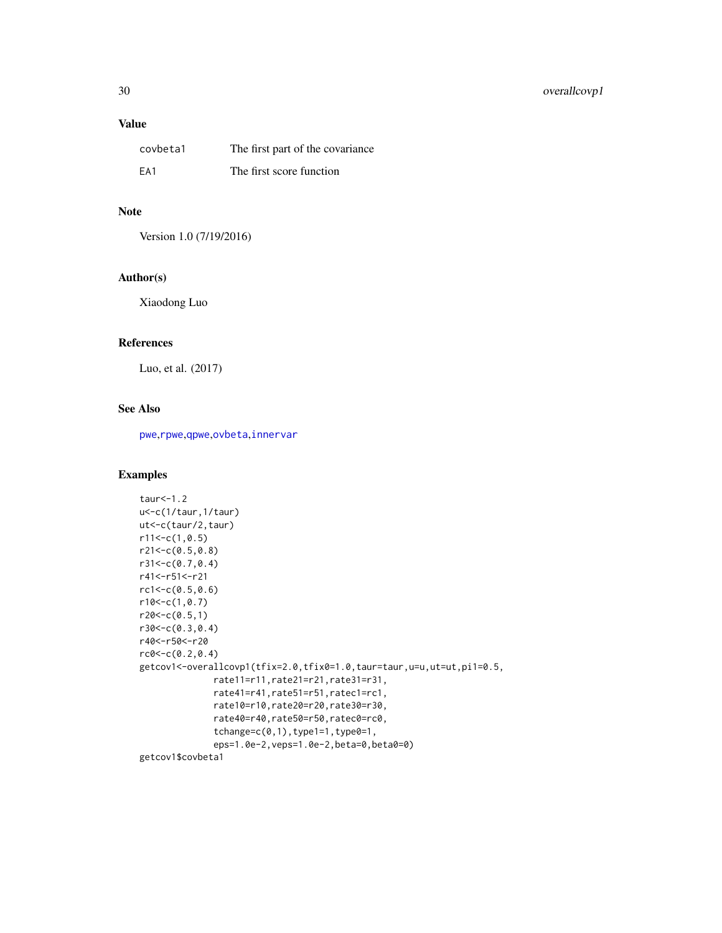# Value

| covbeta1 | The first part of the covariance |
|----------|----------------------------------|
| FA1      | The first score function         |

#### Note

Version 1.0 (7/19/2016)

# Author(s)

Xiaodong Luo

# References

Luo, et al. (2017)

# See Also

[pwe](#page-35-1),[rpwe](#page-77-1),[qpwe](#page-62-1),[ovbeta](#page-22-1),[innervar](#page-15-1)

# Examples

```
taur<-1.2
u<-c(1/taur,1/taur)
ut<-c(taur/2,taur)
r11<-c(1,0.5)r21<-c(0.5,0.8)
r31<-c(0.7,0.4)
r41<-r51<-r21
rc1<-c(0.5,0.6)
r10<-c(1,0.7)
r20<-c(0.5,1)r30<-c(0.3,0.4)
r40<-r50<-r20
rc0<-c(0.2,0.4)
getcov1<-overallcovp1(tfix=2.0,tfix0=1.0,taur=taur,u=u,ut=ut,pi1=0.5,
              rate11=r11,rate21=r21,rate31=r31,
              rate41=r41,rate51=r51,ratec1=rc1,
              rate10=r10,rate20=r20,rate30=r30,
              rate40=r40,rate50=r50,ratec0=rc0,
              tchange=c(0,1),type1=1,type0=1,
              eps=1.0e-2,veps=1.0e-2,beta=0,beta0=0)
getcov1$covbeta1
```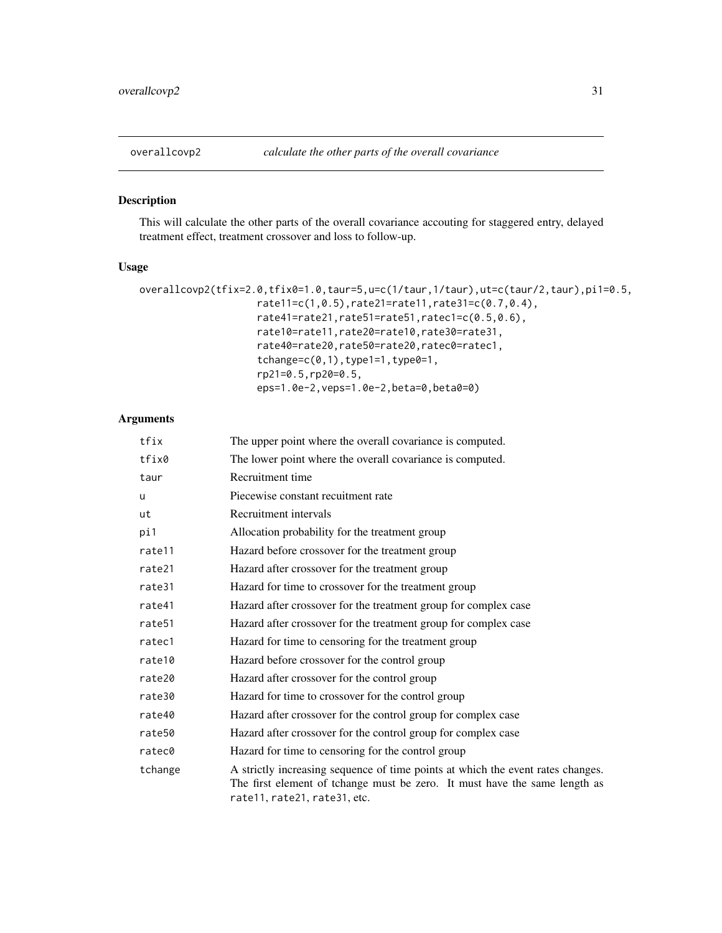# <span id="page-30-0"></span>Description

This will calculate the other parts of the overall covariance accouting for staggered entry, delayed treatment effect, treatment crossover and loss to follow-up.

#### Usage

```
overallcovp2(tfix=2.0,tfix0=1.0,taur=5,u=c(1/taur,1/taur),ut=c(taur/2,taur),pi1=0.5,
                    rate11=c(1,0.5),rate21=rate11,rate31=c(0.7,0.4),
                    rate41=rate21,rate51=rate51,ratec1=c(0.5,0.6),
                    rate10=rate11,rate20=rate10,rate30=rate31,
                    rate40=rate20,rate50=rate20,ratec0=ratec1,
                    tchange=c(0,1), type1=1, type0=1,
                    rp21=0.5,rp20=0.5,
                    eps=1.0e-2,veps=1.0e-2,beta=0,beta0=0)
```

| tfix               | The upper point where the overall covariance is computed.                                                                                                                                     |
|--------------------|-----------------------------------------------------------------------------------------------------------------------------------------------------------------------------------------------|
| tfix0              | The lower point where the overall covariance is computed.                                                                                                                                     |
| taur               | Recruitment time                                                                                                                                                                              |
| u                  | Piecewise constant recuitment rate                                                                                                                                                            |
| ut                 | Recruitment intervals                                                                                                                                                                         |
| pi1                | Allocation probability for the treatment group                                                                                                                                                |
| rate11             | Hazard before crossover for the treatment group                                                                                                                                               |
| rate21             | Hazard after crossover for the treatment group                                                                                                                                                |
| rate31             | Hazard for time to crossover for the treatment group                                                                                                                                          |
| rate41             | Hazard after crossover for the treatment group for complex case                                                                                                                               |
| rate <sub>51</sub> | Hazard after crossover for the treatment group for complex case                                                                                                                               |
| ratec1             | Hazard for time to censoring for the treatment group                                                                                                                                          |
| rate10             | Hazard before crossover for the control group                                                                                                                                                 |
| rate20             | Hazard after crossover for the control group                                                                                                                                                  |
| rate30             | Hazard for time to crossover for the control group                                                                                                                                            |
| rate40             | Hazard after crossover for the control group for complex case                                                                                                                                 |
| rate50             | Hazard after crossover for the control group for complex case                                                                                                                                 |
| ratec0             | Hazard for time to censoring for the control group                                                                                                                                            |
| tchange            | A strictly increasing sequence of time points at which the event rates changes.<br>The first element of tchange must be zero. It must have the same length as<br>rate11, rate21, rate31, etc. |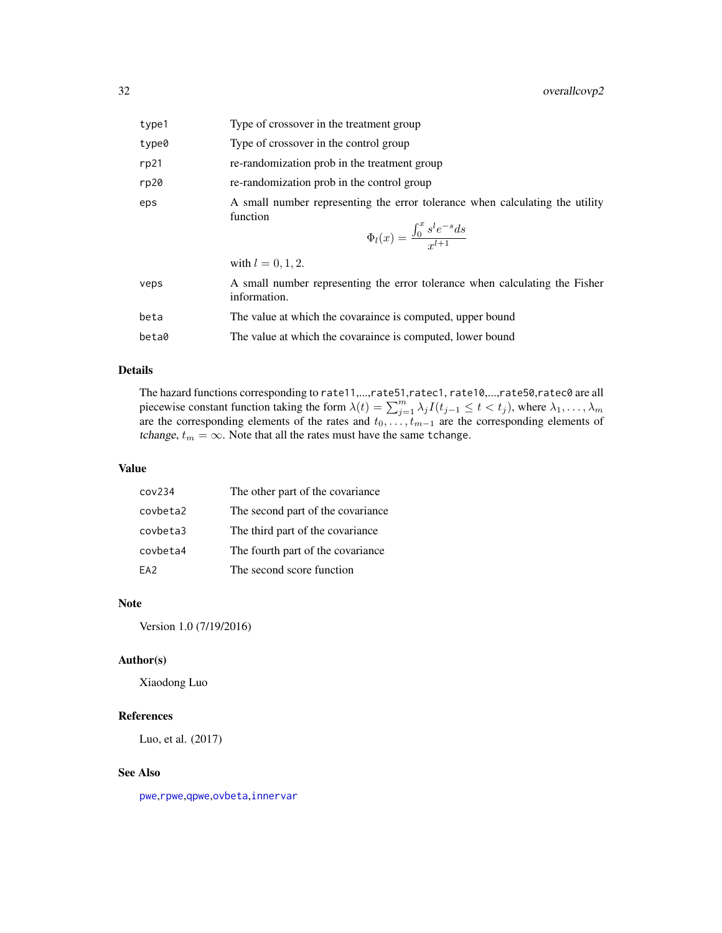| type1 | Type of crossover in the treatment group                                                                                                         |
|-------|--------------------------------------------------------------------------------------------------------------------------------------------------|
| type0 | Type of crossover in the control group                                                                                                           |
| rp21  | re-randomization prob in the treatment group                                                                                                     |
| rp20  | re-randomization prob in the control group                                                                                                       |
| eps   | A small number representing the error tolerance when calculating the utility<br>function<br>$\Phi_l(x) = \frac{\int_0^x s^l e^{-s} ds}{r^{l+1}}$ |
|       | with $l = 0, 1, 2$ .                                                                                                                             |
| veps  | A small number representing the error tolerance when calculating the Fisher<br>information.                                                      |
| beta  | The value at which the covaraince is computed, upper bound                                                                                       |
| beta0 | The value at which the covaraince is computed, lower bound                                                                                       |

#### Details

The hazard functions corresponding to rate11,...,rate51,ratec1, rate10,...,rate50,ratec0 are all piecewise constant function taking the form  $\lambda(t) = \sum_{j=1}^{m} \lambda_j I(t_{j-1} \leq t < t_j)$ , where  $\lambda_1, \dots, \lambda_m$ are the corresponding elements of the rates and  $t_0, \ldots, t_{m-1}$  are the corresponding elements of tchange,  $t_m = \infty$ . Note that all the rates must have the same tchange.

#### Value

| cov <sub>234</sub> | The other part of the covariance  |
|--------------------|-----------------------------------|
| covbeta2           | The second part of the covariance |
| covbeta3           | The third part of the covariance  |
| covbeta4           | The fourth part of the covariance |
| FA <sub>2</sub>    | The second score function         |

# Note

Version 1.0 (7/19/2016)

# Author(s)

Xiaodong Luo

# References

Luo, et al. (2017)

# See Also

[pwe](#page-35-1),[rpwe](#page-77-1),[qpwe](#page-62-1),[ovbeta](#page-22-1),[innervar](#page-15-1)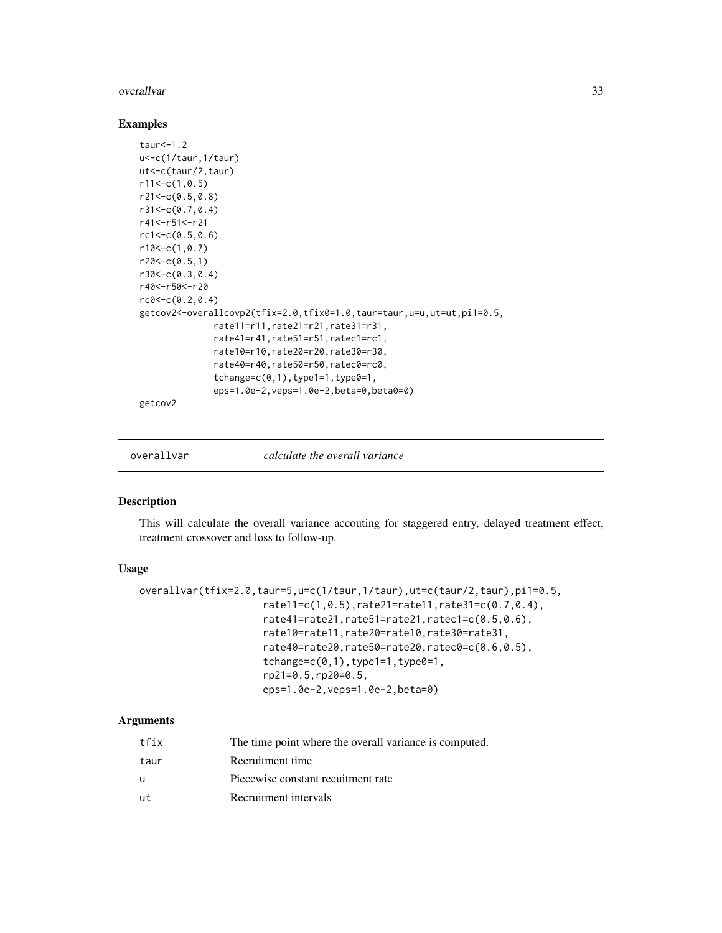#### <span id="page-32-0"></span>overallvar 33

#### Examples

```
taur<-1.2
u<-c(1/taur,1/taur)
ut<-c(taur/2,taur)
r11<-c(1,0.5)r21<-c(0.5,0.8)
r31<-c(0.7,0.4)
r41<-r51<-r21
rc1<-c(0.5,0.6)
r10<-c(1, 0.7)r20<-c(0.5,1)r30<-c(0.3,0.4)
r40<-r50<-r20
rc0 < -c(0.2, 0.4)getcov2<-overallcovp2(tfix=2.0,tfix0=1.0,taur=taur,u=u,ut=ut,pi1=0.5,
              rate11=r11,rate21=r21,rate31=r31,
              rate41=r41,rate51=r51,ratec1=rc1,
              rate10=r10,rate20=r20,rate30=r30,
              rate40=r40,rate50=r50,ratec0=rc0,
              tchange=c(0,1),type1=1,type0=1,eps=1.0e-2,veps=1.0e-2,beta=0,beta0=0)
getcov2
```
overallvar *calculate the overall variance*

#### Description

This will calculate the overall variance accouting for staggered entry, delayed treatment effect, treatment crossover and loss to follow-up.

# Usage

```
overallvar(tfix=2.0,taur=5,u=c(1/taur,1/taur),ut=c(taur/2,taur),pi1=0.5,
                     rate11=c(1,0.5),rate21=rate11,rate31=c(0.7,0.4),
                     rate41=rate21,rate51=rate21,ratec1=c(0.5,0.6),
                     rate10=rate11,rate20=rate10,rate30=rate31,
                     rate40=rate20,rate50=rate20,ratec0=c(0.6,0.5),
                     tchange=c(0,1), type1=1, type0=1,
                     rp21=0.5,rp20=0.5,
                     eps=1.0e-2,veps=1.0e-2,beta=0)
```

| tfix | The time point where the overall variance is computed. |
|------|--------------------------------------------------------|
| taur | Recruitment time                                       |
| u    | Piecewise constant recuitment rate                     |
| ut   | Recruitment intervals                                  |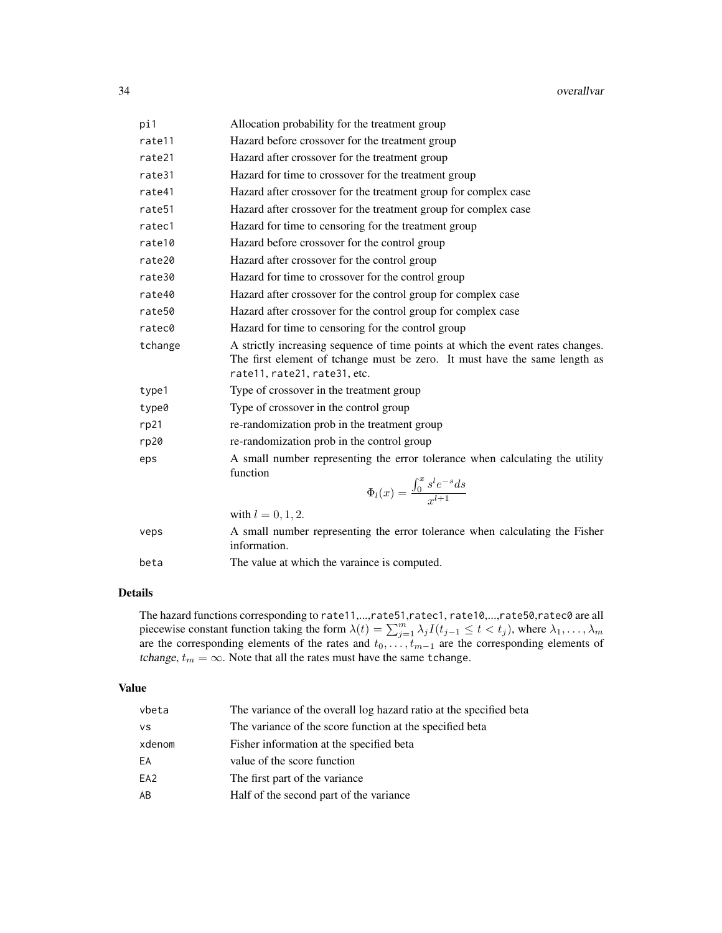| pi1     | Allocation probability for the treatment group                                                                                                                                                |
|---------|-----------------------------------------------------------------------------------------------------------------------------------------------------------------------------------------------|
| rate11  | Hazard before crossover for the treatment group                                                                                                                                               |
| rate21  | Hazard after crossover for the treatment group                                                                                                                                                |
| rate31  | Hazard for time to crossover for the treatment group                                                                                                                                          |
| rate41  | Hazard after crossover for the treatment group for complex case                                                                                                                               |
| rate51  | Hazard after crossover for the treatment group for complex case                                                                                                                               |
| ratec1  | Hazard for time to censoring for the treatment group                                                                                                                                          |
| rate10  | Hazard before crossover for the control group                                                                                                                                                 |
| rate20  | Hazard after crossover for the control group                                                                                                                                                  |
| rate30  | Hazard for time to crossover for the control group                                                                                                                                            |
| rate40  | Hazard after crossover for the control group for complex case                                                                                                                                 |
| rate50  | Hazard after crossover for the control group for complex case                                                                                                                                 |
| ratec0  | Hazard for time to censoring for the control group                                                                                                                                            |
| tchange | A strictly increasing sequence of time points at which the event rates changes.<br>The first element of tchange must be zero. It must have the same length as<br>rate11, rate21, rate31, etc. |
| type1   | Type of crossover in the treatment group                                                                                                                                                      |
| type0   | Type of crossover in the control group                                                                                                                                                        |
| rp21    | re-randomization prob in the treatment group                                                                                                                                                  |
| rp20    | re-randomization prob in the control group                                                                                                                                                    |
| eps     | A small number representing the error tolerance when calculating the utility<br>function<br>$\Phi_l(x) = \frac{\int_0^x s^l e^{-s} ds}{r^{l+1}}$                                              |
|         | with $l = 0, 1, 2$ .                                                                                                                                                                          |
| veps    | A small number representing the error tolerance when calculating the Fisher<br>information.                                                                                                   |
| beta    | The value at which the varaince is computed.                                                                                                                                                  |
|         |                                                                                                                                                                                               |

# Details

The hazard functions corresponding to rate11,...,rate51,ratec1, rate10,...,rate50,ratec0 are all piecewise constant function taking the form  $\lambda(t) = \sum_{j=1}^{m} \lambda_j I(t_{j-1} \leq t < t_j)$ , where  $\lambda_1, \dots, \lambda_m$ are the corresponding elements of the rates and  $t_0, \ldots, t_{m-1}$  are the corresponding elements of tchange,  $t_m = \infty$ . Note that all the rates must have the same tchange.

# Value

| vbeta           | The variance of the overall log hazard ratio at the specified beta |
|-----------------|--------------------------------------------------------------------|
| <b>VS</b>       | The variance of the score function at the specified beta           |
| xdenom          | Fisher information at the specified beta                           |
| EА              | value of the score function                                        |
| EA <sub>2</sub> | The first part of the variance.                                    |
| AΒ              | Half of the second part of the variance                            |
|                 |                                                                    |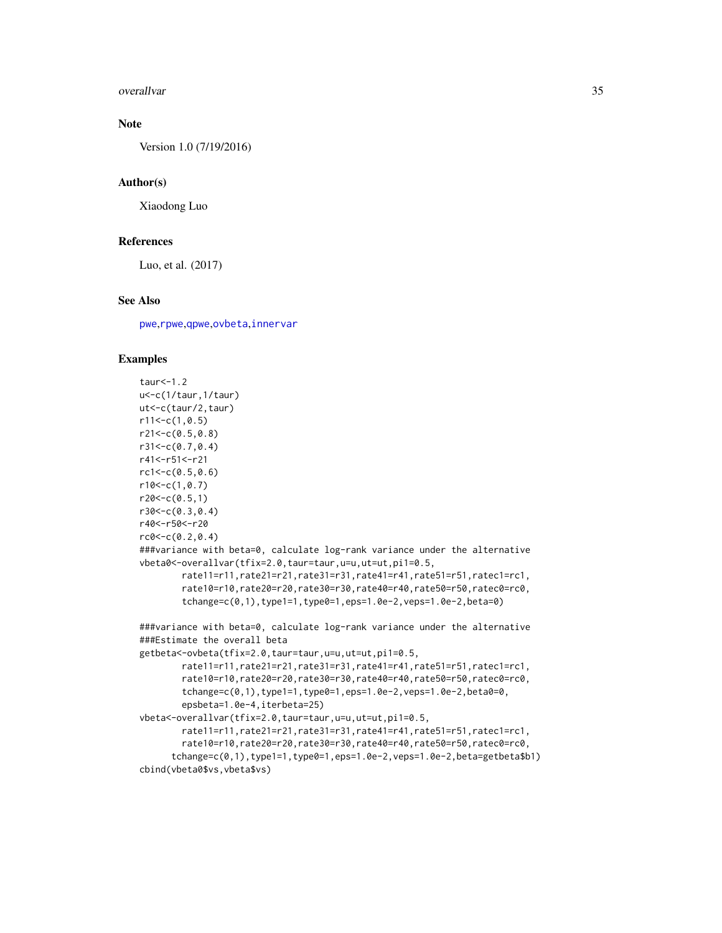overallvar 35

# Note

Version 1.0 (7/19/2016)

#### Author(s)

Xiaodong Luo

#### References

Luo, et al. (2017)

# See Also

[pwe](#page-35-1),[rpwe](#page-77-1),[qpwe](#page-62-1),[ovbeta](#page-22-1),[innervar](#page-15-1)

#### Examples

```
taur<-1.2
u<-c(1/taur,1/taur)
ut<-c(taur/2,taur)
r11<-c(1,0.5)r21<-c(0.5,0.8)
r31<-c(0.7,0.4)
r41<-r51<-r21
rc1<-c(0.5,0.6)
r10<-c(1,0.7)r20<-c(0.5,1)
r30<-c(0.3,0.4)
r40<-r50<-r20
rc0<-c(0.2,0.4)
###variance with beta=0, calculate log-rank variance under the alternative
vbeta0<-overallvar(tfix=2.0,taur=taur,u=u,ut=ut,pi1=0.5,
        rate11=r11,rate21=r21,rate31=r31,rate41=r41,rate51=r51,ratec1=rc1,
        rate10=r10,rate20=r20,rate30=r30,rate40=r40,rate50=r50,ratec0=rc0,
        tchange=c(0,1),type1=1,type0=1,eps=1.0e-2,veps=1.0e-2,beta=0)
###variance with beta=0, calculate log-rank variance under the alternative
###Estimate the overall beta
getbeta<-ovbeta(tfix=2.0,taur=taur,u=u,ut=ut,pi1=0.5,
        rate11=r11,rate21=r21,rate31=r31,rate41=r41,rate51=r51,ratec1=rc1,
        rate10=r10,rate20=r20,rate30=r30,rate40=r40,rate50=r50,ratec0=rc0,
        tchange=c(0,1),type1=1,type0=1,eps=1.0e-2,veps=1.0e-2,beta0=0,
        epsbeta=1.0e-4,iterbeta=25)
vbeta<-overallvar(tfix=2.0,taur=taur,u=u,ut=ut,pi1=0.5,
        rate11=r11,rate21=r21,rate31=r31,rate41=r41,rate51=r51,ratec1=rc1,
        rate10=r10,rate20=r20,rate30=r30,rate40=r40,rate50=r50,ratec0=rc0,
      tchange=c(0,1),type1=1,type0=1,eps=1.0e-2,veps=1.0e-2,beta=getbeta$b1)
cbind(vbeta0$vs,vbeta$vs)
```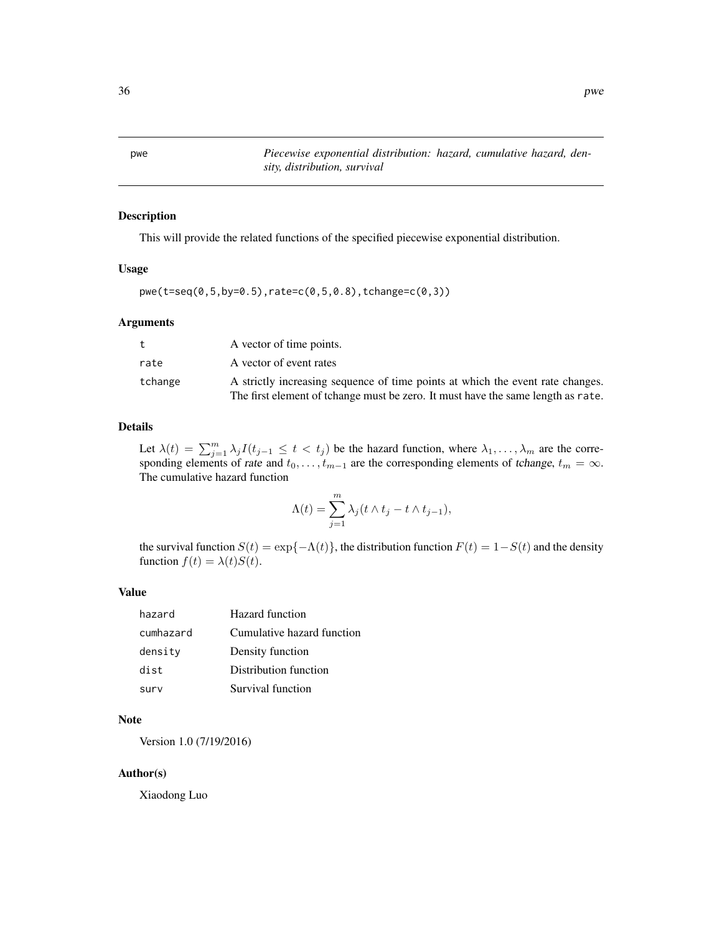<span id="page-35-1"></span><span id="page-35-0"></span>pwe *Piecewise exponential distribution: hazard, cumulative hazard, density, distribution, survival*

# Description

This will provide the related functions of the specified piecewise exponential distribution.

#### Usage

```
pwe(t=seq(0,5,by=0.5),rate=c(0,5,0.8),tchange=c(0,3))
```
#### Arguments

| t       | A vector of time points.                                                         |
|---------|----------------------------------------------------------------------------------|
| rate    | A vector of event rates                                                          |
| tchange | A strictly increasing sequence of time points at which the event rate changes.   |
|         | The first element of tchange must be zero. It must have the same length as rate. |

# Details

Let  $\lambda(t) = \sum_{j=1}^m \lambda_j I(t_{j-1} \le t < t_j)$  be the hazard function, where  $\lambda_1, \ldots, \lambda_m$  are the corresponding elements of rate and  $t_0, \ldots, t_{m-1}$  are the corresponding elements of tchange,  $t_m = \infty$ . The cumulative hazard function

$$
\Lambda(t) = \sum_{j=1}^{m} \lambda_j (t \wedge t_j - t \wedge t_{j-1}),
$$

the survival function  $S(t) = \exp{-\Lambda(t)}$ , the distribution function  $F(t) = 1 - S(t)$  and the density function  $f(t) = \lambda(t)S(t)$ .

#### Value

| hazard    | Hazard function            |
|-----------|----------------------------|
| cumhazard | Cumulative hazard function |
| density   | Density function           |
| dist      | Distribution function      |
| surv      | Survival function          |

# Note

Version 1.0 (7/19/2016)

# Author(s)

Xiaodong Luo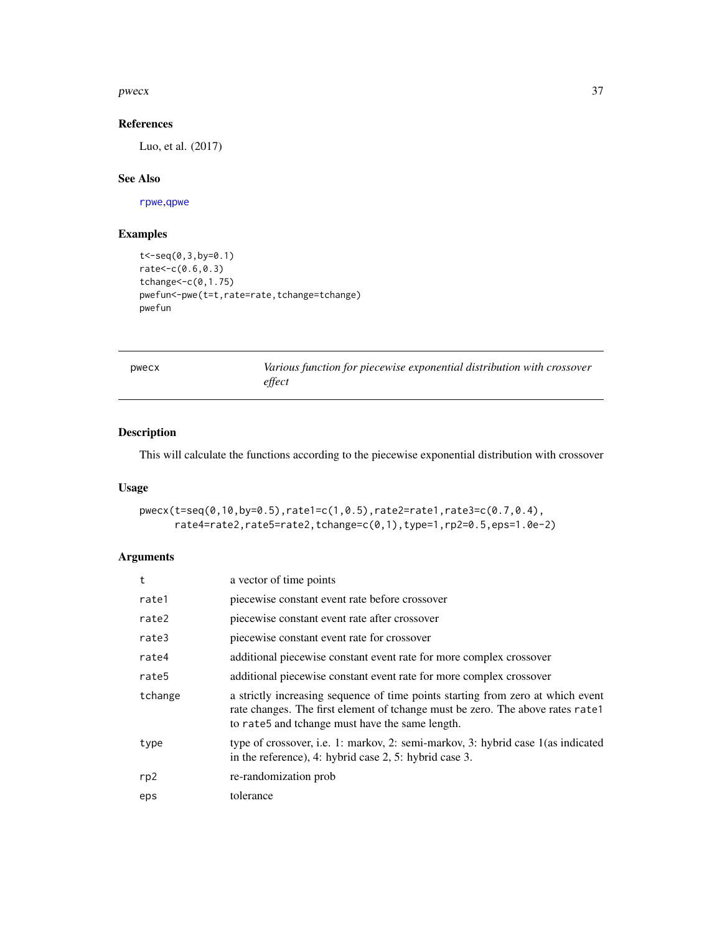### $pwecx$  37

## References

Luo, et al. (2017)

## See Also

[rpwe](#page-77-0),[qpwe](#page-62-0)

# Examples

```
t<-seq(0,3,by=0.1)
rate<-c(0.6,0.3)
tchange<-c(0,1.75)
pwefun<-pwe(t=t,rate=rate,tchange=tchange)
pwefun
```

|  |  | ۰, |  |
|--|--|----|--|

pwecx *Various function for piecewise exponential distribution with crossover effect*

## Description

This will calculate the functions according to the piecewise exponential distribution with crossover

### Usage

```
pwecx(t=seq(0,10,by=0.5),rate1=c(1,0.5),rate2=rate1,rate3=c(0.7,0.4),
     rate4=rate2,rate5=rate2,tchange=c(0,1),type=1,rp2=0.5,eps=1.0e-2)
```

| t       | a vector of time points                                                                                                                                                                                              |
|---------|----------------------------------------------------------------------------------------------------------------------------------------------------------------------------------------------------------------------|
| rate1   | piecewise constant event rate before crossover                                                                                                                                                                       |
| rate2   | piecewise constant event rate after crossover                                                                                                                                                                        |
| rate3   | piecewise constant event rate for crossover                                                                                                                                                                          |
| rate4   | additional piecewise constant event rate for more complex crossover                                                                                                                                                  |
| rate5   | additional piecewise constant event rate for more complex crossover                                                                                                                                                  |
| tchange | a strictly increasing sequence of time points starting from zero at which event<br>rate changes. The first element of tchange must be zero. The above rates rate.<br>to rate5 and tchange must have the same length. |
| type    | type of crossover, i.e. 1: markov, 2: semi-markov, 3: hybrid case 1 (as indicated<br>in the reference), 4: hybrid case 2, 5: hybrid case 3.                                                                          |
| rp2     | re-randomization prob                                                                                                                                                                                                |
| eps     | tolerance                                                                                                                                                                                                            |
|         |                                                                                                                                                                                                                      |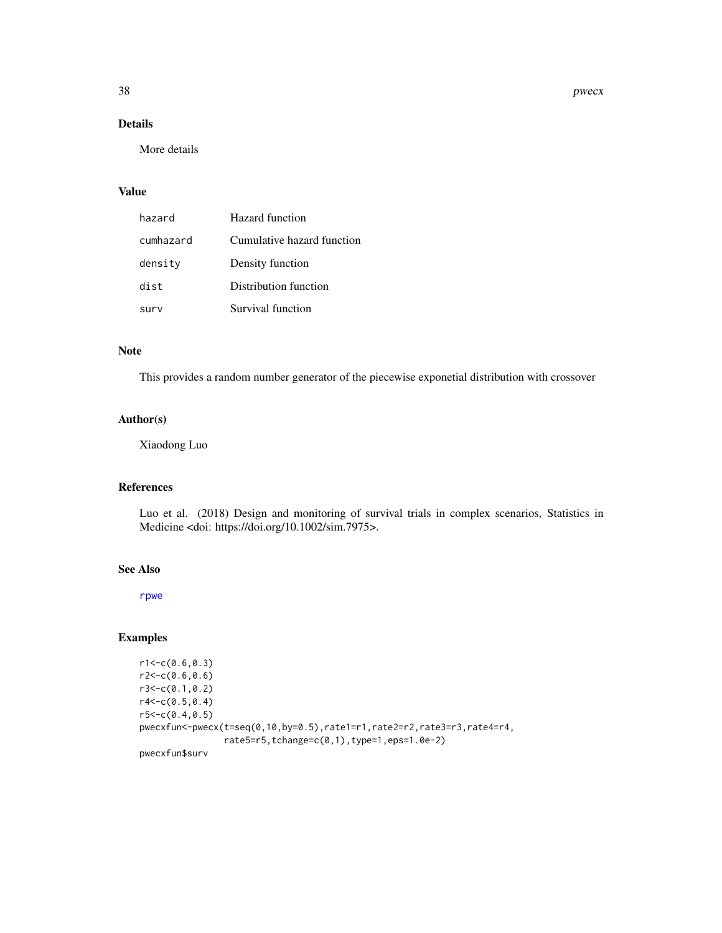38 pwecx

# Details

More details

### Value

| hazard    | Hazard function            |
|-----------|----------------------------|
| cumhazard | Cumulative hazard function |
| density   | Density function           |
| dist      | Distribution function      |
| surv      | Survival function          |

## Note

This provides a random number generator of the piecewise exponetial distribution with crossover

### Author(s)

Xiaodong Luo

### References

Luo et al. (2018) Design and monitoring of survival trials in complex scenarios, Statistics in Medicine <doi: https://doi.org/10.1002/sim.7975>.

## See Also

[rpwe](#page-77-0)

## Examples

```
r1 < -c(0.6, 0.3)r2 < -c(0.6, 0.6)r3<-c(0.1,0.2)
r4 < -c(0.5, 0.4)r5 < -c(0.4, 0.5)pwecxfun<-pwecx(t=seq(0,10,by=0.5),rate1=r1,rate2=r2,rate3=r3,rate4=r4,
                rate5=r5,tchange=c(0,1),type=1,eps=1.0e-2)
pwecxfun$surv
```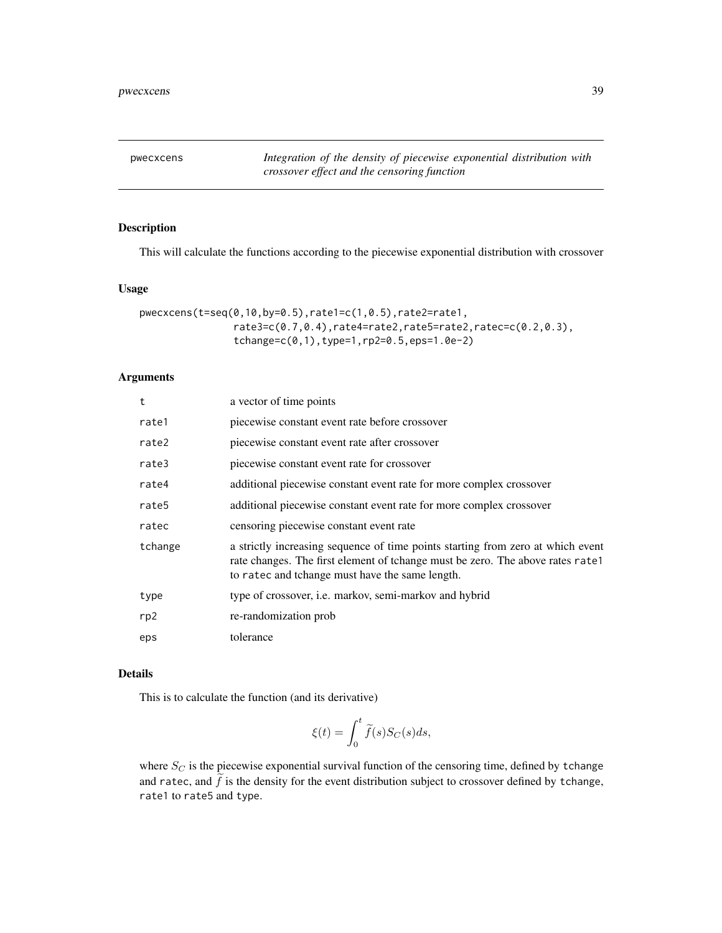pwecxcens *Integration of the density of piecewise exponential distribution with crossover effect and the censoring function*

## Description

This will calculate the functions according to the piecewise exponential distribution with crossover

#### Usage

```
pwecxcens(t=seq(0,10,by=0.5),rate1=c(1,0.5),rate2=rate1,
                rate3=c(0.7,0.4),rate4=rate2,rate5=rate2,ratec=c(0.2,0.3),
                tchange=c(0,1),type=1,rp2=0.5,eps=1.0e-2)
```
## Arguments

| t       | a vector of time points                                                                                                                                                                                              |
|---------|----------------------------------------------------------------------------------------------------------------------------------------------------------------------------------------------------------------------|
| rate1   | piecewise constant event rate before crossover                                                                                                                                                                       |
| rate2   | piecewise constant event rate after crossover                                                                                                                                                                        |
| rate3   | piecewise constant event rate for crossover                                                                                                                                                                          |
| rate4   | additional piecewise constant event rate for more complex crossover                                                                                                                                                  |
| rate5   | additional piecewise constant event rate for more complex crossover                                                                                                                                                  |
| ratec   | censoring piecewise constant event rate                                                                                                                                                                              |
| tchange | a strictly increasing sequence of time points starting from zero at which event<br>rate changes. The first element of tchange must be zero. The above rates rate.<br>to ratec and tchange must have the same length. |
| type    | type of crossover, <i>i.e.</i> markov, semi-markov and hybrid                                                                                                                                                        |
| rp2     | re-randomization prob                                                                                                                                                                                                |
| eps     | tolerance                                                                                                                                                                                                            |

### Details

This is to calculate the function (and its derivative)

$$
\xi(t) = \int_0^t \tilde{f}(s) S_C(s) ds,
$$

where  $S_C$  is the piecewise exponential survival function of the censoring time, defined by tchange and ratec, and  $f$  is the density for the event distribution subject to crossover defined by tchange, rate1 to rate5 and type.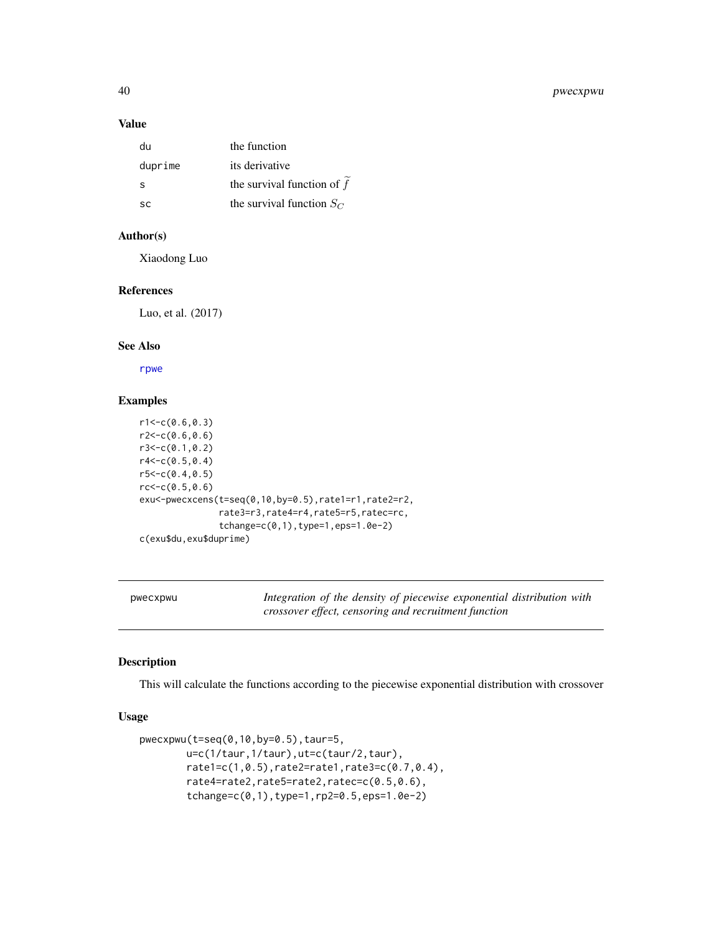### Value

| du      | the function                 |
|---------|------------------------------|
| duprime | its derivative               |
| S       | the survival function of $f$ |
| SC.     | the survival function $S_C$  |

### Author(s)

Xiaodong Luo

## References

Luo, et al. (2017)

# See Also

[rpwe](#page-77-0)

## Examples

```
r1<-c(0.6,0.3)
r2 < -c(0.6, 0.6)r3<-c(0.1,0.2)
r4<-c(0.5,0.4)
r5 < -c(0.4, 0.5)rc < -c(0.5, 0.6)exu<-pwecxcens(t=seq(0,10,by=0.5),rate1=r1,rate2=r2,
               rate3=r3,rate4=r4,rate5=r5,ratec=rc,
               tchange=c(0,1),type=1,eps=1.0e-2)
c(exu$du,exu$duprime)
```
pwecxpwu *Integration of the density of piecewise exponential distribution with crossover effect, censoring and recruitment function*

#### Description

This will calculate the functions according to the piecewise exponential distribution with crossover

### Usage

```
pwecxpwu(t=seq(0,10,by=0.5),taur=5,
       u=c(1/taur,1/taur),ut=c(taur/2,taur),
       rate1=c(1,0.5),rate2=rate1,rate3=c(0.7,0.4),
       rate4=rate2,rate5=rate2,ratec=c(0.5,0.6),
       tchange=c(0,1),type=1,rp2=0.5,eps=1.0e-2)
```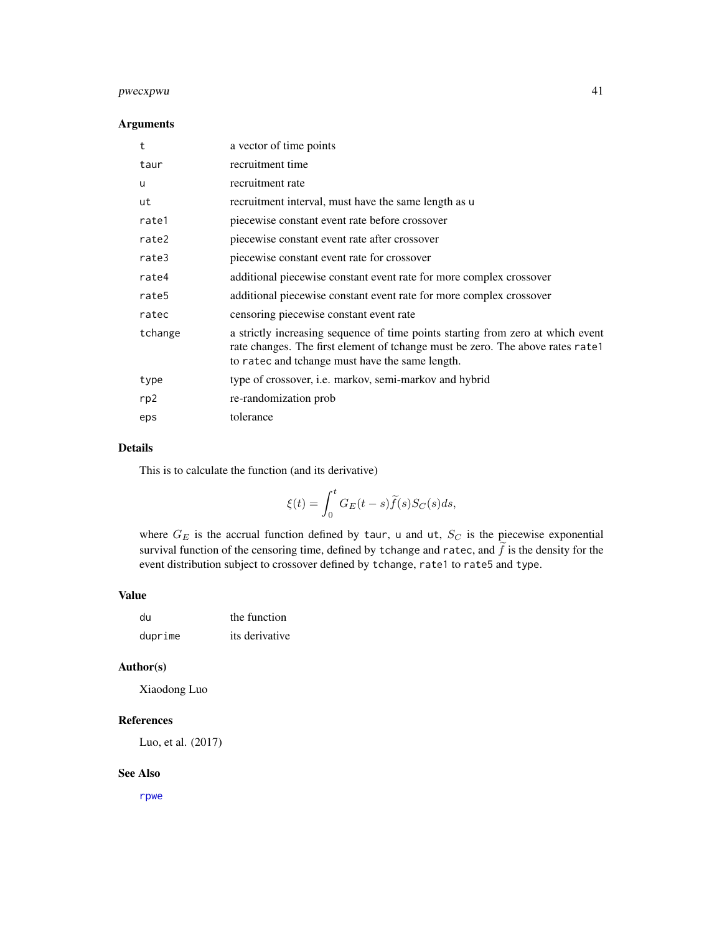## pwecxpwu 41

### Arguments

| t       | a vector of time points                                                                                                                                                                                              |
|---------|----------------------------------------------------------------------------------------------------------------------------------------------------------------------------------------------------------------------|
| taur    | recruitment time                                                                                                                                                                                                     |
| u       | recruitment rate                                                                                                                                                                                                     |
| ut      | recruitment interval, must have the same length as u                                                                                                                                                                 |
| rate1   | piecewise constant event rate before crossover                                                                                                                                                                       |
| rate2   | piecewise constant event rate after crossover                                                                                                                                                                        |
| rate3   | piecewise constant event rate for crossover                                                                                                                                                                          |
| rate4   | additional piecewise constant event rate for more complex crossover                                                                                                                                                  |
| rate5   | additional piecewise constant event rate for more complex crossover                                                                                                                                                  |
| ratec   | censoring piecewise constant event rate                                                                                                                                                                              |
| tchange | a strictly increasing sequence of time points starting from zero at which event<br>rate changes. The first element of tchange must be zero. The above rates rate1<br>to ratec and tchange must have the same length. |
| type    | type of crossover, i.e. markov, semi-markov and hybrid                                                                                                                                                               |
| rp2     | re-randomization prob                                                                                                                                                                                                |
| eps     | tolerance                                                                                                                                                                                                            |

### Details

This is to calculate the function (and its derivative)

$$
\xi(t) = \int_0^t G_E(t-s)\widetilde{f}(s)S_C(s)ds,
$$

where  $G_E$  is the accrual function defined by taur, u and ut,  $S_C$  is the piecewise exponential survival function of the censoring time, defined by tchange and ratec, and  $\tilde{f}$  is the density for the event distribution subject to crossover defined by tchange, rate1 to rate5 and type.

### Value

| du      | the function   |
|---------|----------------|
| duprime | its derivative |

## Author(s)

Xiaodong Luo

### References

Luo, et al. (2017)

### See Also

[rpwe](#page-77-0)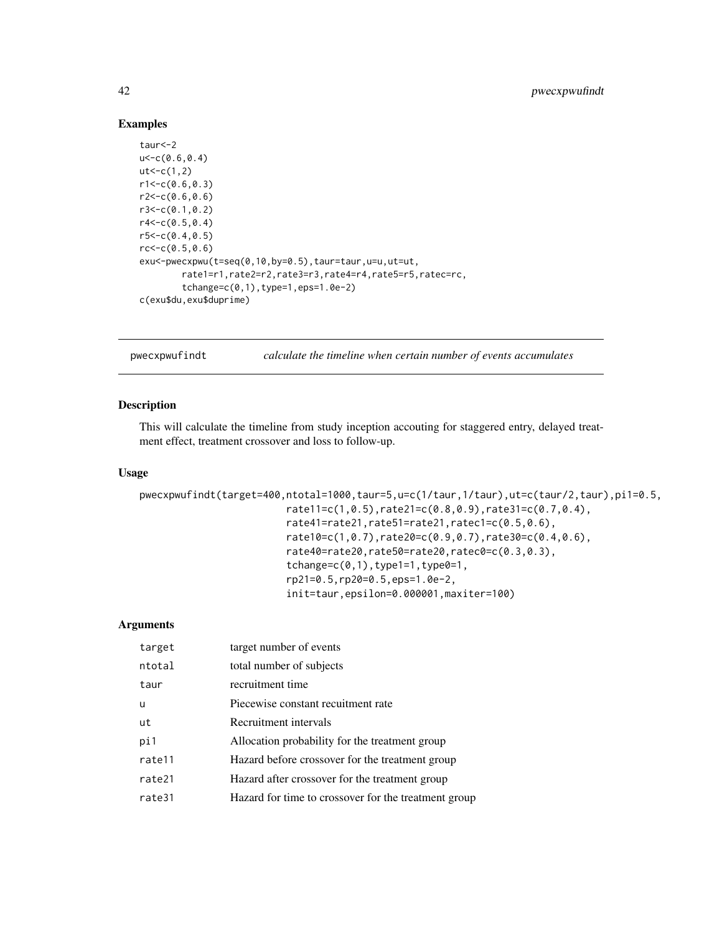## Examples

```
taur<-2
u < -c(0.6, 0.4)ut < -c(1,2)r1 < -c(0.6, 0.3)r2<-c(0.6,0.6)
r3<-c(0.1,0.2)
r4 < -c(0.5, 0.4)r5 < -c(0.4, 0.5)rc < -c(0.5, 0.6)exu<-pwecxpwu(t=seq(0,10,by=0.5),taur=taur,u=u,ut=ut,
        rate1=r1,rate2=r2,rate3=r3,rate4=r4,rate5=r5,ratec=rc,
        tchange=c(0,1),type=1,eps=1.0e-2)
c(exu$du,exu$duprime)
```

| calculate the timeline when certain number of events accumulates | pwecxpwufindt |  |  |  |  |  |  |
|------------------------------------------------------------------|---------------|--|--|--|--|--|--|
|------------------------------------------------------------------|---------------|--|--|--|--|--|--|

### Description

This will calculate the timeline from study inception accouting for staggered entry, delayed treatment effect, treatment crossover and loss to follow-up.

### Usage

```
pwecxpwufindt(target=400,ntotal=1000,taur=5,u=c(1/taur,1/taur),ut=c(taur/2,taur),pi1=0.5,
                         rate11=c(1,0.5),rate21=c(0.8,0.9),rate31=c(0.7,0.4),
                         rate41=rate21,rate51=rate21,ratec1=c(0.5,0.6),
                         rate10=c(1,0.7),rate20=c(0.9,0.7),rate30=c(0.4,0.6),
                         rate40=rate20,rate50=rate20,ratec0=c(0.3,0.3),
                         tchange=c(0,1), type1=1, type0=1,
                         rp21=0.5,rp20=0.5,eps=1.0e-2,
                         init=taur,epsilon=0.000001,maxiter=100)
```

| target   | target number of events                              |
|----------|------------------------------------------------------|
| ntotal   | total number of subjects                             |
| taur     | recruitment time                                     |
| <b>u</b> | Piecewise constant recuitment rate                   |
| ut       | Recruitment intervals                                |
| pi1      | Allocation probability for the treatment group       |
| rate11   | Hazard before crossover for the treatment group      |
| rate21   | Hazard after crossover for the treatment group       |
| rate31   | Hazard for time to crossover for the treatment group |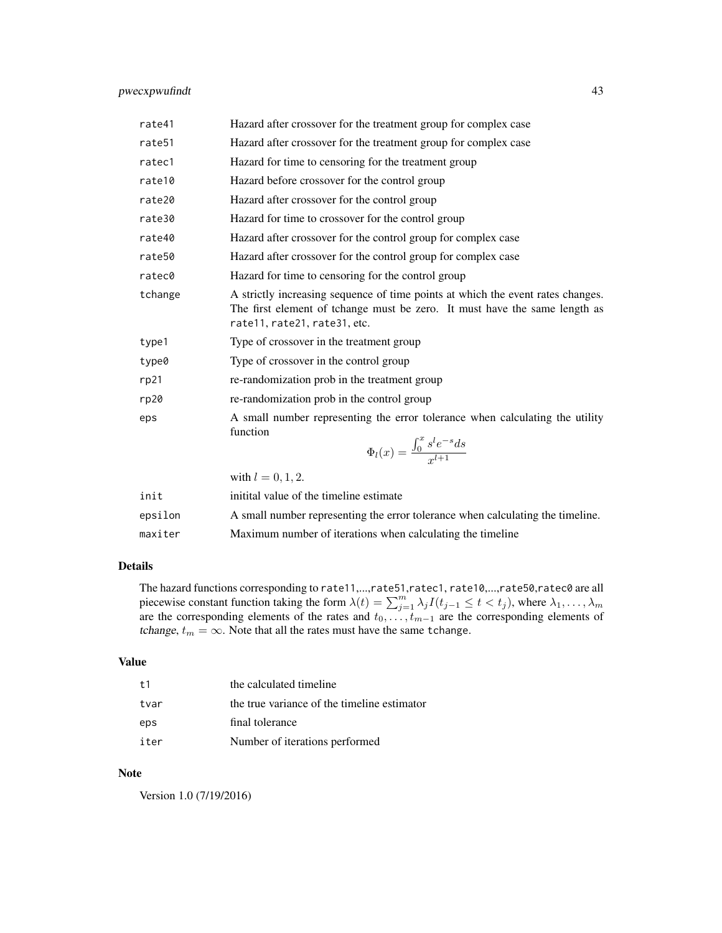## pwecxpwufindt 43

| rate41    | Hazard after crossover for the treatment group for complex case                                                                                                                               |
|-----------|-----------------------------------------------------------------------------------------------------------------------------------------------------------------------------------------------|
| rate51    | Hazard after crossover for the treatment group for complex case                                                                                                                               |
| ratec1    | Hazard for time to censoring for the treatment group                                                                                                                                          |
| rate10    | Hazard before crossover for the control group                                                                                                                                                 |
| rate20    | Hazard after crossover for the control group                                                                                                                                                  |
| rate30    | Hazard for time to crossover for the control group                                                                                                                                            |
| rate40    | Hazard after crossover for the control group for complex case                                                                                                                                 |
| rate50    | Hazard after crossover for the control group for complex case                                                                                                                                 |
| ratec0    | Hazard for time to censoring for the control group                                                                                                                                            |
| tchange   | A strictly increasing sequence of time points at which the event rates changes.<br>The first element of tchange must be zero. It must have the same length as<br>rate11, rate21, rate31, etc. |
| type1     | Type of crossover in the treatment group                                                                                                                                                      |
| type0     | Type of crossover in the control group                                                                                                                                                        |
| rp21      | re-randomization prob in the treatment group                                                                                                                                                  |
| rp20      | re-randomization prob in the control group                                                                                                                                                    |
| eps       | A small number representing the error tolerance when calculating the utility<br>function<br>$\Phi_l(x) = \frac{\int_0^x s^l e^{-s} ds}{x^{l+1}}$                                              |
|           | with $l = 0, 1, 2$ .                                                                                                                                                                          |
| اللائين ك | inistral colored sfales sinceline costinease                                                                                                                                                  |

| init    | initital value of the timeline estimate                                        |
|---------|--------------------------------------------------------------------------------|
| epsilon | A small number representing the error tolerance when calculating the timeline. |
| maxiter | Maximum number of iterations when calculating the timeline                     |

## Details

The hazard functions corresponding to rate11,...,rate51,ratec1, rate10,...,rate50,ratec0 are all piecewise constant function taking the form  $\lambda(t) = \sum_{j=1}^{m} \lambda_j I(t_{j-1} \leq t < t_j)$ , where  $\lambda_1, \dots, \lambda_m$ are the corresponding elements of the rates and  $t_0, \ldots, t_{m-1}$  are the corresponding elements of tchange,  $t_m = \infty$ . Note that all the rates must have the same tchange.

### Value

| t1   | the calculated timeline                     |
|------|---------------------------------------------|
| tvar | the true variance of the timeline estimator |
| eps  | final tolerance                             |
| iter | Number of iterations performed              |

#### Note

Version 1.0 (7/19/2016)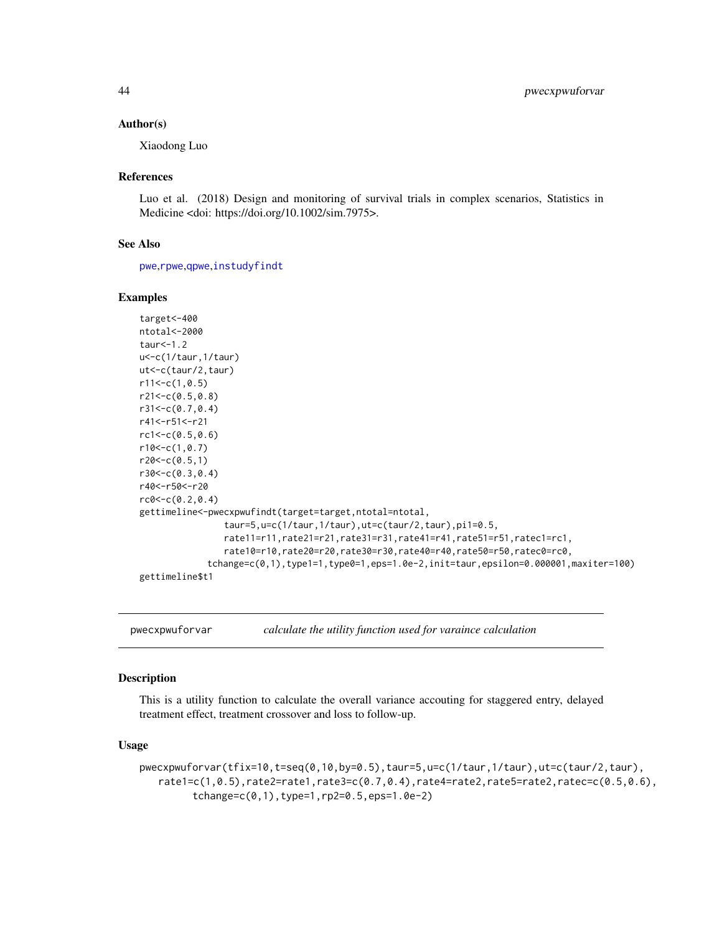#### Author(s)

Xiaodong Luo

### References

Luo et al. (2018) Design and monitoring of survival trials in complex scenarios, Statistics in Medicine <doi: https://doi.org/10.1002/sim.7975>.

#### See Also

[pwe](#page-35-0),[rpwe](#page-77-0),[qpwe](#page-62-0),[instudyfindt](#page-18-0)

### Examples

```
target<-400
ntotal<-2000
taur<-1.2
u<-c(1/taur,1/taur)
ut<-c(taur/2,taur)
r11<-c(1,0.5)r21<-c(0.5,0.8)
r31<-c(0.7,0.4)
r41<-r51<-r21
rc1<-c(0.5,0.6)
r10<-c(1,0.7)
r20<-c(0.5,1)r30<-c(0.3,0.4)
r40<-r50<-r20
rc0<-c(0.2,0.4)
gettimeline<-pwecxpwufindt(target=target,ntotal=ntotal,
                taur=5,u=c(1/taur,1/taur),ut=c(taur/2,taur),pi1=0.5,
                rate11=r11,rate21=r21,rate31=r31,rate41=r41,rate51=r51,ratec1=rc1,
                rate10=r10,rate20=r20,rate30=r30,rate40=r40,rate50=r50,ratec0=rc0,
             tchange=c(0,1),type1=1,type0=1,eps=1.0e-2,init=taur,epsilon=0.000001,maxiter=100)
gettimeline$t1
```
pwecxpwuforvar *calculate the utility function used for varaince calculation*

### Description

This is a utility function to calculate the overall variance accouting for staggered entry, delayed treatment effect, treatment crossover and loss to follow-up.

### Usage

```
pwecxpwuforvar(tfix=10,t=seq(0,10,by=0.5),taur=5,u=c(1/taur,1/taur),ut=c(taur/2,taur),
   rate1=c(1,0.5),rate2=rate1,rate3=c(0.7,0.4),rate4=rate2,rate5=rate2,ratec=c(0.5,0.6),
         tchange=c(0,1),type=1,rp2=0.5,eps=1.0e-2)
```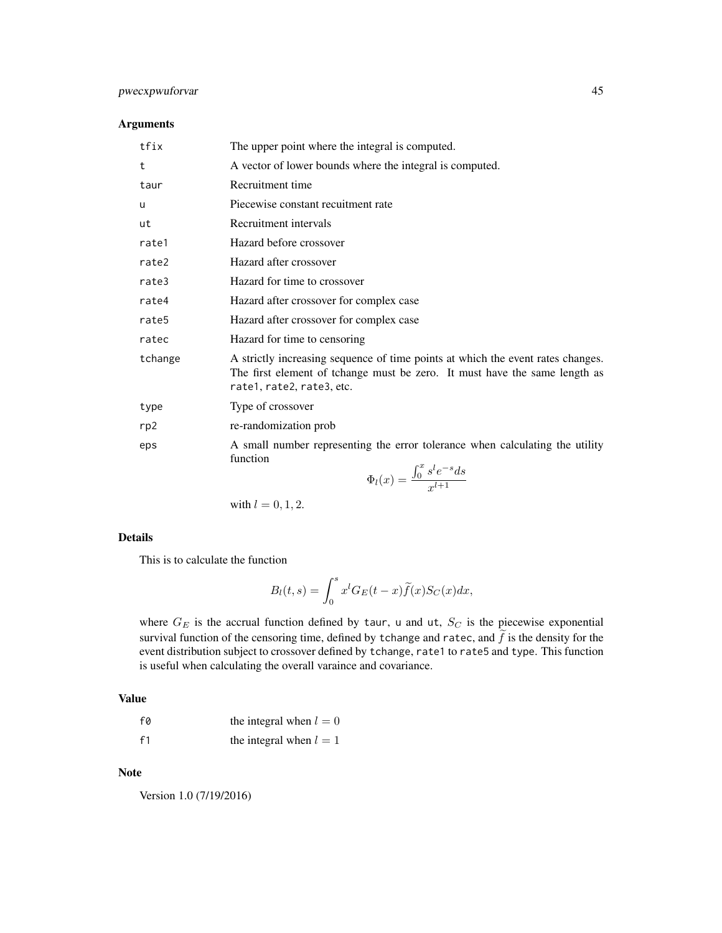## pwecxpwuforvar 45

### Arguments

| tfix    | The upper point where the integral is computed.                                                                                                                                            |
|---------|--------------------------------------------------------------------------------------------------------------------------------------------------------------------------------------------|
| t       | A vector of lower bounds where the integral is computed.                                                                                                                                   |
| taur    | Recruitment time                                                                                                                                                                           |
| u       | Piecewise constant recuitment rate                                                                                                                                                         |
| ut      | Recruitment intervals                                                                                                                                                                      |
| rate1   | Hazard before crossover                                                                                                                                                                    |
| rate2   | Hazard after crossover                                                                                                                                                                     |
| rate3   | Hazard for time to crossover                                                                                                                                                               |
| rate4   | Hazard after crossover for complex case                                                                                                                                                    |
| rate5   | Hazard after crossover for complex case                                                                                                                                                    |
| ratec   | Hazard for time to censoring                                                                                                                                                               |
| tchange | A strictly increasing sequence of time points at which the event rates changes.<br>The first element of tchange must be zero. It must have the same length as<br>rate1, rate2, rate3, etc. |
| type    | Type of crossover                                                                                                                                                                          |
| rp2     | re-randomization prob                                                                                                                                                                      |
| eps     | A small number representing the error tolerance when calculating the utility<br>function<br>$\int_0^x e^l e^{-s} d\theta$                                                                  |

$$
\Phi_l(x) = \frac{\int_0^x s^l e^{-s} ds}{x^{l+1}}
$$

with  $l = 0, 1, 2$ .

### Details

This is to calculate the function

$$
B_l(t,s) = \int_0^s x^l G_E(t-x) \tilde{f}(x) S_C(x) dx,
$$

where  $G_E$  is the accrual function defined by taur, u and ut,  $S_C$  is the piecewise exponential survival function of the censoring time, defined by tchange and ratec, and  $\tilde{f}$  is the density for the event distribution subject to crossover defined by tchange, rate1 to rate5 and type. This function is useful when calculating the overall varaince and covariance.

## Value

| f0             | the integral when $l = 0$ |
|----------------|---------------------------|
| f <sub>1</sub> | the integral when $l = 1$ |

Note

Version 1.0 (7/19/2016)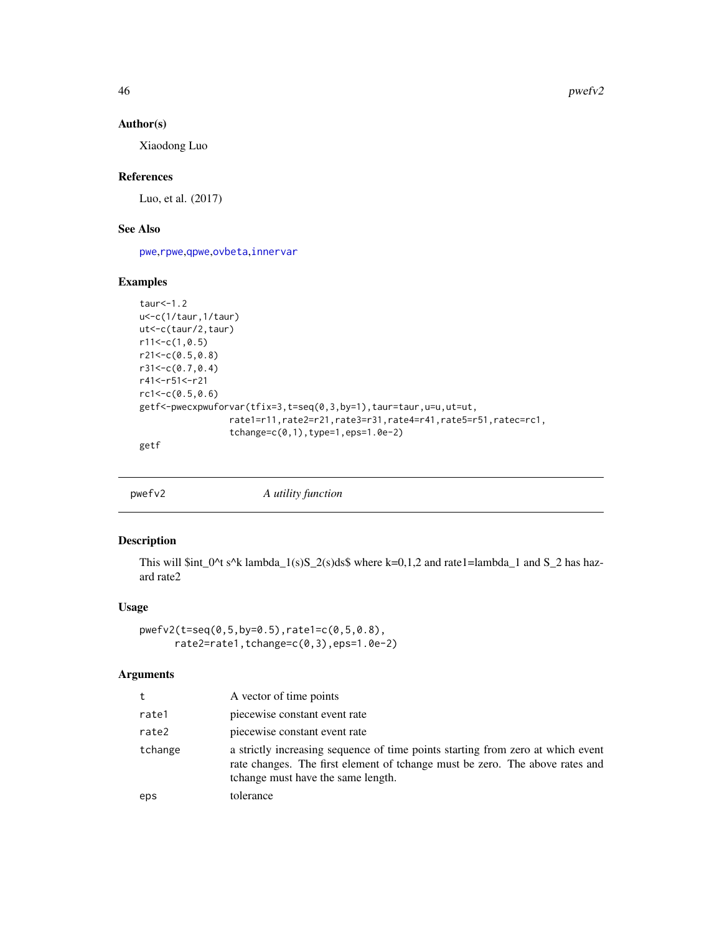### Author(s)

Xiaodong Luo

## References

Luo, et al. (2017)

## See Also

[pwe](#page-35-0),[rpwe](#page-77-0),[qpwe](#page-62-0),[ovbeta](#page-22-0),[innervar](#page-15-0)

#### Examples

```
taur<-1.2
u<-c(1/taur,1/taur)
ut<-c(taur/2,taur)
r11<-c(1,0.5)r21<-c(0.5,0.8)
r31<-c(0.7,0.4)
r41<-r51<-r21
rc1<-c(0.5,0.6)
getf<-pwecxpwuforvar(tfix=3,t=seq(0,3,by=1),taur=taur,u=u,ut=ut,
                 rate1=r11,rate2=r21,rate3=r31,rate4=r41,rate5=r51,ratec=rc1,
                 tchange=c(0,1),type=1,eps=1.0e-2)
getf
```
pwefv2 *A utility function*

## Description

This will \$int\_0^t s^k lambda\_1(s)S\_2(s)ds\$ where k=0,1,2 and rate1=lambda\_1 and S\_2 has hazard rate2

### Usage

```
pwefv2(t=seq(0,5,by=0.5),rate1=c(0,5,0.8),
      rate2=rate1,tchange=c(0,3),eps=1.0e-2)
```

| t       | A vector of time points                                                                                                                                                                               |
|---------|-------------------------------------------------------------------------------------------------------------------------------------------------------------------------------------------------------|
| rate1   | piecewise constant event rate                                                                                                                                                                         |
| rate2   | piecewise constant event rate                                                                                                                                                                         |
| tchange | a strictly increasing sequence of time points starting from zero at which event<br>rate changes. The first element of tchange must be zero. The above rates and<br>tchange must have the same length. |
| eps     | tolerance                                                                                                                                                                                             |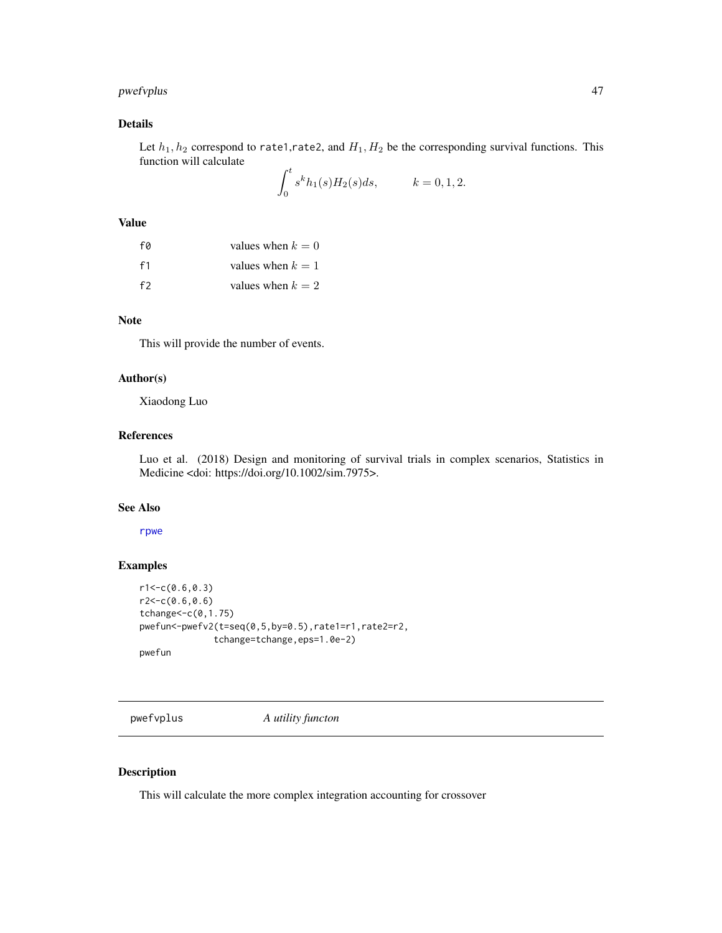## pwefvplus 47

# Details

Let  $h_1, h_2$  correspond to rate1,rate2, and  $H_1, H_2$  be the corresponding survival functions. This function will calculate

$$
\int_0^t s^k h_1(s) H_2(s) ds, \qquad k = 0, 1, 2.
$$

### Value

| fø             | values when $k = 0$ |
|----------------|---------------------|
| f <sub>1</sub> | values when $k = 1$ |
| f2             | values when $k = 2$ |

### Note

This will provide the number of events.

## Author(s)

Xiaodong Luo

## References

Luo et al. (2018) Design and monitoring of survival trials in complex scenarios, Statistics in Medicine <doi: https://doi.org/10.1002/sim.7975>.

#### See Also

#### [rpwe](#page-77-0)

### Examples

```
r1 < -c(0.6, 0.3)r2<-c(0.6,0.6)
tchange<-c(0,1.75)
pwefun<-pwefv2(t=seq(0,5,by=0.5),rate1=r1,rate2=r2,
              tchange=tchange,eps=1.0e-2)
pwefun
```
pwefvplus *A utility functon*

## Description

This will calculate the more complex integration accounting for crossover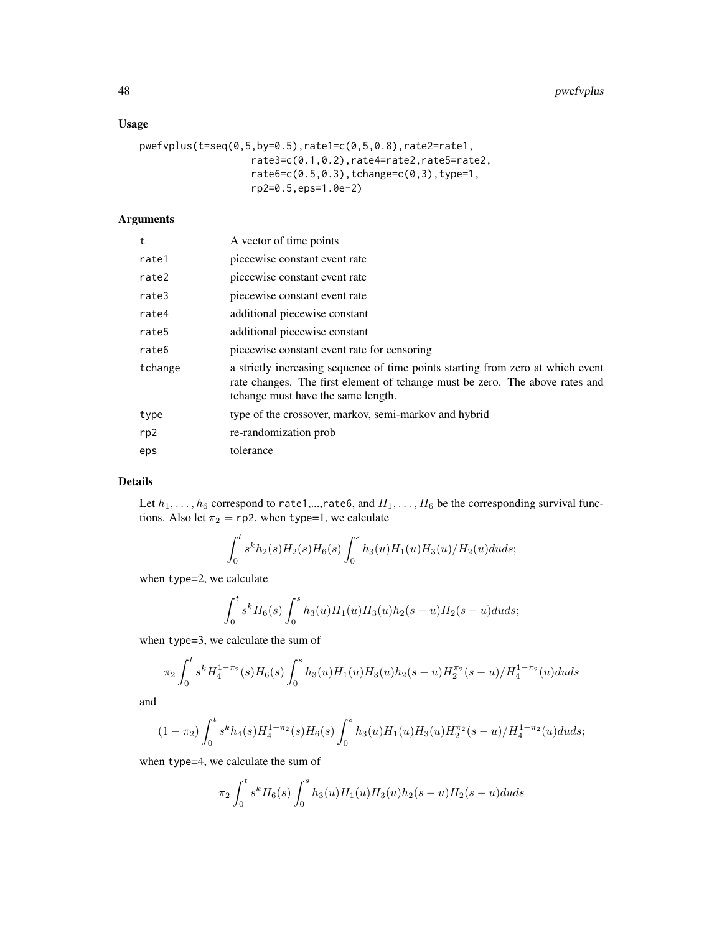## Usage

```
pwefvplus(t=seq(0,5,by=0.5),rate1=c(0,5,0.8),rate2=rate1,
                   rate3=c(0.1,0.2),rate4=rate2,rate5=rate2,
                   rate6=c(0.5,0.3),tchange=c(0,3),type=1,
                   rp2=0.5,eps=1.0e-2)
```
# Arguments

| t       | A vector of time points                                                                                                                                                                               |
|---------|-------------------------------------------------------------------------------------------------------------------------------------------------------------------------------------------------------|
| rate1   | piecewise constant event rate                                                                                                                                                                         |
| rate2   | piecewise constant event rate                                                                                                                                                                         |
| rate3   | piecewise constant event rate                                                                                                                                                                         |
| rate4   | additional piecewise constant                                                                                                                                                                         |
| rate5   | additional piecewise constant                                                                                                                                                                         |
| rate6   | piecewise constant event rate for censoring                                                                                                                                                           |
| tchange | a strictly increasing sequence of time points starting from zero at which event<br>rate changes. The first element of tchange must be zero. The above rates and<br>tchange must have the same length. |
| type    | type of the crossover, markov, semi-markov and hybrid                                                                                                                                                 |
| rp2     | re-randomization prob                                                                                                                                                                                 |
| eps     | tolerance                                                                                                                                                                                             |

## Details

Let  $h_1, \ldots, h_6$  correspond to rate1,...,rate6, and  $H_1, \ldots, H_6$  be the corresponding survival functions. Also let  $\pi_2 = \text{rp2}$ . when type=1, we calculate

$$
\int_0^t s^k h_2(s) H_2(s) H_6(s) \int_0^s h_3(u) H_1(u) H_3(u) / H_2(u) du ds;
$$

when type=2, we calculate

$$
\int_0^t s^k H_6(s) \int_0^s h_3(u) H_1(u) H_3(u) h_2(s-u) H_2(s-u) du ds;
$$

when type=3, we calculate the sum of

$$
\pi_2 \int_0^t s^k H_4^{1-\pi_2}(s) H_6(s) \int_0^s h_3(u) H_1(u) H_3(u) h_2(s-u) H_2^{\pi_2}(s-u) / H_4^{1-\pi_2}(u) du ds
$$

and

$$
(1 - \pi_2) \int_0^t s^k h_4(s) H_4^{1 - \pi_2}(s) H_6(s) \int_0^s h_3(u) H_1(u) H_3(u) H_2^{\pi_2}(s - u) / H_4^{1 - \pi_2}(u) du ds;
$$

when type=4, we calculate the sum of

$$
\pi_2 \int_0^t s^k H_6(s) \int_0^s h_3(u) H_1(u) H_3(u) h_2(s-u) H_2(s-u) du ds
$$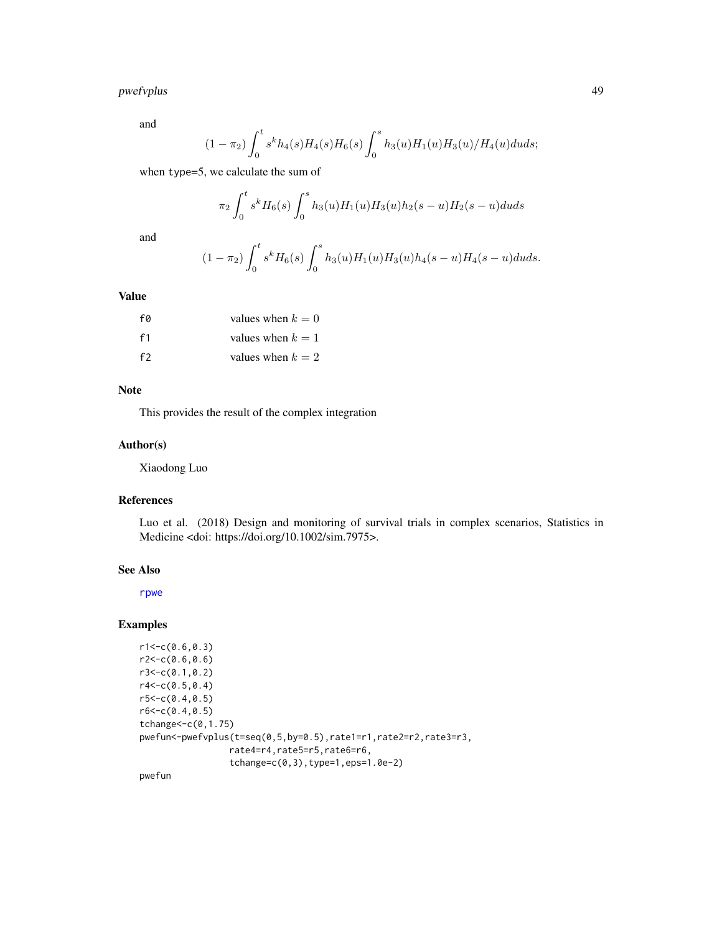# pwefvplus 49

and

$$
(1-\pi_2)\int_0^ts^kh_4(s)H_4(s)H_6(s)\int_0^sh_3(u)H_1(u)H_3(u)/H_4(u)duds;
$$

when type=5, we calculate the sum of

$$
\pi_2 \int_0^t s^k H_6(s) \int_0^s h_3(u) H_1(u) H_3(u) h_2(s-u) H_2(s-u) du ds
$$

and

$$
(1 - \pi_2) \int_0^t s^k H_6(s) \int_0^s h_3(u) H_1(u) H_3(u) h_4(s - u) H_4(s - u) du ds.
$$

## Value

| fø             | values when $k = 0$ |
|----------------|---------------------|
| f <sub>1</sub> | values when $k = 1$ |
| f2             | values when $k = 2$ |

## Note

This provides the result of the complex integration

### Author(s)

Xiaodong Luo

### References

Luo et al. (2018) Design and monitoring of survival trials in complex scenarios, Statistics in Medicine <doi: https://doi.org/10.1002/sim.7975>.

## See Also

[rpwe](#page-77-0)

## Examples

```
r1 < -c(0.6, 0.3)r2 < -c(0.6, 0.6)r3<-c(0.1,0.2)
r4 < -c(0.5, 0.4)r5 < -c(0.4, 0.5)r6 < -c(0.4, 0.5)tchange<-c(0,1.75)
pwefun<-pwefvplus(t=seq(0,5,by=0.5),rate1=r1,rate2=r2,rate3=r3,
                  rate4=r4,rate5=r5,rate6=r6,
                  tchange=c(0,3),type=1,eps=1.0e-2)
```
pwefun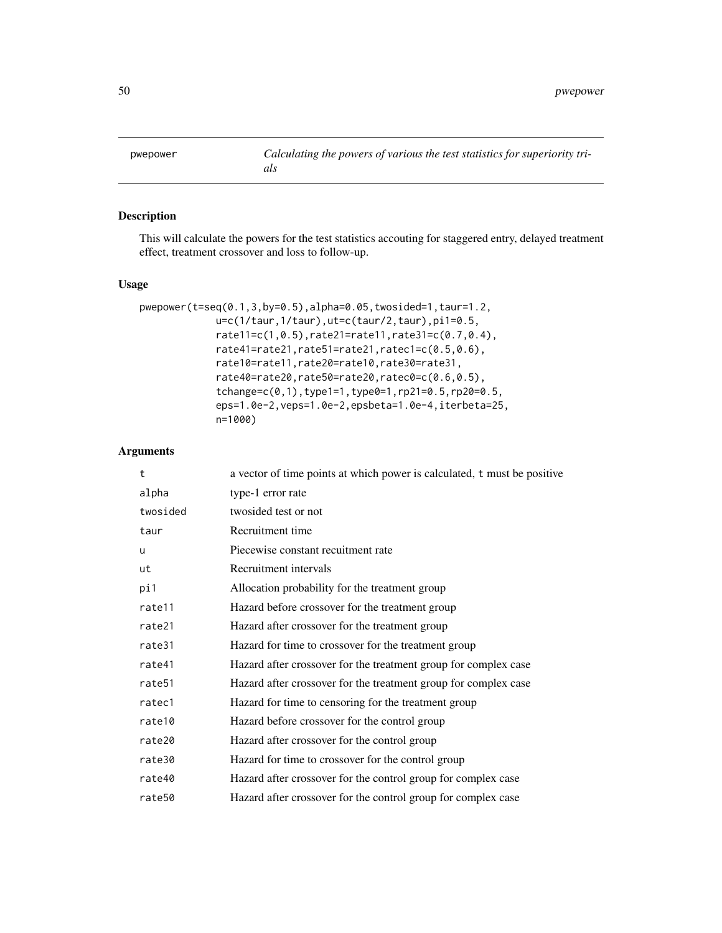<span id="page-49-0"></span>pwepower *Calculating the powers of various the test statistics for superiority trials*

### Description

This will calculate the powers for the test statistics accouting for staggered entry, delayed treatment effect, treatment crossover and loss to follow-up.

### Usage

```
pwepower(t=seq(0.1,3,by=0.5),alpha=0.05,twosided=1,taur=1.2,
             u=c(1/taur,1/taur),ut=c(taur/2,taur),pi1=0.5,
             rate11=c(1,0.5),rate21=rate11,rate31=c(0.7,0.4),
             rate41=rate21,rate51=rate21,ratec1=c(0.5,0.6),
             rate10=rate11,rate20=rate10,rate30=rate31,
             rate40=rate20,rate50=rate20,ratec0=c(0.6,0.5),
             tchange=c(0,1),type1=1,type0=1,rp21=0.5,rp20=0.5,
             eps=1.0e-2,veps=1.0e-2,epsbeta=1.0e-4,iterbeta=25,
             n=1000)
```

| t                  | a vector of time points at which power is calculated, t must be positive |
|--------------------|--------------------------------------------------------------------------|
| alpha              | type-1 error rate                                                        |
| twosided           | twosided test or not                                                     |
| taur               | Recruitment time                                                         |
| u                  | Piecewise constant recuitment rate                                       |
| ut                 | Recruitment intervals                                                    |
| pi1                | Allocation probability for the treatment group                           |
| rate11             | Hazard before crossover for the treatment group                          |
| rate21             | Hazard after crossover for the treatment group                           |
| rate31             | Hazard for time to crossover for the treatment group                     |
| rate41             | Hazard after crossover for the treatment group for complex case          |
| rate <sub>51</sub> | Hazard after crossover for the treatment group for complex case          |
| ratec1             | Hazard for time to censoring for the treatment group                     |
| rate10             | Hazard before crossover for the control group                            |
| rate20             | Hazard after crossover for the control group                             |
| rate30             | Hazard for time to crossover for the control group                       |
| rate40             | Hazard after crossover for the control group for complex case            |
| rate50             | Hazard after crossover for the control group for complex case            |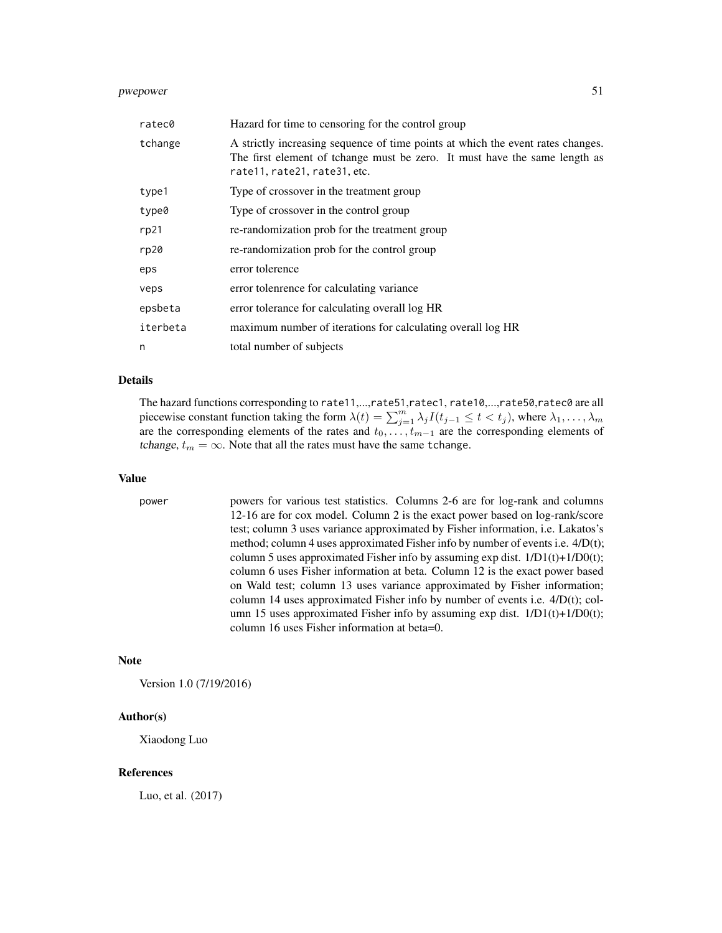## pwepower 51

| ratec0   | Hazard for time to censoring for the control group                                                                                                                                            |
|----------|-----------------------------------------------------------------------------------------------------------------------------------------------------------------------------------------------|
| tchange  | A strictly increasing sequence of time points at which the event rates changes.<br>The first element of tchange must be zero. It must have the same length as<br>rate11, rate21, rate31, etc. |
| type1    | Type of crossover in the treatment group                                                                                                                                                      |
| type0    | Type of crossover in the control group                                                                                                                                                        |
| rp21     | re-randomization prob for the treatment group                                                                                                                                                 |
| rp20     | re-randomization prob for the control group                                                                                                                                                   |
| eps      | error tolerence                                                                                                                                                                               |
| veps     | error tolenrence for calculating variance                                                                                                                                                     |
| epsbeta  | error tolerance for calculating overall log HR                                                                                                                                                |
| iterbeta | maximum number of iterations for calculating overall log HR                                                                                                                                   |
| n        | total number of subjects                                                                                                                                                                      |

#### Details

The hazard functions corresponding to rate11,...,rate51,ratec1, rate10,...,rate50,ratec0 are all piecewise constant function taking the form  $\lambda(t) = \sum_{j=1}^{m} \lambda_j I(t_{j-1} \le t < t_j)$ , where  $\lambda_1, \dots, \lambda_m$ are the corresponding elements of the rates and  $t_0, \ldots, t_{m-1}$  are the corresponding elements of tchange,  $t_m = \infty$ . Note that all the rates must have the same tchange.

#### Value

power powers for various test statistics. Columns 2-6 are for log-rank and columns 12-16 are for cox model. Column 2 is the exact power based on log-rank/score test; column 3 uses variance approximated by Fisher information, i.e. Lakatos's method; column 4 uses approximated Fisher info by number of events i.e. 4/D(t); column 5 uses approximated Fisher info by assuming  $exp$  dist.  $1/D1(t)+1/D0(t)$ ; column 6 uses Fisher information at beta. Column 12 is the exact power based on Wald test; column 13 uses variance approximated by Fisher information; column 14 uses approximated Fisher info by number of events i.e. 4/D(t); column 15 uses approximated Fisher info by assuming exp dist.  $1/D1(t)+1/D0(t)$ ; column 16 uses Fisher information at beta=0.

## Note

Version 1.0 (7/19/2016)

### Author(s)

Xiaodong Luo

### References

Luo, et al. (2017)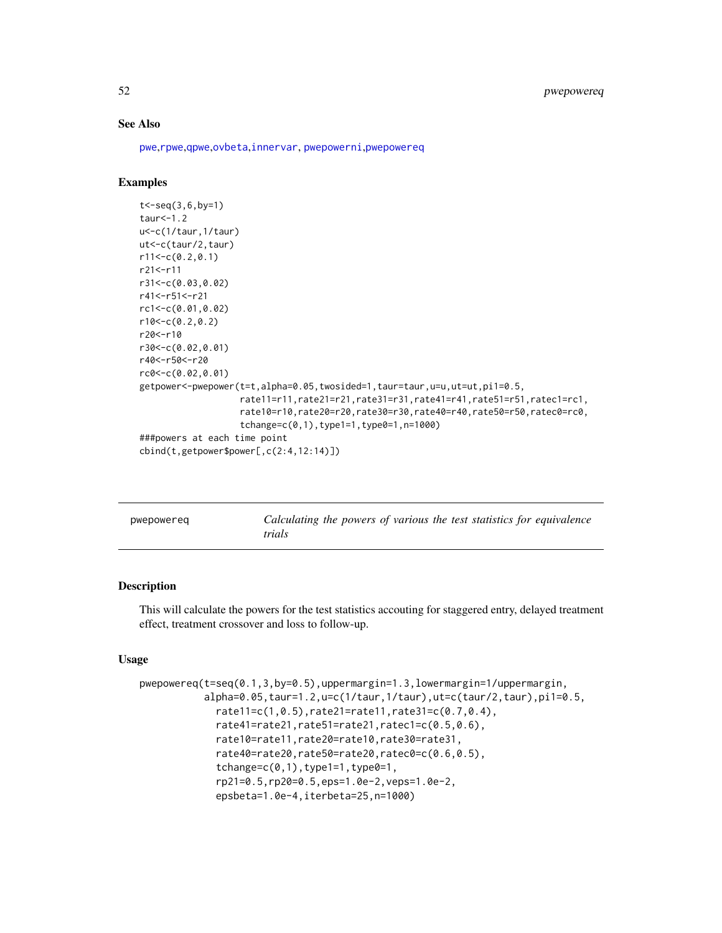## See Also

[pwe](#page-35-0),[rpwe](#page-77-0),[qpwe](#page-62-0),[ovbeta](#page-22-0),[innervar](#page-15-0), [pwepowerni](#page-56-0),[pwepowereq](#page-51-0)

### Examples

```
t < - seq(3,6, by=1)
taur<-1.2
u<-c(1/taur,1/taur)
ut<-c(taur/2,taur)
r11<-c(0.2,0.1)
r21<-r11
r31<-c(0.03,0.02)
r41<-r51<-r21
rc1<-c(0.01,0.02)
r10<-c(0.2,0.2)
r20<-r10
r30<-c(0.02,0.01)
r40<-r50<-r20
rc0<-c(0.02,0.01)
getpower<-pwepower(t=t,alpha=0.05,twosided=1,taur=taur,u=u,ut=ut,pi1=0.5,
                   rate11=r11,rate21=r21,rate31=r31,rate41=r41,rate51=r51,ratec1=rc1,
                   rate10=r10,rate20=r20,rate30=r30,rate40=r40,rate50=r50,ratec0=rc0,
                   tchange=c(0,1),type1=1,type0=1,n=1000)
###powers at each time point
cbind(t,getpower$power[,c(2:4,12:14)])
```
<span id="page-51-0"></span>

| pwepowereg | Calculating the powers of various the test statistics for equivalence |
|------------|-----------------------------------------------------------------------|
|            | trials                                                                |

### Description

This will calculate the powers for the test statistics accouting for staggered entry, delayed treatment effect, treatment crossover and loss to follow-up.

## Usage

```
pwepowereq(t=seq(0.1,3,by=0.5),uppermargin=1.3,lowermargin=1/uppermargin,
           alpha=0.05,taur=1.2,u=c(1/taur,1/taur),ut=c(taur/2,taur),pi1=0.5,
             rate11=c(1,0.5),rate21=rate11,rate31=c(0.7,0.4),
             rate41=rate21,rate51=rate21,ratec1=c(0.5,0.6),
             rate10=rate11,rate20=rate10,rate30=rate31,
             rate40=rate20,rate50=rate20,ratec0=c(0.6,0.5),
             tchange=c(0,1), type1=1, type0=1,
             rp21=0.5,rp20=0.5,eps=1.0e-2,veps=1.0e-2,
             epsbeta=1.0e-4,iterbeta=25,n=1000)
```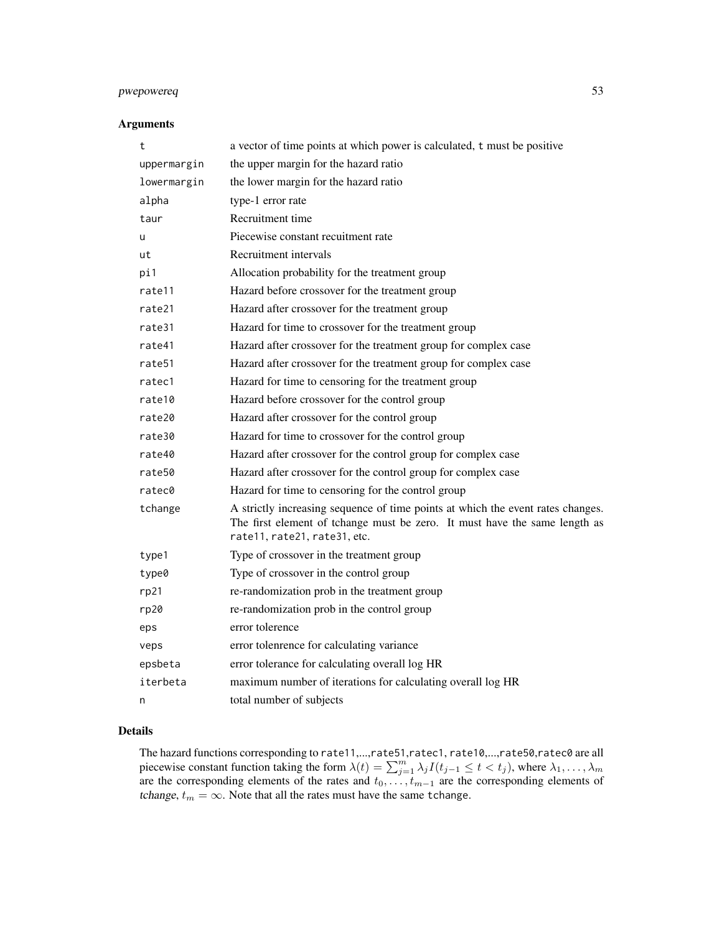## pwepowereq 53

### Arguments

| a vector of time points at which power is calculated, t must be positive                                                                                                                      |
|-----------------------------------------------------------------------------------------------------------------------------------------------------------------------------------------------|
| the upper margin for the hazard ratio                                                                                                                                                         |
| the lower margin for the hazard ratio                                                                                                                                                         |
| type-1 error rate                                                                                                                                                                             |
| Recruitment time                                                                                                                                                                              |
| Piecewise constant recuitment rate                                                                                                                                                            |
| Recruitment intervals                                                                                                                                                                         |
| Allocation probability for the treatment group                                                                                                                                                |
| Hazard before crossover for the treatment group                                                                                                                                               |
| Hazard after crossover for the treatment group                                                                                                                                                |
| Hazard for time to crossover for the treatment group                                                                                                                                          |
| Hazard after crossover for the treatment group for complex case                                                                                                                               |
| Hazard after crossover for the treatment group for complex case                                                                                                                               |
| Hazard for time to censoring for the treatment group                                                                                                                                          |
| Hazard before crossover for the control group                                                                                                                                                 |
| Hazard after crossover for the control group                                                                                                                                                  |
| Hazard for time to crossover for the control group                                                                                                                                            |
| Hazard after crossover for the control group for complex case                                                                                                                                 |
| Hazard after crossover for the control group for complex case                                                                                                                                 |
| Hazard for time to censoring for the control group                                                                                                                                            |
| A strictly increasing sequence of time points at which the event rates changes.<br>The first element of tchange must be zero. It must have the same length as<br>rate11, rate21, rate31, etc. |
| Type of crossover in the treatment group                                                                                                                                                      |
| Type of crossover in the control group                                                                                                                                                        |
| re-randomization prob in the treatment group                                                                                                                                                  |
| re-randomization prob in the control group                                                                                                                                                    |
| error tolerence                                                                                                                                                                               |
| error tolenrence for calculating variance                                                                                                                                                     |
| error tolerance for calculating overall log HR                                                                                                                                                |
| maximum number of iterations for calculating overall log HR                                                                                                                                   |
| total number of subjects                                                                                                                                                                      |
|                                                                                                                                                                                               |

### Details

The hazard functions corresponding to rate11,...,rate51,ratec1, rate10,...,rate50,ratec0 are all piecewise constant function taking the form  $\lambda(t) = \sum_{j=1}^{m} \lambda_j I(t_{j-1} \leq t < t_j)$ , where  $\lambda_1, \dots, \lambda_m$ are the corresponding elements of the rates and  $t_0, \ldots, t_{m-1}$  are the corresponding elements of tchange,  $t_m = \infty$ . Note that all the rates must have the same tchange.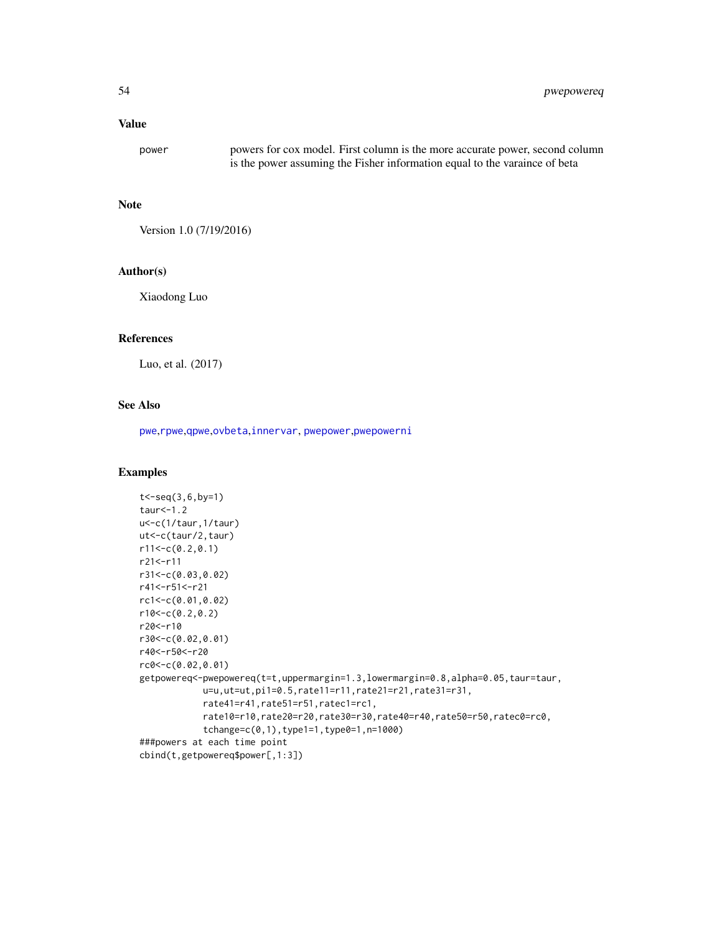### Value

power powers for cox model. First column is the more accurate power, second column is the power assuming the Fisher information equal to the varaince of beta

#### Note

Version 1.0 (7/19/2016)

### Author(s)

Xiaodong Luo

## References

Luo, et al. (2017)

### See Also

[pwe](#page-35-0),[rpwe](#page-77-0),[qpwe](#page-62-0),[ovbeta](#page-22-0),[innervar](#page-15-0), [pwepower](#page-49-0),[pwepowerni](#page-56-0)

## Examples

```
t < -seq(3, 6, by=1)taur<-1.2
u<-c(1/taur,1/taur)
ut<-c(taur/2,taur)
r11<-c(0.2,0.1)
r21<-r11
r31<-c(0.03,0.02)
r41<-r51<-r21
rc1<-c(0.01,0.02)
r10<-c(0.2,0.2)
r20<-r10
r30<-c(0.02,0.01)
r40<-r50<-r20
rc0<-c(0.02,0.01)
getpowereq<-pwepowereq(t=t,uppermargin=1.3,lowermargin=0.8,alpha=0.05,taur=taur,
            u=u,ut=ut,pi1=0.5,rate11=r11,rate21=r21,rate31=r31,
            rate41=r41,rate51=r51,ratec1=rc1,
            rate10=r10,rate20=r20,rate30=r30,rate40=r40,rate50=r50,ratec0=rc0,
            tchange=c(0,1),type1=1,type0=1,n=1000)
###powers at each time point
cbind(t,getpowereq$power[,1:3])
```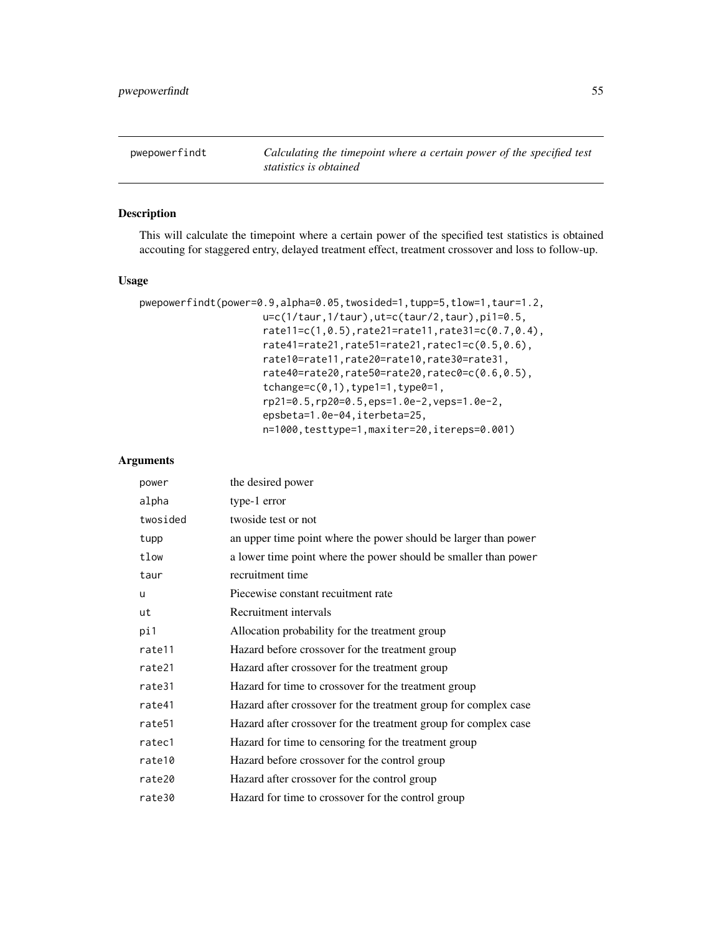pwepowerfindt *Calculating the timepoint where a certain power of the specified test statistics is obtained*

# Description

This will calculate the timepoint where a certain power of the specified test statistics is obtained accouting for staggered entry, delayed treatment effect, treatment crossover and loss to follow-up.

### Usage

```
pwepowerfindt(power=0.9,alpha=0.05,twosided=1,tupp=5,tlow=1,taur=1.2,
                     u=c(1/taur,1/taur),ut=c(taur/2,taur),pi1=0.5,
                     rate11=c(1,0.5),rate21=rate11,rate31=c(0.7,0.4),
                     rate41=rate21,rate51=rate21,ratec1=c(0.5,0.6),
                     rate10=rate11,rate20=rate10,rate30=rate31,
                     rate40=rate20,rate50=rate20,ratec0=c(0.6,0.5),
                     tchange=c(0,1), type1=1, type0=1,
                     rp21=0.5,rp20=0.5,eps=1.0e-2,veps=1.0e-2,
                     epsbeta=1.0e-04,iterbeta=25,
                     n=1000,testtype=1,maxiter=20,itereps=0.001)
```

| power    | the desired power                                               |
|----------|-----------------------------------------------------------------|
| alpha    | type-1 error                                                    |
| twosided | twoside test or not                                             |
| tupp     | an upper time point where the power should be larger than power |
| tlow     | a lower time point where the power should be smaller than power |
| taur     | recruitment time                                                |
| u        | Piecewise constant recuitment rate                              |
| ut       | Recruitment intervals                                           |
| pi1      | Allocation probability for the treatment group                  |
| rate11   | Hazard before crossover for the treatment group                 |
| rate21   | Hazard after crossover for the treatment group                  |
| rate31   | Hazard for time to crossover for the treatment group            |
| rate41   | Hazard after crossover for the treatment group for complex case |
| rate51   | Hazard after crossover for the treatment group for complex case |
| ratec1   | Hazard for time to censoring for the treatment group            |
| rate10   | Hazard before crossover for the control group                   |
| rate20   | Hazard after crossover for the control group                    |
| rate30   | Hazard for time to crossover for the control group              |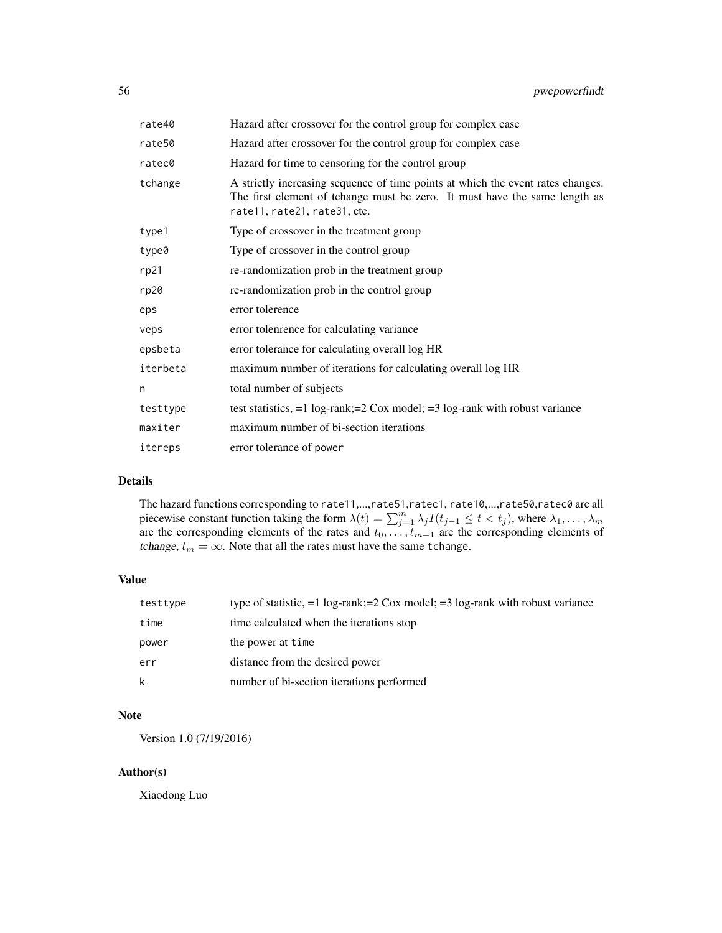| rate40   | Hazard after crossover for the control group for complex case                                                                                                                                 |
|----------|-----------------------------------------------------------------------------------------------------------------------------------------------------------------------------------------------|
| rate50   | Hazard after crossover for the control group for complex case                                                                                                                                 |
| ratec0   | Hazard for time to censoring for the control group                                                                                                                                            |
| tchange  | A strictly increasing sequence of time points at which the event rates changes.<br>The first element of tchange must be zero. It must have the same length as<br>rate11, rate21, rate31, etc. |
| type1    | Type of crossover in the treatment group                                                                                                                                                      |
| type0    | Type of crossover in the control group                                                                                                                                                        |
| rp21     | re-randomization prob in the treatment group                                                                                                                                                  |
| rp20     | re-randomization prob in the control group                                                                                                                                                    |
| eps      | error tolerence                                                                                                                                                                               |
| veps     | error tolenrence for calculating variance                                                                                                                                                     |
| epsbeta  | error tolerance for calculating overall log HR                                                                                                                                                |
| iterbeta | maximum number of iterations for calculating overall log HR                                                                                                                                   |
| n        | total number of subjects                                                                                                                                                                      |
| testtype | test statistics, $=1$ log-rank; $=2$ Cox model; $=3$ log-rank with robust variance                                                                                                            |
| maxiter  | maximum number of bi-section iterations                                                                                                                                                       |
| itereps  | error tolerance of power                                                                                                                                                                      |

# Details

The hazard functions corresponding to rate11,...,rate51,ratec1, rate10,...,rate50,ratec0 are all piecewise constant function taking the form  $\lambda(t) = \sum_{j=1}^{m} \lambda_j I(t_{j-1} \leq t < t_j)$ , where  $\lambda_1, \dots, \lambda_m$ are the corresponding elements of the rates and  $t_0, \ldots, t_{m-1}$  are the corresponding elements of tchange,  $t_m = \infty$ . Note that all the rates must have the same tchange.

### Value

| testtype | type of statistic, $=1$ log-rank; $=2$ Cox model; $=3$ log-rank with robust variance |  |
|----------|--------------------------------------------------------------------------------------|--|
| time     | time calculated when the iterations stop                                             |  |
| power    | the power at time                                                                    |  |
| err      | distance from the desired power                                                      |  |
| k        | number of bi-section iterations performed                                            |  |

## Note

Version 1.0 (7/19/2016)

## Author(s)

Xiaodong Luo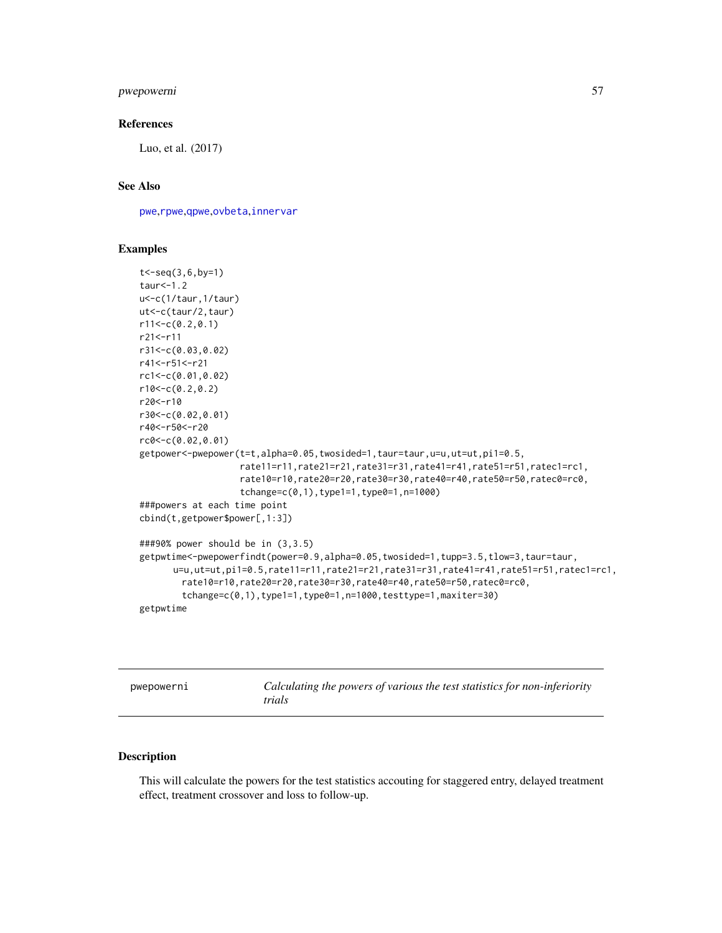## pwepowerni 57

#### References

Luo, et al. (2017)

### See Also

[pwe](#page-35-0),[rpwe](#page-77-0),[qpwe](#page-62-0),[ovbeta](#page-22-0),[innervar](#page-15-0)

#### Examples

```
t<-seq(3,6,by=1)
taur<-1.2
u<-c(1/taur,1/taur)
ut<-c(taur/2,taur)
r11<-c(0.2,0.1)
r21<-r11
r31<-c(0.03,0.02)
r41<-r51<-r21
rc1<-c(0.01,0.02)
r10<-c(0.2,0.2)
r20<-r10
r30<-c(0.02,0.01)
r40<-r50<-r20
rc0<-c(0.02,0.01)
getpower<-pwepower(t=t,alpha=0.05,twosided=1,taur=taur,u=u,ut=ut,pi1=0.5,
                   rate11=r11,rate21=r21,rate31=r31,rate41=r41,rate51=r51,ratec1=rc1,
                   rate10=r10,rate20=r20,rate30=r30,rate40=r40,rate50=r50,ratec0=rc0,
                   tchange=c(0,1),type1=1,type0=1,n=1000)
###powers at each time point
cbind(t,getpower$power[,1:3])
###90% power should be in (3,3.5)
getpwtime<-pwepowerfindt(power=0.9,alpha=0.05,twosided=1,tupp=3.5,tlow=3,taur=taur,
      u=u,ut=ut,pi1=0.5,rate11=r11,rate21=r21,rate31=r31,rate41=r41,rate51=r51,ratec1=rc1,
        rate10=r10,rate20=r20,rate30=r30,rate40=r40,rate50=r50,ratec0=rc0,
        tchange=c(0,1),type1=1,type0=1,n=1000,testtype=1,maxiter=30)
getpwtime
```
<span id="page-56-0"></span>pwepowerni *Calculating the powers of various the test statistics for non-inferiority trials*

## Description

This will calculate the powers for the test statistics accouting for staggered entry, delayed treatment effect, treatment crossover and loss to follow-up.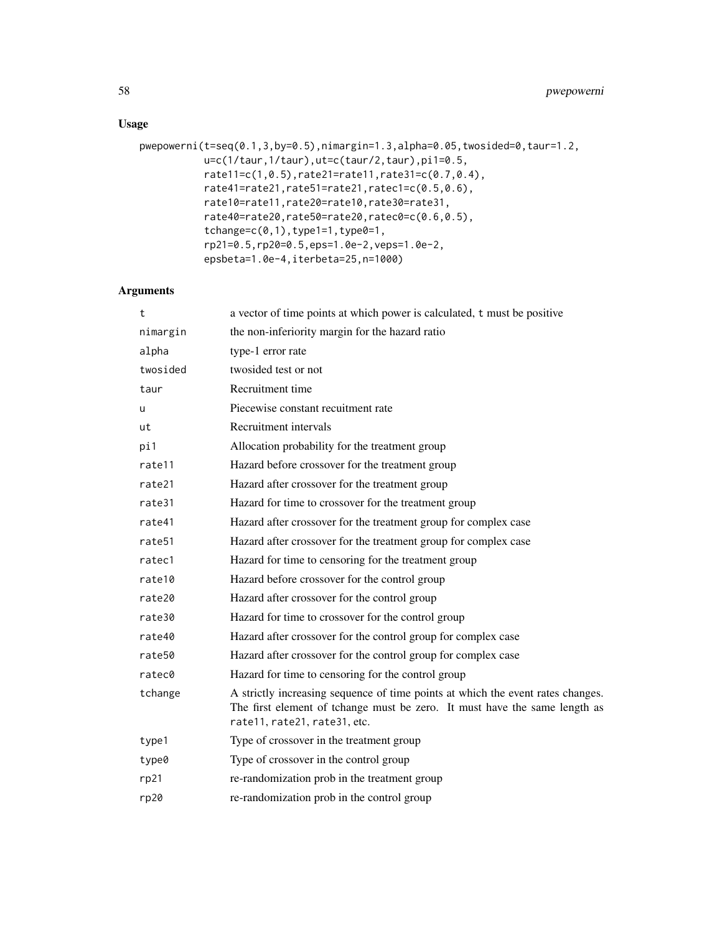# Usage

```
pwepowerni(t=seq(0.1,3,by=0.5),nimargin=1.3,alpha=0.05,twosided=0,taur=1.2,
          u=c(1/taur,1/taur),ut=c(taur/2,taur),pi1=0.5,
           rate11=c(1,0.5),rate21=rate11,rate31=c(0.7,0.4),
           rate41=rate21,rate51=rate21,ratec1=c(0.5,0.6),
           rate10=rate11,rate20=rate10,rate30=rate31,
           rate40=rate20,rate50=rate20,ratec0=c(0.6,0.5),
           tchange=c(0,1), type1=1, type0=1,
           rp21=0.5,rp20=0.5,eps=1.0e-2,veps=1.0e-2,
           epsbeta=1.0e-4,iterbeta=25,n=1000)
```

| t        | a vector of time points at which power is calculated, t must be positive                                                                                                                      |  |
|----------|-----------------------------------------------------------------------------------------------------------------------------------------------------------------------------------------------|--|
| nimargin | the non-inferiority margin for the hazard ratio                                                                                                                                               |  |
| alpha    | type-1 error rate                                                                                                                                                                             |  |
| twosided | twosided test or not                                                                                                                                                                          |  |
| taur     | Recruitment time                                                                                                                                                                              |  |
| u        | Piecewise constant recuitment rate                                                                                                                                                            |  |
| ut       | Recruitment intervals                                                                                                                                                                         |  |
| pi1      | Allocation probability for the treatment group                                                                                                                                                |  |
| rate11   | Hazard before crossover for the treatment group                                                                                                                                               |  |
| rate21   | Hazard after crossover for the treatment group                                                                                                                                                |  |
| rate31   | Hazard for time to crossover for the treatment group                                                                                                                                          |  |
| rate41   | Hazard after crossover for the treatment group for complex case                                                                                                                               |  |
| rate51   | Hazard after crossover for the treatment group for complex case                                                                                                                               |  |
| ratec1   | Hazard for time to censoring for the treatment group                                                                                                                                          |  |
| rate10   | Hazard before crossover for the control group                                                                                                                                                 |  |
| rate20   | Hazard after crossover for the control group                                                                                                                                                  |  |
| rate30   | Hazard for time to crossover for the control group                                                                                                                                            |  |
| rate40   | Hazard after crossover for the control group for complex case                                                                                                                                 |  |
| rate50   | Hazard after crossover for the control group for complex case                                                                                                                                 |  |
| ratec0   | Hazard for time to censoring for the control group                                                                                                                                            |  |
| tchange  | A strictly increasing sequence of time points at which the event rates changes.<br>The first element of tchange must be zero. It must have the same length as<br>rate11, rate21, rate31, etc. |  |
| type1    | Type of crossover in the treatment group                                                                                                                                                      |  |
| type0    | Type of crossover in the control group                                                                                                                                                        |  |
| rp21     | re-randomization prob in the treatment group                                                                                                                                                  |  |
| rp20     | re-randomization prob in the control group                                                                                                                                                    |  |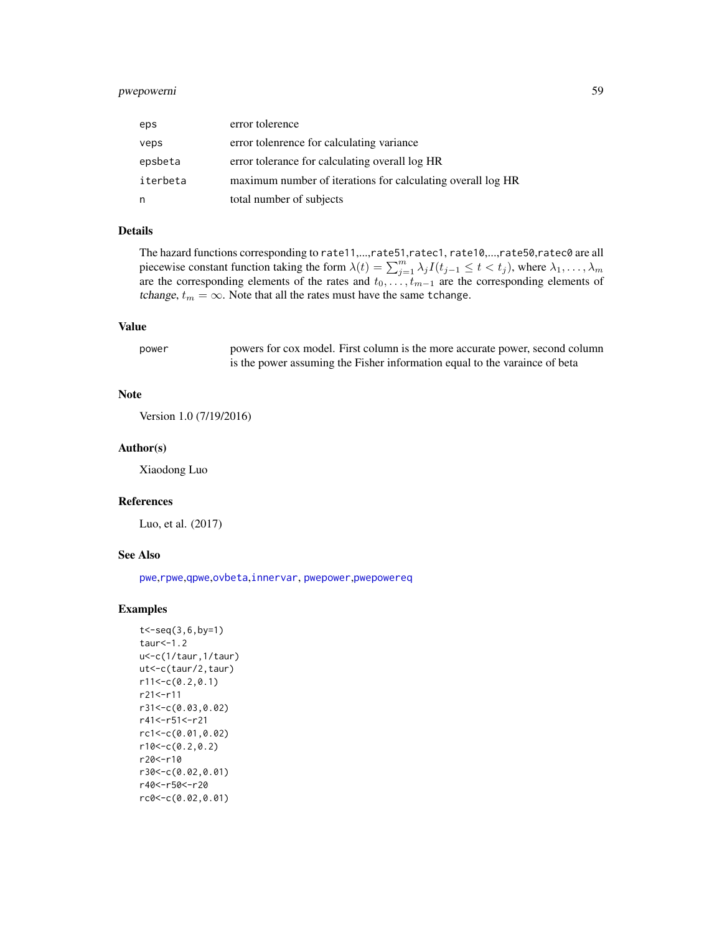## pwepowerni 59

| eps      | error tolerence                                             |
|----------|-------------------------------------------------------------|
| veps     | error tolenrence for calculating variance                   |
| epsbeta  | error tolerance for calculating overall log HR              |
| iterbeta | maximum number of iterations for calculating overall log HR |
| n        | total number of subjects                                    |

## Details

The hazard functions corresponding to rate11,...,rate51,ratec1, rate10,...,rate50,ratec0 are all piecewise constant function taking the form  $\lambda(t) = \sum_{j=1}^{m} \lambda_j I(t_{j-1} \leq t < t_j)$ , where  $\lambda_1, \dots, \lambda_m$ are the corresponding elements of the rates and  $t_0, \ldots, t_{m-1}$  are the corresponding elements of tchange,  $t_m = \infty$ . Note that all the rates must have the same tchange.

#### Value

power powers for cox model. First column is the more accurate power, second column is the power assuming the Fisher information equal to the varaince of beta

### Note

Version 1.0 (7/19/2016)

#### Author(s)

Xiaodong Luo

### References

Luo, et al. (2017)

## See Also

[pwe](#page-35-0),[rpwe](#page-77-0),[qpwe](#page-62-0),[ovbeta](#page-22-0),[innervar](#page-15-0), [pwepower](#page-49-0),[pwepowereq](#page-51-0)

### Examples

```
t<-seq(3,6,by=1)
taur<-1.2
u<-c(1/taur,1/taur)
ut<-c(taur/2,taur)
r11<-c(0.2,0.1)
r21<-r11
r31<-c(0.03,0.02)
r41<-r51<-r21
rc1<-c(0.01,0.02)
r10<-c(0.2,0.2)r20<-r10
r30<-c(0.02,0.01)
r40<-r50<-r20
rc0<-c(0.02,0.01)
```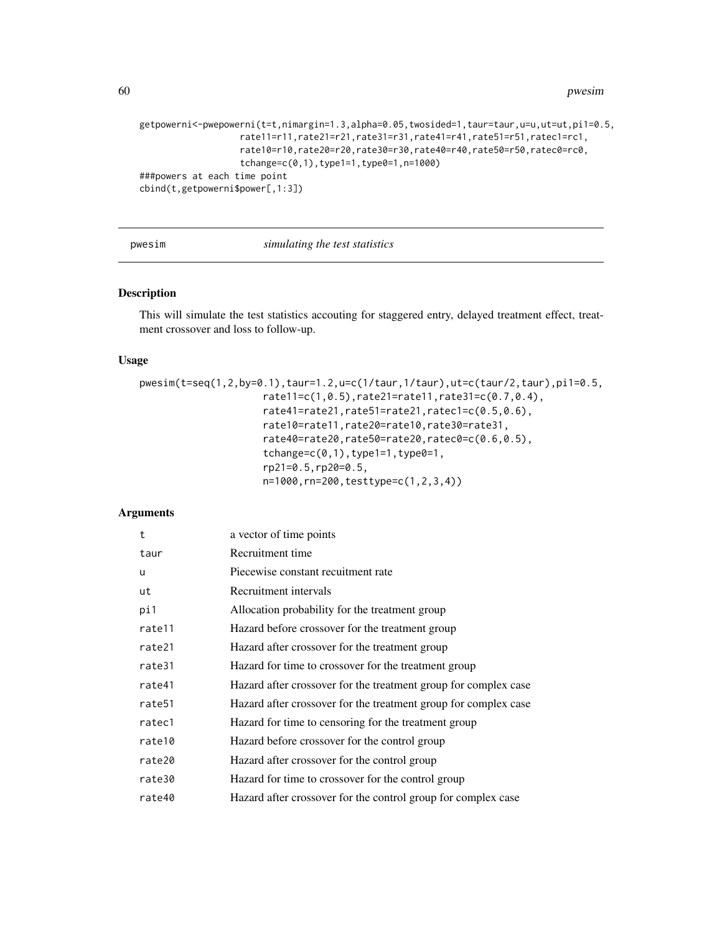```
getpowerni<-pwepowerni(t=t,nimargin=1.3,alpha=0.05,twosided=1,taur=taur,u=u,ut=ut,pi1=0.5,
                  rate11=r11,rate21=r21,rate31=r31,rate41=r41,rate51=r51,ratec1=rc1,
                   rate10=r10,rate20=r20,rate30=r30,rate40=r40,rate50=r50,ratec0=rc0,
                   tchange=c(0,1),type1=1,type0=1,n=1000)
###powers at each time point
cbind(t,getpowerni$power[,1:3])
```
#### pwesim *simulating the test statistics*

### Description

This will simulate the test statistics accouting for staggered entry, delayed treatment effect, treatment crossover and loss to follow-up.

### Usage

```
pwesim(t=seq(1,2,by=0.1),taur=1.2,u=c(1/taur,1/taur),ut=c(taur/2,taur),pi1=0.5,
                     rate11=c(1,0.5),rate21=rate11,rate31=c(0.7,0.4),
                     rate41=rate21,rate51=rate21,ratec1=c(0.5,0.6),
                     rate10=rate11,rate20=rate10,rate30=rate31,
                     rate40=rate20,rate50=rate20,ratec0=c(0.6,0.5),
                     tchange=c(0,1),type1=1,type0=1,rp21=0.5,rp20=0.5,
                     n=1000,rn=200,testtype=c(1,2,3,4))
```

| t                  | a vector of time points                                         |  |
|--------------------|-----------------------------------------------------------------|--|
| taur               | Recruitment time                                                |  |
| u                  | Piecewise constant recuitment rate                              |  |
| ut                 | Recruitment intervals                                           |  |
| pi1                | Allocation probability for the treatment group                  |  |
| rate11             | Hazard before crossover for the treatment group                 |  |
| rate21             | Hazard after crossover for the treatment group                  |  |
| rate31             | Hazard for time to crossover for the treatment group            |  |
| rate41             | Hazard after crossover for the treatment group for complex case |  |
| rate <sub>51</sub> | Hazard after crossover for the treatment group for complex case |  |
| ratec1             | Hazard for time to censoring for the treatment group            |  |
| rate10             | Hazard before crossover for the control group                   |  |
| rate20             | Hazard after crossover for the control group                    |  |
| rate30             | Hazard for time to crossover for the control group              |  |
| rate40             | Hazard after crossover for the control group for complex case   |  |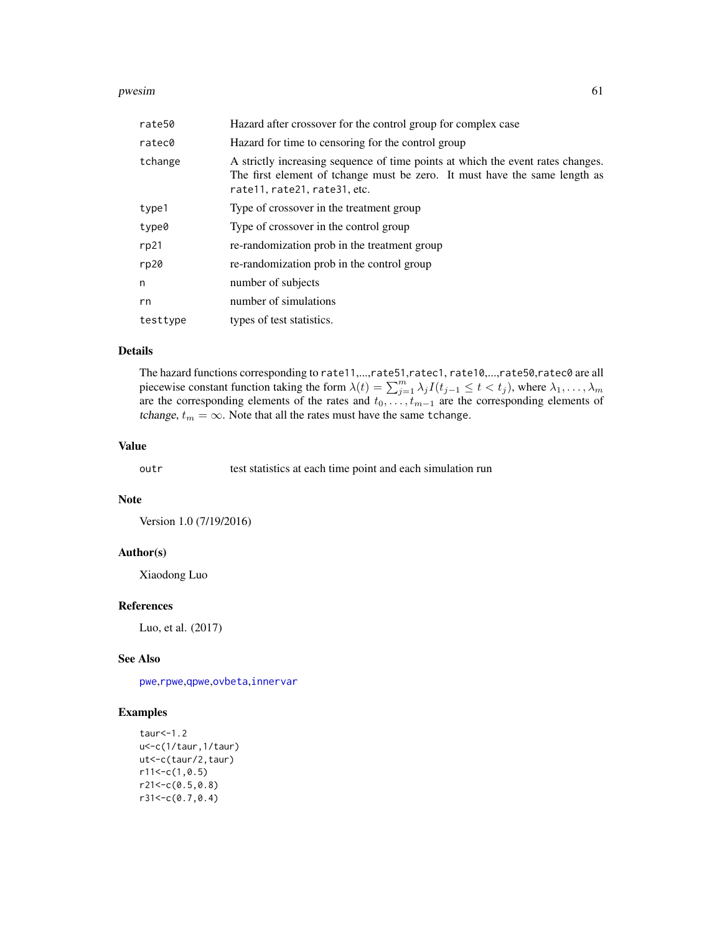#### pwesim 61

| rate50   | Hazard after crossover for the control group for complex case                                                                                                                                 |  |
|----------|-----------------------------------------------------------------------------------------------------------------------------------------------------------------------------------------------|--|
| ratec0   | Hazard for time to censoring for the control group                                                                                                                                            |  |
| tchange  | A strictly increasing sequence of time points at which the event rates changes.<br>The first element of tchange must be zero. It must have the same length as<br>rate11, rate21, rate31, etc. |  |
| type1    | Type of crossover in the treatment group                                                                                                                                                      |  |
| type0    | Type of crossover in the control group                                                                                                                                                        |  |
| rp21     | re-randomization prob in the treatment group                                                                                                                                                  |  |
| rp20     | re-randomization prob in the control group                                                                                                                                                    |  |
| n        | number of subjects                                                                                                                                                                            |  |
| rn       | number of simulations                                                                                                                                                                         |  |
| testtype | types of test statistics.                                                                                                                                                                     |  |

### Details

The hazard functions corresponding to rate11,...,rate51,ratec1, rate10,...,rate50,ratec0 are all piecewise constant function taking the form  $\lambda(t) = \sum_{j=1}^{m} \lambda_j I(t_{j-1} \leq t < t_j)$ , where  $\lambda_1, \dots, \lambda_m$ are the corresponding elements of the rates and  $t_0, \ldots, t_{m-1}$  are the corresponding elements of tchange,  $t_m = \infty$ . Note that all the rates must have the same tchange.

## Value

outr test statistics at each time point and each simulation run

### Note

Version 1.0 (7/19/2016)

#### Author(s)

Xiaodong Luo

#### References

Luo, et al. (2017)

### See Also

[pwe](#page-35-0),[rpwe](#page-77-0),[qpwe](#page-62-0),[ovbeta](#page-22-0),[innervar](#page-15-0)

### Examples

```
taur<-1.2
u<-c(1/taur,1/taur)
ut<-c(taur/2,taur)
r11<-c(1,0.5)r21 < -c(0.5, 0.8)r31<-c(0.7,0.4)
```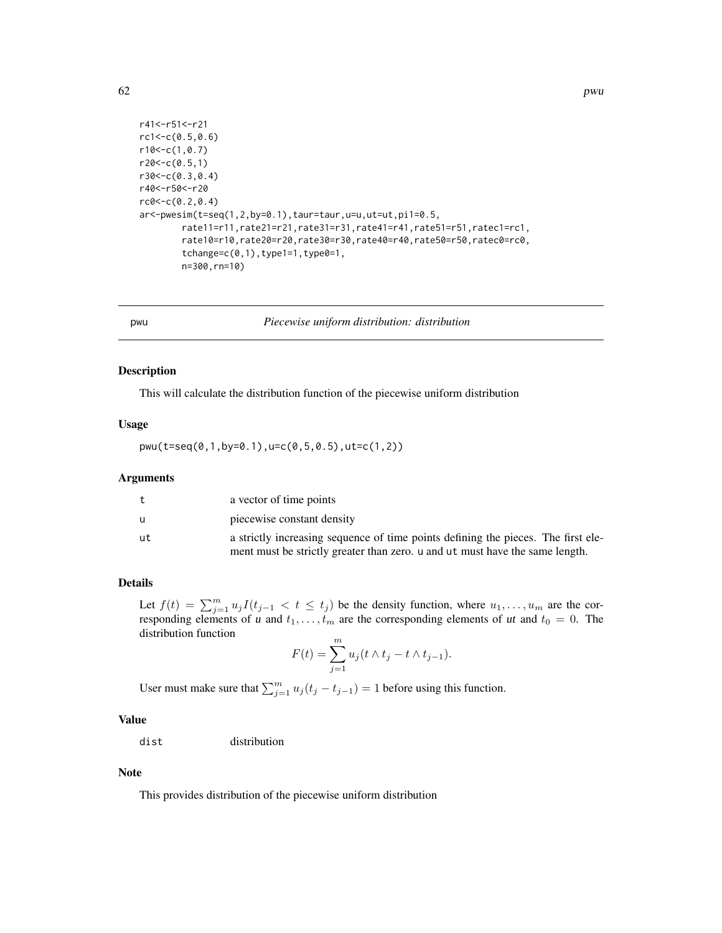```
r41<-r51<-r21
rc1<-c(0.5,0.6)
r10<-c(1,0.7)
r20<-c(0.5,1)r30<-c(0.3,0.4)
r40<-r50<-r20
rc0<-c(0.2,0.4)
ar<-pwesim(t=seq(1,2,by=0.1),taur=taur,u=u,ut=ut,pi1=0.5,
        rate11=r11,rate21=r21,rate31=r31,rate41=r41,rate51=r51,ratec1=rc1,
        rate10=r10,rate20=r20,rate30=r30,rate40=r40,rate50=r50,ratec0=rc0,
        tchange=c(0,1), type1=1, type0=1,
        n=300,rn=10)
```
pwu *Piecewise uniform distribution: distribution*

#### Description

This will calculate the distribution function of the piecewise uniform distribution

#### Usage

pwu(t=seq(0,1,by=0.1),u=c(0,5,0.5),ut=c(1,2))

#### Arguments

| t. | a vector of time points                                                           |
|----|-----------------------------------------------------------------------------------|
| u  | piecewise constant density                                                        |
| ut | a strictly increasing sequence of time points defining the pieces. The first ele- |
|    | ment must be strictly greater than zero, u and ut must have the same length.      |

## Details

Let  $f(t) = \sum_{j=1}^{m} u_j I(t_{j-1} < t \le t_j)$  be the density function, where  $u_1, \ldots, u_m$  are the corresponding elements of u and  $t_1, \ldots, t_m$  are the corresponding elements of ut and  $t_0 = 0$ . The distribution function

$$
F(t) = \sum_{j=1}^{m} u_j (t \wedge t_j - t \wedge t_{j-1}).
$$

User must make sure that  $\sum_{j=1}^{m} u_j (t_j - t_{j-1}) = 1$  before using this function.

# Value

dist distribution

#### Note

This provides distribution of the piecewise uniform distribution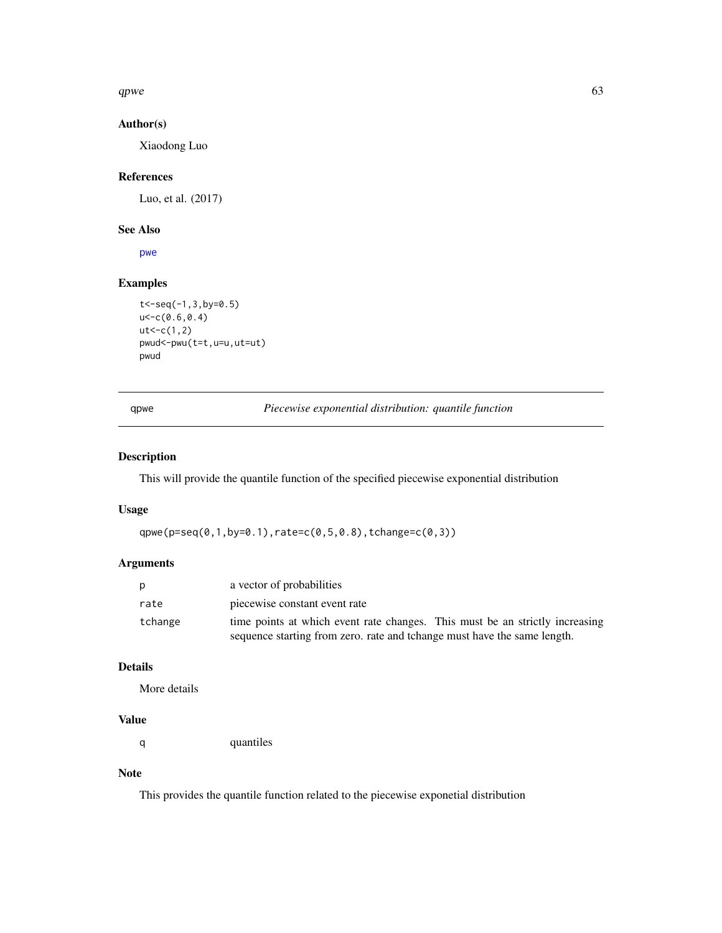qpwe  $\qquad \qquad 63$ 

# Author(s)

Xiaodong Luo

## References

Luo, et al. (2017)

### See Also

[pwe](#page-35-0)

# Examples

```
t<-seq(-1,3,by=0.5)
u < -c(0.6, 0.4)ut < -c(1,2)pwud<-pwu(t=t,u=u,ut=ut)
pwud
```
<span id="page-62-0"></span>qpwe *Piecewise exponential distribution: quantile function*

## Description

This will provide the quantile function of the specified piecewise exponential distribution

#### Usage

```
qpwe(p=seq(0,1,by=0.1),rate=c(0,5,0.8),tchange=c(0,3))
```
## Arguments

| D       | a vector of probabilities                                                    |  |
|---------|------------------------------------------------------------------------------|--|
| rate    | piecewise constant event rate                                                |  |
| tchange | time points at which event rate changes. This must be an strictly increasing |  |
|         | sequence starting from zero. rate and tchange must have the same length.     |  |

### Details

More details

# Value

q quantiles

# Note

This provides the quantile function related to the piecewise exponetial distribution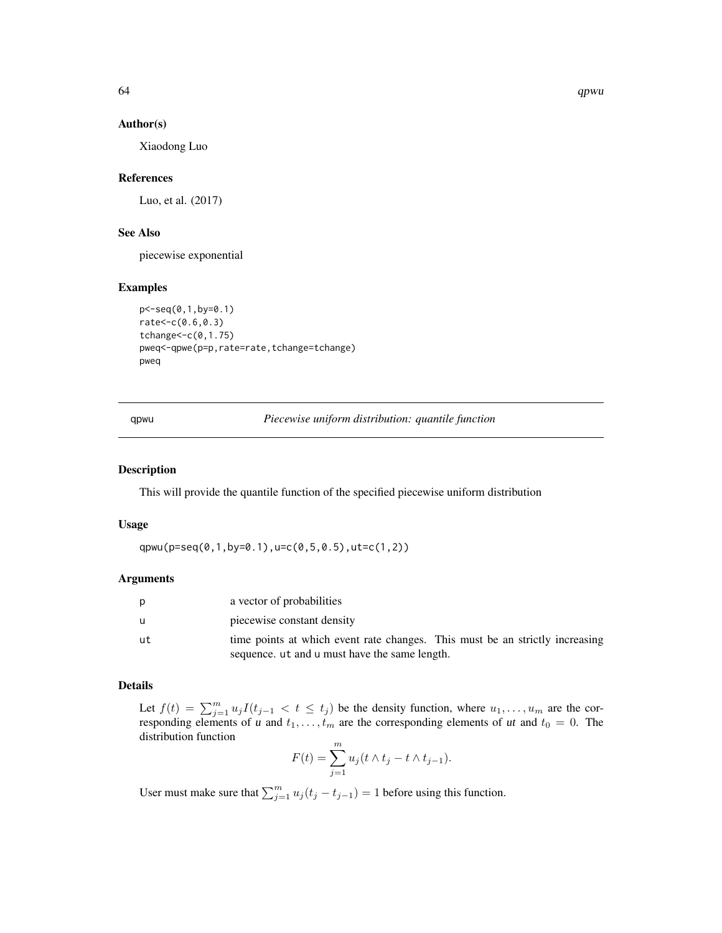#### Author(s)

Xiaodong Luo

### References

Luo, et al. (2017)

# See Also

piecewise exponential

### Examples

```
p<-seq(0,1,by=0.1)
rate<-c(0.6,0.3)
tchange<-c(0,1.75)
pweq<-qpwe(p=p,rate=rate,tchange=tchange)
pweq
```
qpwu *Piecewise uniform distribution: quantile function*

#### Description

This will provide the quantile function of the specified piecewise uniform distribution

#### Usage

qpwu(p=seq(0,1,by=0.1),u=c(0,5,0.5),ut=c(1,2))

### Arguments

| p   | a vector of probabilities                                                    |  |
|-----|------------------------------------------------------------------------------|--|
| - u | piecewise constant density                                                   |  |
| ut. | time points at which event rate changes. This must be an strictly increasing |  |
|     | sequence, ut and u must have the same length.                                |  |

# Details

Let  $f(t) = \sum_{j=1}^{m} u_j I(t_{j-1} < t \le t_j)$  be the density function, where  $u_1, \ldots, u_m$  are the corresponding elements of u and  $t_1, \ldots, t_m$  are the corresponding elements of ut and  $t_0 = 0$ . The distribution function

$$
F(t) = \sum_{j=1}^{m} u_j(t \wedge t_j - t \wedge t_{j-1}).
$$

User must make sure that  $\sum_{j=1}^{m} u_j (t_j - t_{j-1}) = 1$  before using this function.

64 qpwu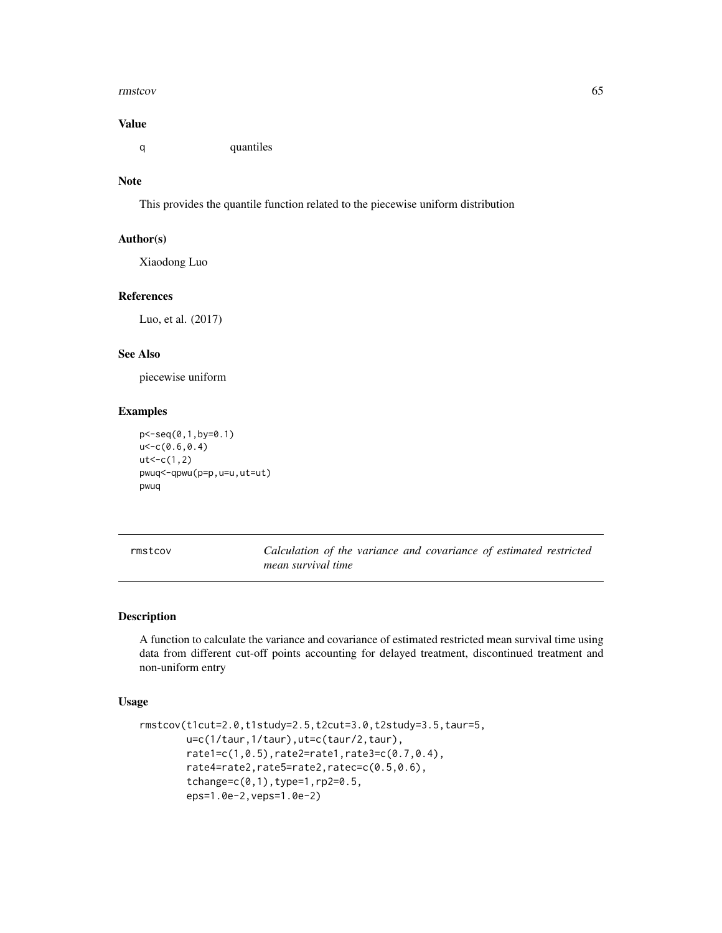#### rmstcov 65

### Value

q quantiles

# Note

This provides the quantile function related to the piecewise uniform distribution

## Author(s)

Xiaodong Luo

#### References

Luo, et al. (2017)

#### See Also

piecewise uniform

## Examples

```
p<-seq(0,1,by=0.1)
u<-c(0.6,0.4)
ut < -c(1,2)pwuq<-qpwu(p=p,u=u,ut=ut)
pwuq
```
rmstcov *Calculation of the variance and covariance of estimated restricted mean survival time*

## Description

A function to calculate the variance and covariance of estimated restricted mean survival time using data from different cut-off points accounting for delayed treatment, discontinued treatment and non-uniform entry

### Usage

```
rmstcov(t1cut=2.0,t1study=2.5,t2cut=3.0,t2study=3.5,taur=5,
       u=c(1/taur,1/taur),ut=c(taur/2,taur),
       rate1=c(1,0.5),rate2=rate1,rate3=c(0.7,0.4),
       rate4=rate2,rate5=rate2,ratec=c(0.5,0.6),
       tchange=c(0,1),type=1,rp2=0.5,
       eps=1.0e-2,veps=1.0e-2)
```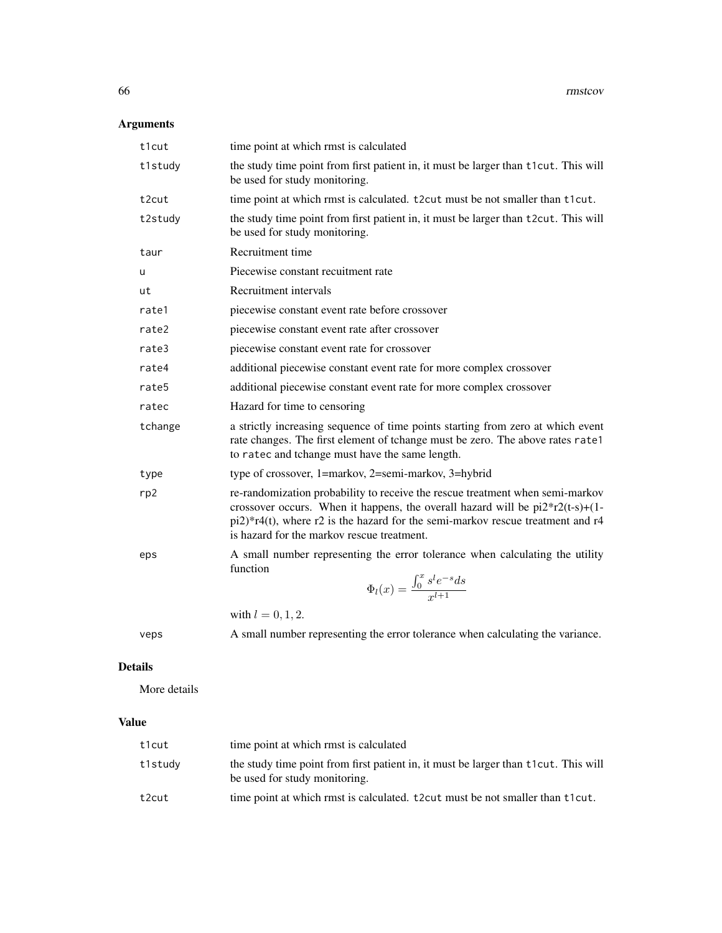# Arguments

| t1cut   | time point at which rmst is calculated                                                                                                                                                                                                                                                                |  |  |
|---------|-------------------------------------------------------------------------------------------------------------------------------------------------------------------------------------------------------------------------------------------------------------------------------------------------------|--|--|
| t1study | the study time point from first patient in, it must be larger than t1cut. This will<br>be used for study monitoring.                                                                                                                                                                                  |  |  |
| t2cut   | time point at which rmst is calculated. t2cut must be not smaller than t1cut.                                                                                                                                                                                                                         |  |  |
| t2study | the study time point from first patient in, it must be larger than t2cut. This will<br>be used for study monitoring.                                                                                                                                                                                  |  |  |
| taur    | Recruitment time                                                                                                                                                                                                                                                                                      |  |  |
| u       | Piecewise constant recuitment rate                                                                                                                                                                                                                                                                    |  |  |
| ut      | Recruitment intervals                                                                                                                                                                                                                                                                                 |  |  |
| rate1   | piecewise constant event rate before crossover                                                                                                                                                                                                                                                        |  |  |
| rate2   | piecewise constant event rate after crossover                                                                                                                                                                                                                                                         |  |  |
| rate3   | piecewise constant event rate for crossover                                                                                                                                                                                                                                                           |  |  |
| rate4   | additional piecewise constant event rate for more complex crossover                                                                                                                                                                                                                                   |  |  |
| rate5   | additional piecewise constant event rate for more complex crossover                                                                                                                                                                                                                                   |  |  |
| ratec   | Hazard for time to censoring                                                                                                                                                                                                                                                                          |  |  |
| tchange | a strictly increasing sequence of time points starting from zero at which event<br>rate changes. The first element of tchange must be zero. The above rates rate1<br>to ratec and tchange must have the same length.                                                                                  |  |  |
| type    | type of crossover, 1=markov, 2=semi-markov, 3=hybrid                                                                                                                                                                                                                                                  |  |  |
| rp2     | re-randomization probability to receive the rescue treatment when semi-markov<br>crossover occurs. When it happens, the overall hazard will be $pi2*r2(t-s)+(1-t)$<br>$pi2$ )*r4(t), where r2 is the hazard for the semi-markov rescue treatment and r4<br>is hazard for the markov rescue treatment. |  |  |
| eps     | A small number representing the error tolerance when calculating the utility<br>function<br>$\Phi_l(x) = \frac{\int_0^x s^l e^{-s} ds}{r^{l+1}}$                                                                                                                                                      |  |  |
|         | with $l = 0, 1, 2$ .                                                                                                                                                                                                                                                                                  |  |  |
| veps    | A small number representing the error tolerance when calculating the variance.                                                                                                                                                                                                                        |  |  |

# Details

More details

# Value

| t1cut   | time point at which rmst is calculated                                                                               |
|---------|----------------------------------------------------------------------------------------------------------------------|
| t1study | the study time point from first patient in, it must be larger than t1cut. This will<br>be used for study monitoring. |
| t2cut   | time point at which rmst is calculated. t2cut must be not smaller than t1cut.                                        |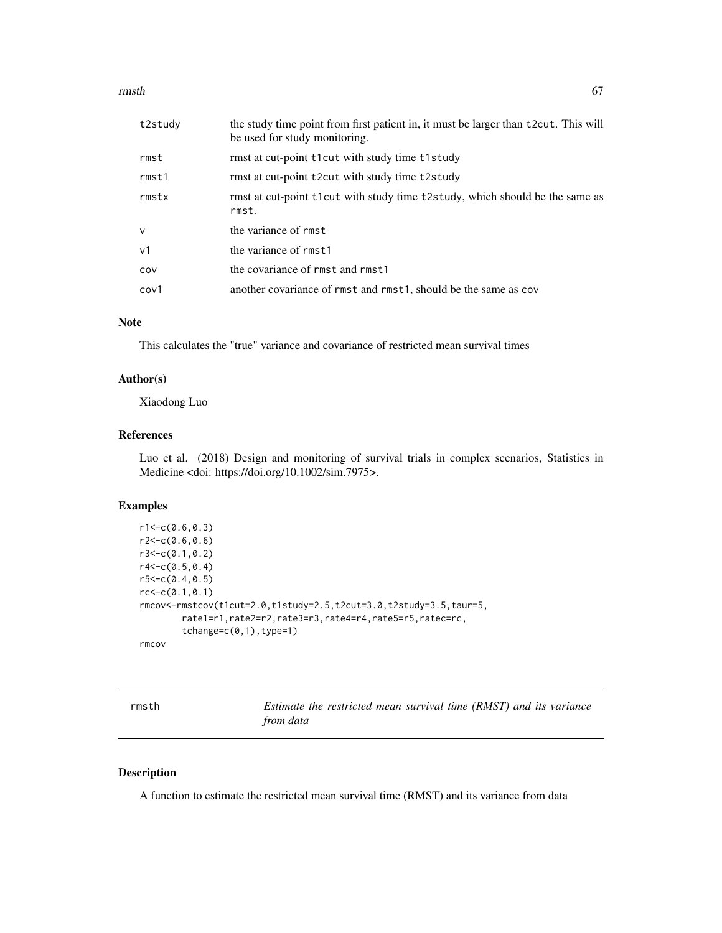#### rmsth 67

| t2study        | the study time point from first patient in, it must be larger than t2cut. This will<br>be used for study monitoring. |  |
|----------------|----------------------------------------------------------------------------------------------------------------------|--|
| rmst           | rmst at cut-point t1 cut with study time t1 study                                                                    |  |
| rmst1          | rmst at cut-point t2cut with study time t2study                                                                      |  |
| rmstx          | rmst at cut-point t1cut with study time t2study, which should be the same as<br>rmst.                                |  |
| $\mathsf{v}$   | the variance of rmst                                                                                                 |  |
| v <sub>1</sub> | the variance of rmst1                                                                                                |  |
| COV            | the covariance of rmst and rmst1                                                                                     |  |
| cov1           | another covariance of rmst and rmst1, should be the same as cov                                                      |  |

### Note

This calculates the "true" variance and covariance of restricted mean survival times

#### Author(s)

Xiaodong Luo

## References

Luo et al. (2018) Design and monitoring of survival trials in complex scenarios, Statistics in Medicine <doi: https://doi.org/10.1002/sim.7975>.

# Examples

```
r1 < -c(0.6, 0.3)r2 < -c(0.6, 0.6)r3<-c(0.1,0.2)
r4 < -c(0.5, 0.4)r5 < -c(0.4, 0.5)rc < -c(0.1, 0.1)rmcov<-rmstcov(t1cut=2.0,t1study=2.5,t2cut=3.0,t2study=3.5,taur=5,
        rate1=r1,rate2=r2,rate3=r3,rate4=r4,rate5=r5,ratec=rc,
        tchange=c(0,1), type=1)
```

|       | ----- |
|-------|-------|
| rmcov |       |
|       |       |

| rmsth | Estimate the restricted mean survival time (RMST) and its variance |  |  |  |  |
|-------|--------------------------------------------------------------------|--|--|--|--|
|       | from data                                                          |  |  |  |  |

### Description

A function to estimate the restricted mean survival time (RMST) and its variance from data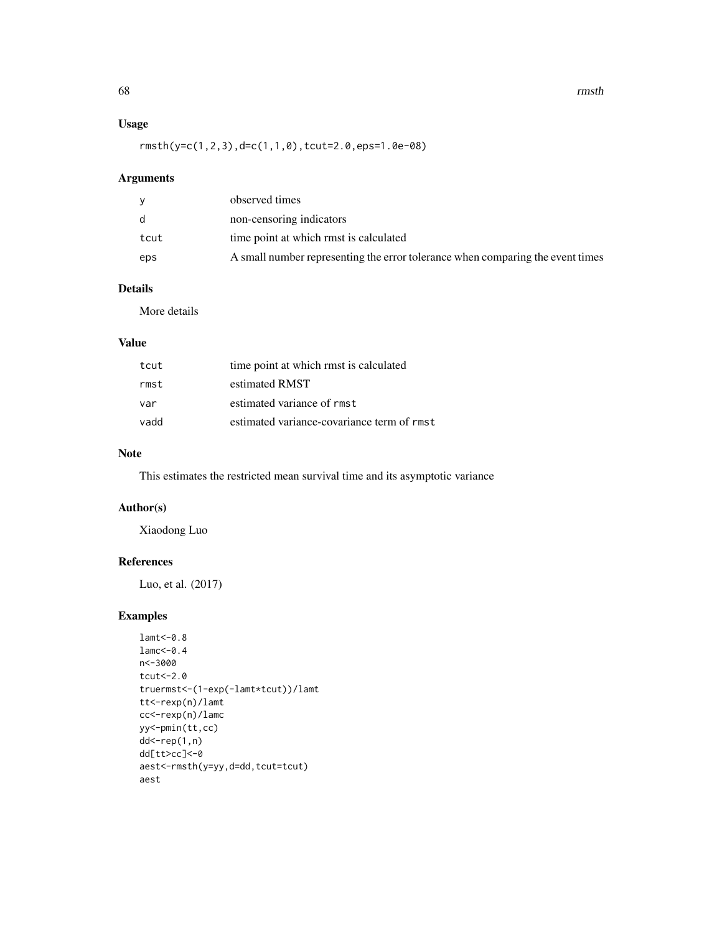## Usage

rmsth(y=c(1,2,3),d=c(1,1,0),tcut=2.0,eps=1.0e-08)

## Arguments

|      | observed times                                                                 |
|------|--------------------------------------------------------------------------------|
| d.   | non-censoring indicators                                                       |
| tcut | time point at which rmst is calculated                                         |
| eps  | A small number representing the error tolerance when comparing the event times |

### Details

More details

## Value

| tcut | time point at which rmst is calculated     |
|------|--------------------------------------------|
| rmst | estimated RMST                             |
| var  | estimated variance of rmst                 |
| vadd | estimated variance-covariance term of rmst |

## Note

This estimates the restricted mean survival time and its asymptotic variance

## Author(s)

Xiaodong Luo

## References

Luo, et al. (2017)

# Examples

```
lamt<-0.8
lamc<-0.4
n<-3000
tcut<-2.0
truermst<-(1-exp(-lamt*tcut))/lamt
tt<-rexp(n)/lamt
cc<-rexp(n)/lamc
yy<-pmin(tt,cc)
dd<-rep(1,n)
dd[tt>cc]<-0
aest<-rmsth(y=yy,d=dd,tcut=tcut)
aest
```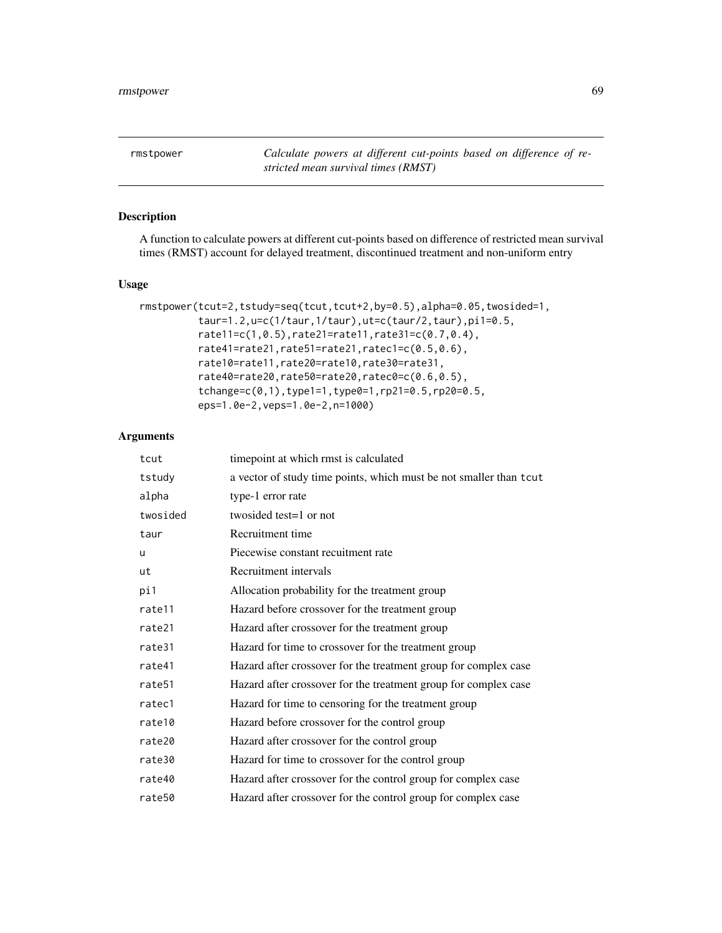rmstpower *Calculate powers at different cut-points based on difference of restricted mean survival times (RMST)*

## Description

A function to calculate powers at different cut-points based on difference of restricted mean survival times (RMST) account for delayed treatment, discontinued treatment and non-uniform entry

### Usage

```
rmstpower(tcut=2,tstudy=seq(tcut,tcut+2,by=0.5),alpha=0.05,twosided=1,
          taur=1.2,u=c(1/taur,1/taur),ut=c(taur/2,taur),pi1=0.5,
          rate11=c(1,0.5),rate21=rate11,rate31=c(0.7,0.4),
          rate41=rate21,rate51=rate21,ratec1=c(0.5,0.6),
          rate10=rate11,rate20=rate10,rate30=rate31,
         rate40=rate20,rate50=rate20,ratec0=c(0.6,0.5),
          tchange=c(0,1),type1=1,type0=1,rp21=0.5,rp20=0.5,
          eps=1.0e-2,veps=1.0e-2,n=1000)
```

| tcut               | timepoint at which rmst is calculated                              |
|--------------------|--------------------------------------------------------------------|
| tstudy             | a vector of study time points, which must be not smaller than tcut |
| alpha              | type-1 error rate                                                  |
| twosided           | twosided test=1 or not                                             |
| taur               | Recruitment time                                                   |
| u                  | Piecewise constant recuitment rate                                 |
| ut                 | Recruitment intervals                                              |
| pi1                | Allocation probability for the treatment group                     |
| rate11             | Hazard before crossover for the treatment group                    |
| rate21             | Hazard after crossover for the treatment group                     |
| rate31             | Hazard for time to crossover for the treatment group               |
| rate41             | Hazard after crossover for the treatment group for complex case    |
| rate <sub>51</sub> | Hazard after crossover for the treatment group for complex case    |
| ratec1             | Hazard for time to censoring for the treatment group               |
| rate10             | Hazard before crossover for the control group                      |
| rate20             | Hazard after crossover for the control group                       |
| rate30             | Hazard for time to crossover for the control group                 |
| rate40             | Hazard after crossover for the control group for complex case      |
| rate50             | Hazard after crossover for the control group for complex case      |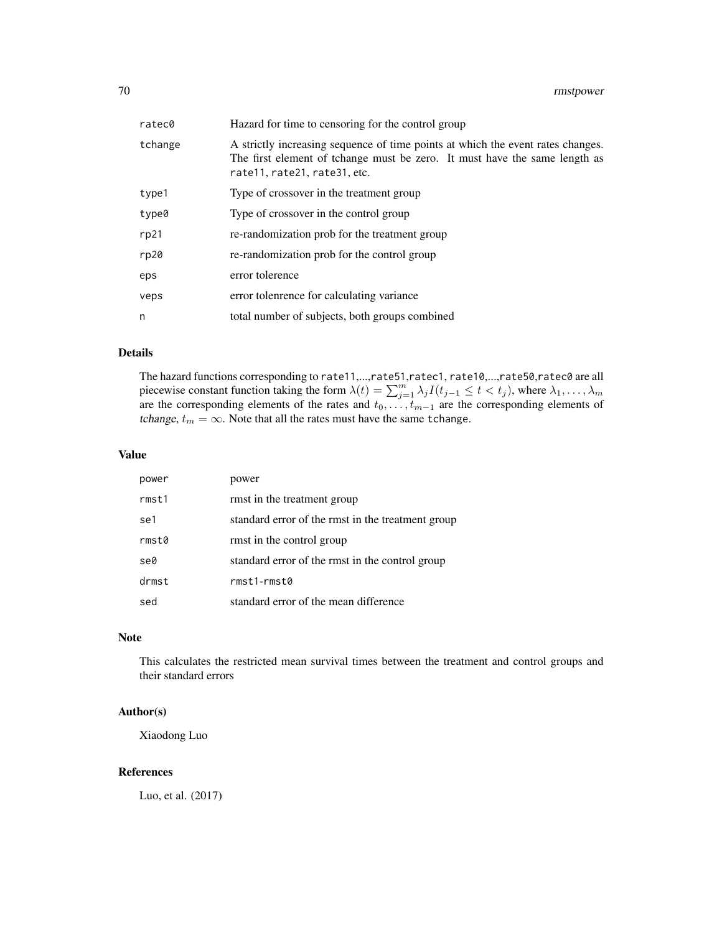| ratec0  | Hazard for time to censoring for the control group                                                                                                                                            |
|---------|-----------------------------------------------------------------------------------------------------------------------------------------------------------------------------------------------|
| tchange | A strictly increasing sequence of time points at which the event rates changes.<br>The first element of tchange must be zero. It must have the same length as<br>rate11, rate21, rate31, etc. |
| type1   | Type of crossover in the treatment group                                                                                                                                                      |
| type0   | Type of crossover in the control group                                                                                                                                                        |
| rp21    | re-randomization prob for the treatment group                                                                                                                                                 |
| rp20    | re-randomization prob for the control group                                                                                                                                                   |
| eps     | error tolerence                                                                                                                                                                               |
| veps    | error tolenrence for calculating variance                                                                                                                                                     |
| n       | total number of subjects, both groups combined                                                                                                                                                |

### Details

The hazard functions corresponding to rate11,...,rate51,ratec1, rate10,...,rate50,ratec0 are all piecewise constant function taking the form  $\lambda(t) = \sum_{j=1}^{m} \lambda_j I(t_{j-1} \le t < t_j)$ , where  $\lambda_1, \dots, \lambda_m$ are the corresponding elements of the rates and  $t_0, \ldots, t_{m-1}$  are the corresponding elements of tchange,  $t_m = \infty$ . Note that all the rates must have the same tchange.

### Value

| power            | power                                             |
|------------------|---------------------------------------------------|
| rmst1            | rmst in the treatment group                       |
| se1              | standard error of the rmst in the treatment group |
| rms <sub>0</sub> | rmst in the control group                         |
| se0              | standard error of the rmst in the control group   |
| drmst            | $rmst1-rmst0$                                     |
| sed              | standard error of the mean difference             |

#### Note

This calculates the restricted mean survival times between the treatment and control groups and their standard errors

## Author(s)

Xiaodong Luo

### References

Luo, et al. (2017)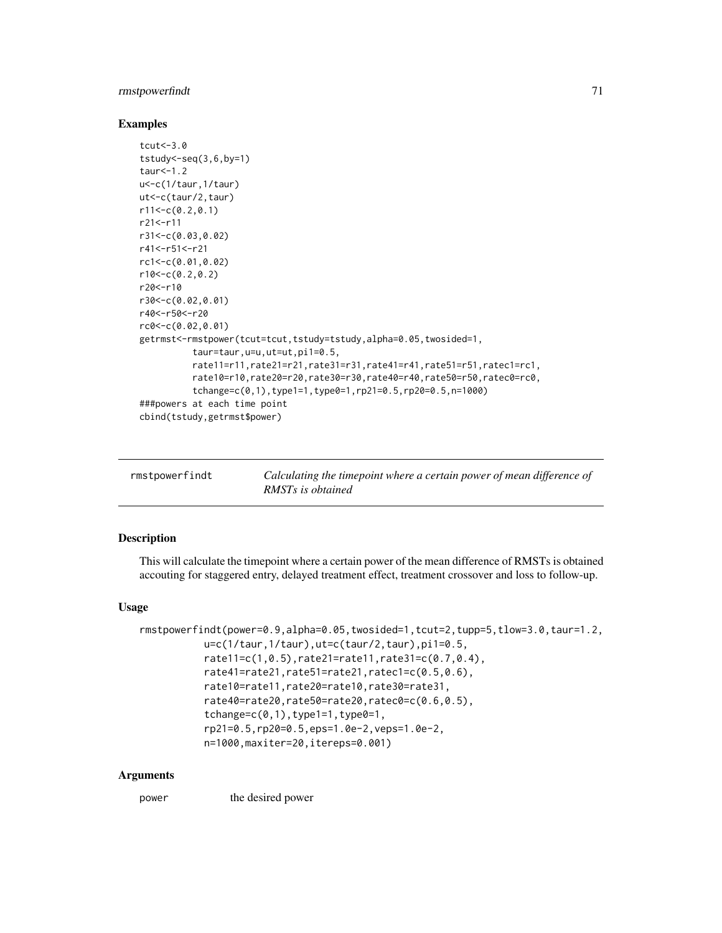## rmstpowerfindt 71

### Examples

```
tcut<-3.0
tstudylt-seq(3,6,by=1)taur < -1.2u<-c(1/taur,1/taur)
ut<-c(taur/2,taur)
r11<-c(0.2,0.1)
r21<-r11
r31<-c(0.03,0.02)
r41<-r51<-r21
rc1<-c(0.01,0.02)
r10<-c(0.2,0.2)r20<-r10
r30<-c(0.02,0.01)
r40<-r50<-r20
rc0<-c(0.02,0.01)
getrmst<-rmstpower(tcut=tcut,tstudy=tstudy,alpha=0.05,twosided=1,
          taur=taur,u=u,ut=ut,pi1=0.5,
          rate11=r11,rate21=r21,rate31=r31,rate41=r41,rate51=r51,ratec1=rc1,
          rate10=r10,rate20=r20,rate30=r30,rate40=r40,rate50=r50,ratec0=rc0,
          tchange=c(0,1),type1=1,type0=1,rp21=0.5,rp20=0.5,n=1000)
###powers at each time point
cbind(tstudy,getrmst$power)
```

| rmstpowerfindt | Calculating the timepoint where a certain power of mean difference of<br>RMST <sub>s</sub> is obtained |
|----------------|--------------------------------------------------------------------------------------------------------|
|----------------|--------------------------------------------------------------------------------------------------------|

## Description

This will calculate the timepoint where a certain power of the mean difference of RMSTs is obtained accouting for staggered entry, delayed treatment effect, treatment crossover and loss to follow-up.

### Usage

```
rmstpowerfindt(power=0.9,alpha=0.05,twosided=1,tcut=2,tupp=5,tlow=3.0,taur=1.2,
           u=c(1/taur,1/taur),ut=c(taur/2,taur),pi1=0.5,
           rate11=c(1,0.5),rate21=rate11,rate31=c(0.7,0.4),
           rate41=rate21,rate51=rate21,ratec1=c(0.5,0.6),
           rate10=rate11,rate20=rate10,rate30=rate31,
           rate40=rate20,rate50=rate20,ratec0=c(0.6,0.5),
           tchange=c(0,1), type1=1, type0=1,
           rp21=0.5,rp20=0.5,eps=1.0e-2,veps=1.0e-2,
           n=1000,maxiter=20,itereps=0.001)
```
#### Arguments

power the desired power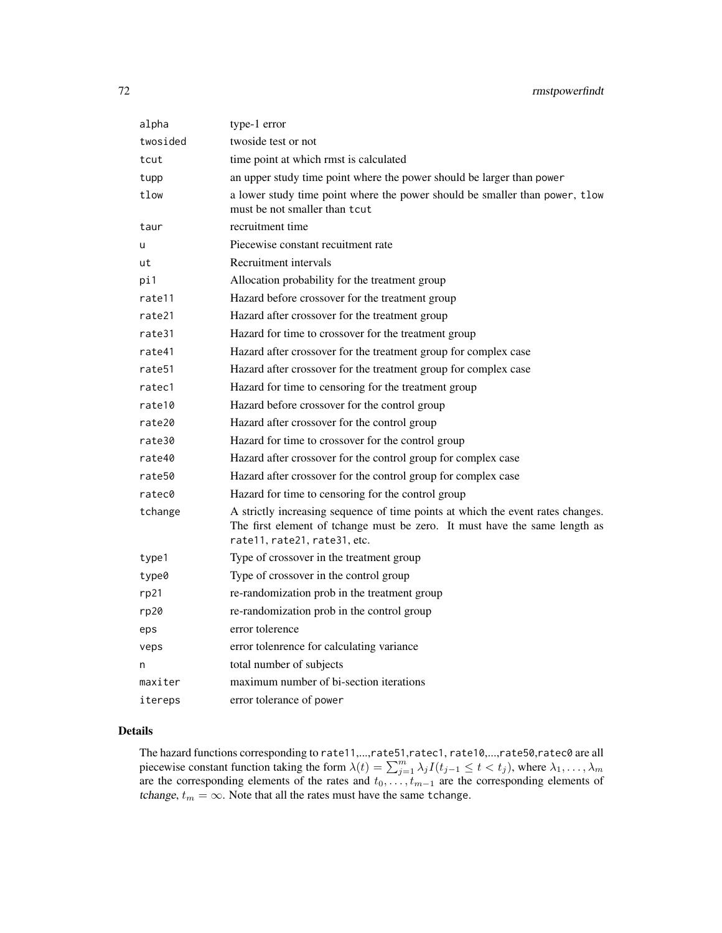| alpha    | type-1 error                                                                                                                                                                                  |
|----------|-----------------------------------------------------------------------------------------------------------------------------------------------------------------------------------------------|
| twosided | twoside test or not                                                                                                                                                                           |
| tcut     | time point at which rmst is calculated                                                                                                                                                        |
| tupp     | an upper study time point where the power should be larger than power                                                                                                                         |
| tlow     | a lower study time point where the power should be smaller than power, tlow<br>must be not smaller than tcut                                                                                  |
| taur     | recruitment time                                                                                                                                                                              |
| u        | Piecewise constant recuitment rate                                                                                                                                                            |
| ut       | Recruitment intervals                                                                                                                                                                         |
| pi1      | Allocation probability for the treatment group                                                                                                                                                |
| rate11   | Hazard before crossover for the treatment group                                                                                                                                               |
| rate21   | Hazard after crossover for the treatment group                                                                                                                                                |
| rate31   | Hazard for time to crossover for the treatment group                                                                                                                                          |
| rate41   | Hazard after crossover for the treatment group for complex case                                                                                                                               |
| rate51   | Hazard after crossover for the treatment group for complex case                                                                                                                               |
| ratec1   | Hazard for time to censoring for the treatment group                                                                                                                                          |
| rate10   | Hazard before crossover for the control group                                                                                                                                                 |
| rate20   | Hazard after crossover for the control group                                                                                                                                                  |
| rate30   | Hazard for time to crossover for the control group                                                                                                                                            |
| rate40   | Hazard after crossover for the control group for complex case                                                                                                                                 |
| rate50   | Hazard after crossover for the control group for complex case                                                                                                                                 |
| ratec0   | Hazard for time to censoring for the control group                                                                                                                                            |
| tchange  | A strictly increasing sequence of time points at which the event rates changes.<br>The first element of tchange must be zero. It must have the same length as<br>rate11, rate21, rate31, etc. |
| type1    | Type of crossover in the treatment group                                                                                                                                                      |
| type0    | Type of crossover in the control group                                                                                                                                                        |
| rp21     | re-randomization prob in the treatment group                                                                                                                                                  |
| rp20     | re-randomization prob in the control group                                                                                                                                                    |
| eps      | error tolerence                                                                                                                                                                               |
| veps     | error tolenrence for calculating variance                                                                                                                                                     |
| n        | total number of subjects                                                                                                                                                                      |
| maxiter  | maximum number of bi-section iterations                                                                                                                                                       |
| itereps  | error tolerance of power                                                                                                                                                                      |

### Details

The hazard functions corresponding to rate11,...,rate51,ratec1, rate10,...,rate50,ratec0 are all piecewise constant function taking the form  $\lambda(t) = \sum_{j=1}^{m} \lambda_j I(t_{j-1} \leq t < t_j)$ , where  $\lambda_1, \dots, \lambda_m$ are the corresponding elements of the rates and  $t_0, \ldots, t_{m-1}$  are the corresponding elements of tchange,  $t_m = \infty$ . Note that all the rates must have the same tchange.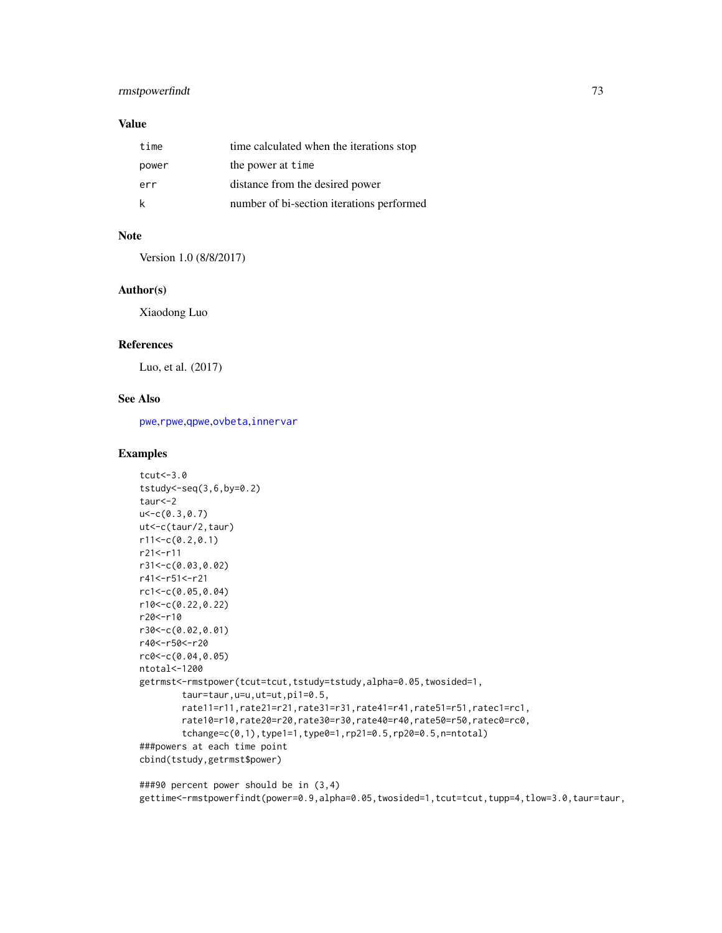# <span id="page-72-0"></span>rmstpowerfindt 73

# Value

| time  | time calculated when the iterations stop  |
|-------|-------------------------------------------|
| power | the power at time                         |
| err   | distance from the desired power           |
| k     | number of bi-section iterations performed |

## Note

Version 1.0 (8/8/2017)

## Author(s)

Xiaodong Luo

## References

Luo, et al. (2017)

## See Also

[pwe](#page-35-0),[rpwe](#page-77-0),[qpwe](#page-62-0),[ovbeta](#page-22-0),[innervar](#page-15-0)

```
tcut<-3.0
tstudy<-seq(3,6,by=0.2)
taur<-2
u<-c(0.3,0.7)
ut<-c(taur/2,taur)
r11<-c(0.2,0.1)
r21<-r11
r31<-c(0.03,0.02)
r41<-r51<-r21
rc1<-c(0.05,0.04)
r10<-c(0.22,0.22)
r20<-r10
r30<-c(0.02,0.01)
r40<-r50<-r20
rc0<-c(0.04,0.05)
ntotal<-1200
getrmst<-rmstpower(tcut=tcut,tstudy=tstudy,alpha=0.05,twosided=1,
        taur=taur,u=u,ut=ut,pi1=0.5,
        rate11=r11,rate21=r21,rate31=r31,rate41=r41,rate51=r51,ratec1=rc1,
        rate10=r10,rate20=r20,rate30=r30,rate40=r40,rate50=r50,ratec0=rc0,
        tchange=c(0,1),type1=1,type0=1,rp21=0.5,rp20=0.5,n=ntotal)
###powers at each time point
cbind(tstudy,getrmst$power)
```

```
###90 percent power should be in (3,4)
gettime<-rmstpowerfindt(power=0.9,alpha=0.05,twosided=1,tcut=tcut,tupp=4,tlow=3.0,taur=taur,
```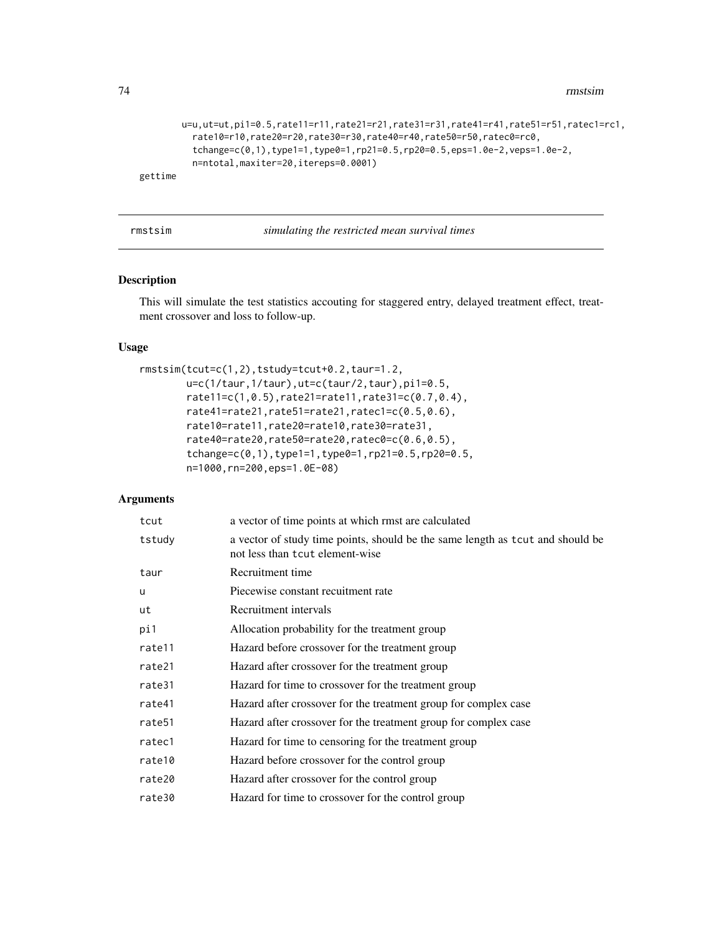```
u=u,ut=ut,pi1=0.5,rate11=r11,rate21=r21,rate31=r31,rate41=r41,rate51=r51,ratec1=rc1,
         rate10=r10,rate20=r20,rate30=r30,rate40=r40,rate50=r50,ratec0=rc0,
          tchange=c(0,1),type1=1,type0=1,rp21=0.5,rp20=0.5,eps=1.0e-2,veps=1.0e-2,
         n=ntotal,maxiter=20,itereps=0.0001)
gettime
```

| rmstsim |  | simulating the restricted mean survival times |  |
|---------|--|-----------------------------------------------|--|
|---------|--|-----------------------------------------------|--|

## Description

This will simulate the test statistics accouting for staggered entry, delayed treatment effect, treatment crossover and loss to follow-up.

#### Usage

```
rmstsim(tcut=c(1,2),tstudy=tcut+0.2,taur=1.2,
       u=c(1/taur,1/taur),ut=c(taur/2,taur),pi1=0.5,
       rate11=c(1,0.5),rate21=rate11,rate31=c(0.7,0.4),
       rate41=rate21,rate51=rate21,ratec1=c(0.5,0.6),
       rate10=rate11,rate20=rate10,rate30=rate31,
       rate40=rate20,rate50=rate20,ratec0=c(0.6,0.5),
       tchange=c(0,1),type1=1,type0=1,rp21=0.5,rp20=0.5,
       n=1000,rn=200,eps=1.0E-08)
```
## Arguments

|   | tcut               | a vector of time points at which rmst are calculated                                                              |
|---|--------------------|-------------------------------------------------------------------------------------------------------------------|
|   | tstudy             | a vector of study time points, should be the same length as tcut and should be<br>not less than tout element-wise |
|   | taur               | Recruitment time                                                                                                  |
| u |                    | Piecewise constant recuitment rate                                                                                |
|   | ut                 | Recruitment intervals                                                                                             |
|   | pi1                | Allocation probability for the treatment group                                                                    |
|   | rate11             | Hazard before crossover for the treatment group                                                                   |
|   | rate21             | Hazard after crossover for the treatment group                                                                    |
|   | rate31             | Hazard for time to crossover for the treatment group                                                              |
|   | rate41             | Hazard after crossover for the treatment group for complex case                                                   |
|   | rate <sub>51</sub> | Hazard after crossover for the treatment group for complex case                                                   |
|   | ratec1             | Hazard for time to censoring for the treatment group                                                              |
|   | rate10             | Hazard before crossover for the control group                                                                     |
|   | rate20             | Hazard after crossover for the control group                                                                      |
|   | rate30             | Hazard for time to crossover for the control group                                                                |
|   |                    |                                                                                                                   |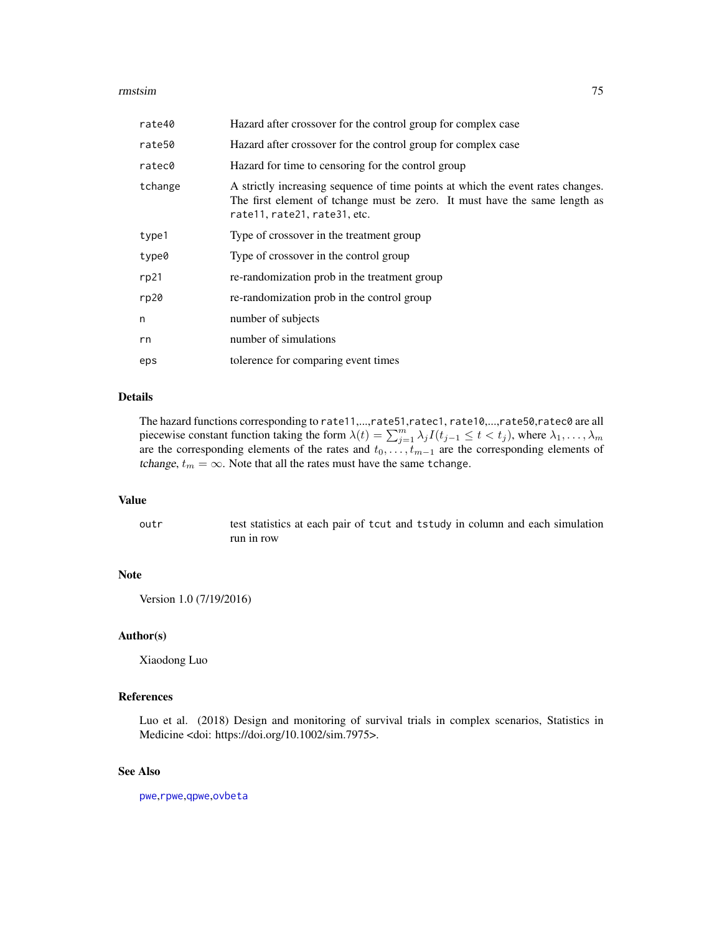#### <span id="page-74-0"></span>rmstsim and the contract of the contract of the contract of the contract of the contract of the contract of the contract of the contract of the contract of the contract of the contract of the contract of the contract of th

| rate40  | Hazard after crossover for the control group for complex case                                                                                                                                 |
|---------|-----------------------------------------------------------------------------------------------------------------------------------------------------------------------------------------------|
| rate50  | Hazard after crossover for the control group for complex case                                                                                                                                 |
| ratec0  | Hazard for time to censoring for the control group                                                                                                                                            |
| tchange | A strictly increasing sequence of time points at which the event rates changes.<br>The first element of tchange must be zero. It must have the same length as<br>rate11, rate21, rate31, etc. |
| type1   | Type of crossover in the treatment group                                                                                                                                                      |
| type0   | Type of crossover in the control group                                                                                                                                                        |
| rp21    | re-randomization prob in the treatment group                                                                                                                                                  |
| rp20    | re-randomization prob in the control group                                                                                                                                                    |
| n       | number of subjects                                                                                                                                                                            |
| rn      | number of simulations                                                                                                                                                                         |
| eps     | tolerence for comparing event times                                                                                                                                                           |

## Details

The hazard functions corresponding to rate11,...,rate51,ratec1, rate10,...,rate50,ratec0 are all piecewise constant function taking the form  $\lambda(t) = \sum_{j=1}^{m} \lambda_j I(t_{j-1} \leq t < t_j)$ , where  $\lambda_1, \dots, \lambda_m$ are the corresponding elements of the rates and  $t_0, \ldots, t_{m-1}$  are the corresponding elements of tchange,  $t_m = \infty$ . Note that all the rates must have the same tchange.

## Value

outr test statistics at each pair of tcut and tstudy in column and each simulation run in row

## Note

Version 1.0 (7/19/2016)

## Author(s)

Xiaodong Luo

#### References

Luo et al. (2018) Design and monitoring of survival trials in complex scenarios, Statistics in Medicine <doi: https://doi.org/10.1002/sim.7975>.

# See Also

[pwe](#page-35-0),[rpwe](#page-77-0),[qpwe](#page-62-0),[ovbeta](#page-22-0)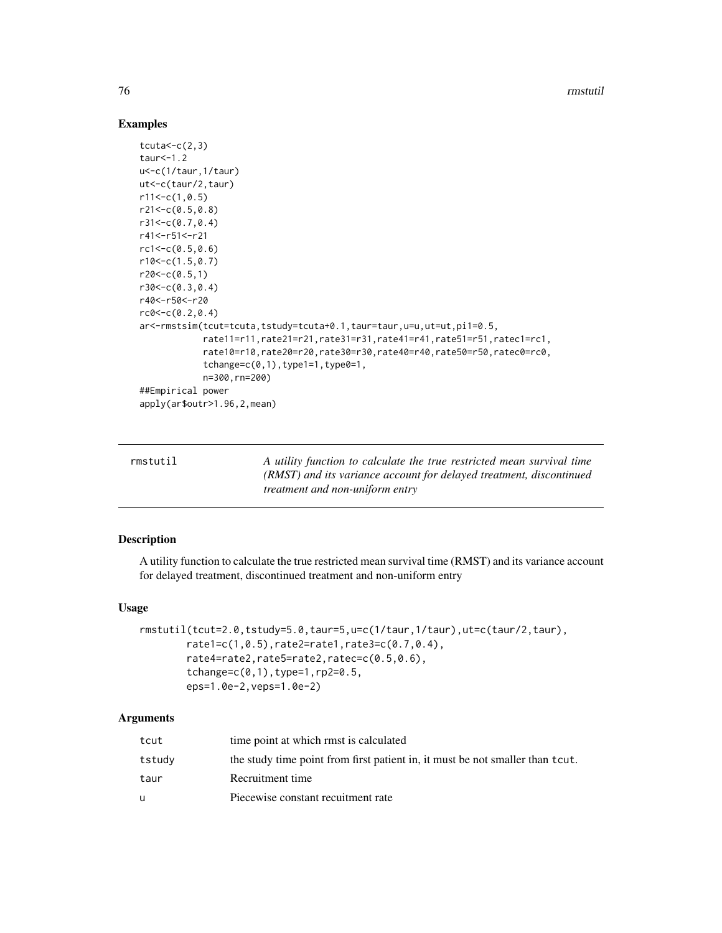76 rmstutil

## Examples

```
tcuta < -c(2,3)taur<-1.2
u<-c(1/taur,1/taur)
ut<-c(taur/2,taur)
r11<-c(1,0.5)r21<-c(0.5,0.8)
r31<-c(0.7,0.4)
r41<-r51<-r21
rc1 < -c(0.5, 0.6)r10<-c(1.5, 0.7)r20<-c(0.5,1)r30<-c(0.3,0.4)
r40<-r50<-r20
rc0 < -c(0.2, 0.4)ar<-rmstsim(tcut=tcuta,tstudy=tcuta+0.1,taur=taur,u=u,ut=ut,pi1=0.5,
            rate11=r11,rate21=r21,rate31=r31,rate41=r41,rate51=r51,ratec1=rc1,
            rate10=r10,rate20=r20,rate30=r30,rate40=r40,rate50=r50,ratec0=rc0,
            tchange=c(0,1), type1=1, type0=1,
            n=300,rn=200)
##Empirical power
apply(ar$outr>1.96,2,mean)
```

| rmstutil | A utility function to calculate the true restricted mean survival time |
|----------|------------------------------------------------------------------------|
|          | (RMST) and its variance account for delayed treatment, discontinued    |
|          | <i>treatment and non-uniform entry</i>                                 |

# Description

A utility function to calculate the true restricted mean survival time (RMST) and its variance account for delayed treatment, discontinued treatment and non-uniform entry

## Usage

```
rmstutil(tcut=2.0,tstudy=5.0,taur=5,u=c(1/taur,1/taur),ut=c(taur/2,taur),
       rate1=c(1,0.5),rate2=rate1,rate3=c(0.7,0.4),
       rate4=rate2,rate5=rate2,ratec=c(0.5,0.6),
       tchange=c(0,1),type=1,rp2=0.5,
       eps=1.0e-2,veps=1.0e-2)
```
## Arguments

| tcut   | time point at which rmst is calculated                                        |
|--------|-------------------------------------------------------------------------------|
| tstudy | the study time point from first patient in, it must be not smaller than tcut. |
| taur   | Recruitment time                                                              |
| u      | Piecewise constant recuitment rate                                            |

<span id="page-75-0"></span>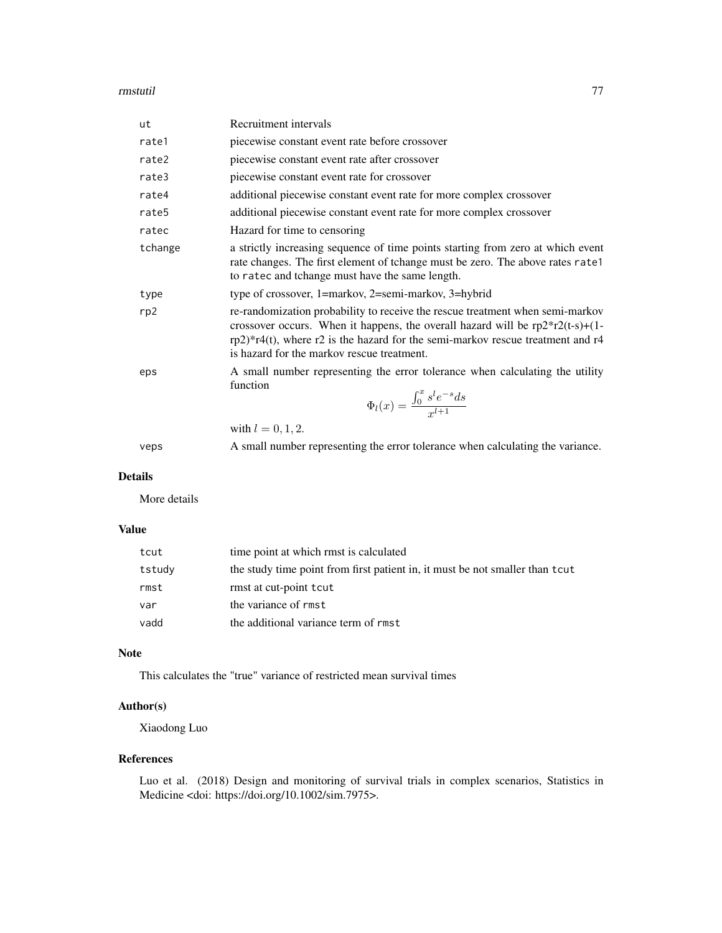#### rmstutil and the contract of the contract of the contract of the contract of the contract of the contract of the contract of the contract of the contract of the contract of the contract of the contract of the contract of t

| ut      | Recruitment intervals                                                                                                                                                                                                                                                                                 |
|---------|-------------------------------------------------------------------------------------------------------------------------------------------------------------------------------------------------------------------------------------------------------------------------------------------------------|
| rate1   | piecewise constant event rate before crossover                                                                                                                                                                                                                                                        |
| rate2   | piecewise constant event rate after crossover                                                                                                                                                                                                                                                         |
| rate3   | piecewise constant event rate for crossover                                                                                                                                                                                                                                                           |
| rate4   | additional piecewise constant event rate for more complex crossover                                                                                                                                                                                                                                   |
| rate5   | additional piecewise constant event rate for more complex crossover                                                                                                                                                                                                                                   |
| ratec   | Hazard for time to censoring                                                                                                                                                                                                                                                                          |
| tchange | a strictly increasing sequence of time points starting from zero at which event<br>rate changes. The first element of tchange must be zero. The above rates rate1<br>to ratec and tchange must have the same length.                                                                                  |
| type    | type of crossover, 1=markov, 2=semi-markov, 3=hybrid                                                                                                                                                                                                                                                  |
| rp2     | re-randomization probability to receive the rescue treatment when semi-markov<br>crossover occurs. When it happens, the overall hazard will be $rp2*r2(t-s)+(1-t)$<br>$rp2)*r4(t)$ , where r2 is the hazard for the semi-markov rescue treatment and r4<br>is hazard for the markov rescue treatment. |
| eps     | A small number representing the error tolerance when calculating the utility<br>function<br>$\Phi_l(x) = \frac{\int_0^x s^l e^{-s} ds}{x^{l+1}}$                                                                                                                                                      |
|         | with $l = 0, 1, 2$ .                                                                                                                                                                                                                                                                                  |
| veps    | A small number representing the error tolerance when calculating the variance.                                                                                                                                                                                                                        |

# Details

More details

# Value

| tcut   | time point at which rmst is calculated                                       |
|--------|------------------------------------------------------------------------------|
| tstudy | the study time point from first patient in, it must be not smaller than tcut |
| rmst   | rmst at cut-point tout                                                       |
| var    | the variance of rmst                                                         |
| vadd   | the additional variance term of rmst                                         |

#### Note

This calculates the "true" variance of restricted mean survival times

# Author(s)

Xiaodong Luo

## References

Luo et al. (2018) Design and monitoring of survival trials in complex scenarios, Statistics in Medicine <doi: https://doi.org/10.1002/sim.7975>.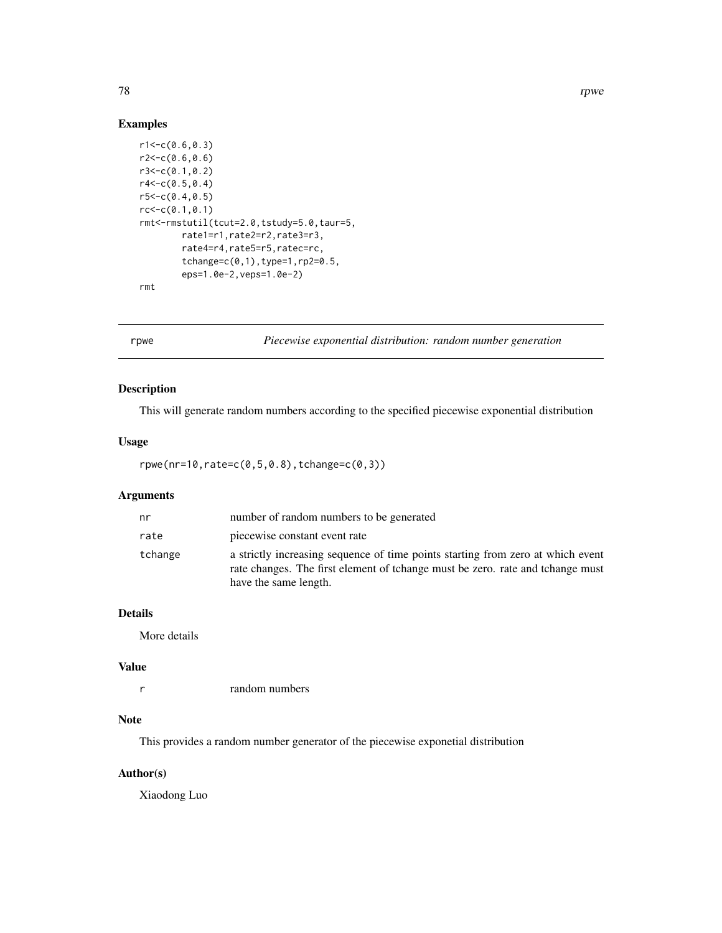## Examples

```
r1 < -c(0.6, 0.3)r2 < -c(0.6, 0.6)r3<-c(0.1,0.2)
r4 < -c(0.5, 0.4)r5 < -c(0.4, 0.5)rc < -c(0.1, 0.1)rmt<-rmstutil(tcut=2.0,tstudy=5.0,taur=5,
        rate1=r1,rate2=r2,rate3=r3,
        rate4=r4,rate5=r5,ratec=rc,
        tchange=c(0,1),type=1,rp2=0.5,
        eps=1.0e-2,veps=1.0e-2)
rmt
```
<span id="page-77-0"></span>rpwe *Piecewise exponential distribution: random number generation*

# Description

This will generate random numbers according to the specified piecewise exponential distribution

#### Usage

rpwe(nr=10,rate=c(0,5,0.8),tchange=c(0,3))

# Arguments

| nr      | number of random numbers to be generated                                                                                                                                                   |
|---------|--------------------------------------------------------------------------------------------------------------------------------------------------------------------------------------------|
| rate    | piecewise constant event rate                                                                                                                                                              |
| tchange | a strictly increasing sequence of time points starting from zero at which event<br>rate changes. The first element of tchange must be zero, rate and tchange must<br>have the same length. |

## Details

More details

## Value

r random numbers

## Note

This provides a random number generator of the piecewise exponetial distribution

## Author(s)

Xiaodong Luo

<span id="page-77-1"></span>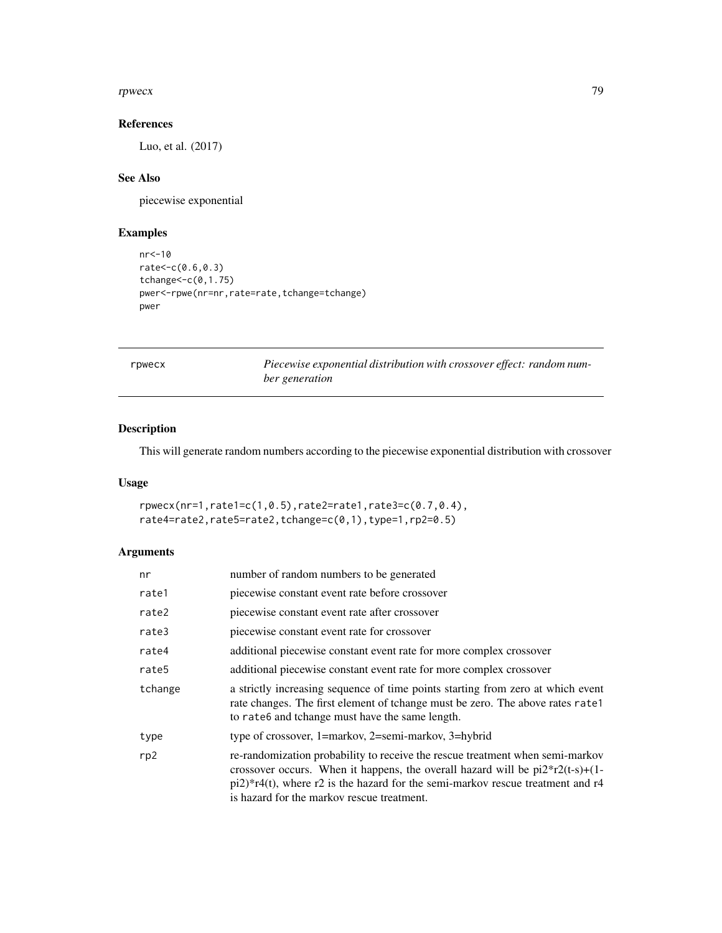#### <span id="page-78-0"></span>rpwecx **79**

## References

Luo, et al. (2017)

# See Also

piecewise exponential

# Examples

```
nr<-10
rate<-c(0.6,0.3)
tchange<-c(0,1.75)
pwer<-rpwe(nr=nr,rate=rate,tchange=tchange)
pwer
```

|  | `bwec | X |
|--|-------|---|

*r Piecewise exponential distribution with crossover effect: random number generation*

# Description

This will generate random numbers according to the piecewise exponential distribution with crossover

## Usage

```
rpwecx(nr=1,rate1=c(1,0.5),rate2=rate1,rate3=c(0.7,0.4),
rate4=rate2,rate5=rate2,tchange=c(0,1),type=1,rp2=0.5)
```
## Arguments

| nr      | number of random numbers to be generated                                                                                                                                                                                                                                                                         |
|---------|------------------------------------------------------------------------------------------------------------------------------------------------------------------------------------------------------------------------------------------------------------------------------------------------------------------|
| rate1   | piecewise constant event rate before crossover                                                                                                                                                                                                                                                                   |
| rate2   | piecewise constant event rate after crossover                                                                                                                                                                                                                                                                    |
| rate3   | piecewise constant event rate for crossover                                                                                                                                                                                                                                                                      |
| rate4   | additional piecewise constant event rate for more complex crossover                                                                                                                                                                                                                                              |
| rate5   | additional piecewise constant event rate for more complex crossover                                                                                                                                                                                                                                              |
| tchange | a strictly increasing sequence of time points starting from zero at which event<br>rate changes. The first element of tchange must be zero. The above rates rate1<br>to rate6 and tchange must have the same length.                                                                                             |
| type    | type of crossover, 1=markov, 2=semi-markov, 3=hybrid                                                                                                                                                                                                                                                             |
| rp2     | re-randomization probability to receive the rescue treatment when semi-markov<br>crossover occurs. When it happens, the overall hazard will be $pi2*r2(t-s)+(1-t)$<br>$pi2$ <sup>*</sup> r4(t), where r2 is the hazard for the semi-markov rescue treatment and r4<br>is hazard for the markov rescue treatment. |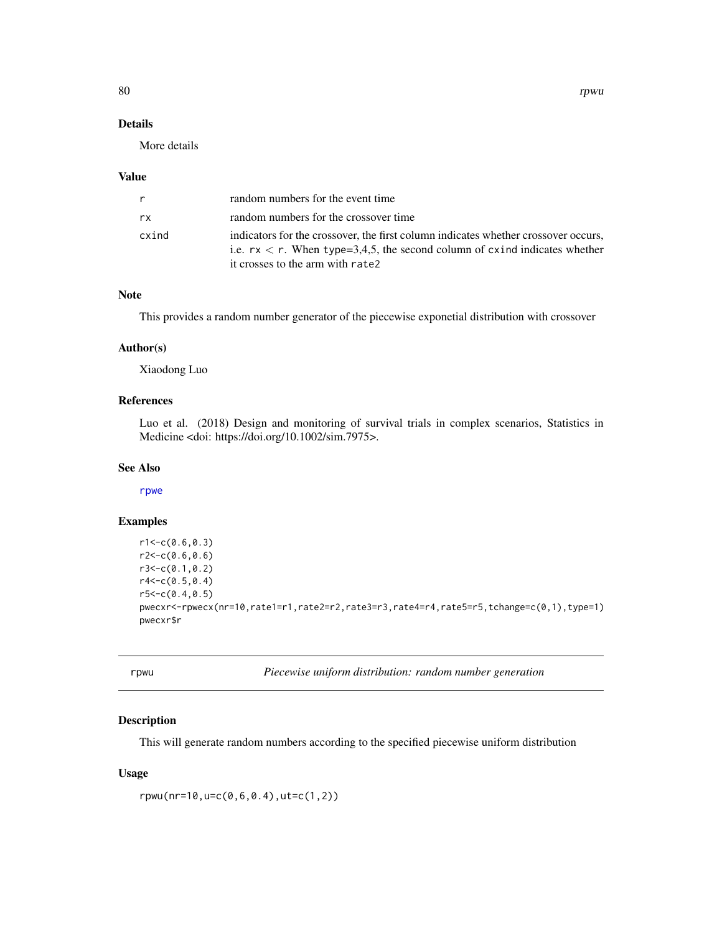# Details

More details

#### Value

| r     | random numbers for the event time                                                                                                                                                                       |
|-------|---------------------------------------------------------------------------------------------------------------------------------------------------------------------------------------------------------|
| rx    | random numbers for the crossover time                                                                                                                                                                   |
| cxind | indicators for the crossover, the first column indicates whether crossover occurs,<br>i.e. $rx < r$ . When type=3,4,5, the second column of cxind indicates whether<br>it crosses to the arm with rate2 |

## Note

This provides a random number generator of the piecewise exponetial distribution with crossover

#### Author(s)

Xiaodong Luo

# References

Luo et al. (2018) Design and monitoring of survival trials in complex scenarios, Statistics in Medicine <doi: https://doi.org/10.1002/sim.7975>.

## See Also

[rpwe](#page-77-0)

# Examples

```
r1 < -c(0.6, 0.3)r2 < -c(0.6, 0.6)r3<-c(0.1,0.2)
r4<-c(0.5,0.4)
r5 < -c(0.4, 0.5)pwecxr<-rpwecx(nr=10,rate1=r1,rate2=r2,rate3=r3,rate4=r4,rate5=r5,tchange=c(0,1),type=1)
pwecxr$r
```
rpwu *Piecewise uniform distribution: random number generation*

## Description

This will generate random numbers according to the specified piecewise uniform distribution

#### Usage

rpwu(nr=10,u=c(0,6,0.4),ut=c(1,2))

<span id="page-79-0"></span>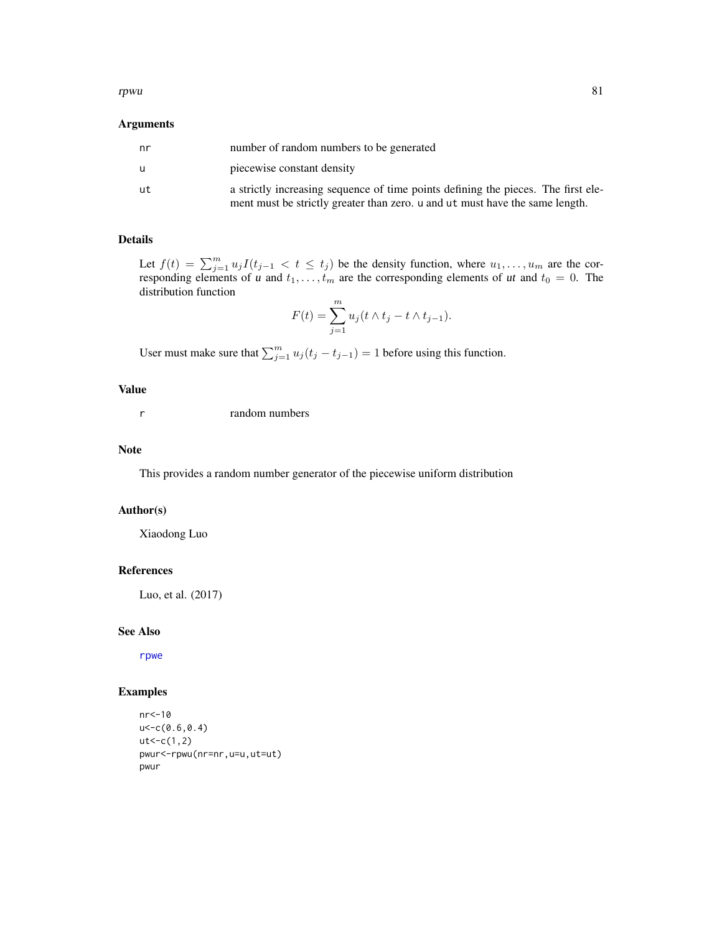#### <span id="page-80-0"></span>rpwu 81

## Arguments

| nr | number of random numbers to be generated                                                                                                                          |
|----|-------------------------------------------------------------------------------------------------------------------------------------------------------------------|
| u  | piecewise constant density                                                                                                                                        |
| ut | a strictly increasing sequence of time points defining the pieces. The first ele-<br>ment must be strictly greater than zero. u and ut must have the same length. |

# Details

Let  $f(t) = \sum_{j=1}^{m} u_j I(t_{j-1} < t \le t_j)$  be the density function, where  $u_1, \ldots, u_m$  are the corresponding elements of u and  $t_1, \ldots, t_m$  are the corresponding elements of ut and  $t_0 = 0$ . The distribution function

$$
F(t) = \sum_{j=1}^{m} u_j(t \wedge t_j - t \wedge t_{j-1}).
$$

User must make sure that  $\sum_{j=1}^{m} u_j (t_j - t_{j-1}) = 1$  before using this function.

## Value

r random numbers

## Note

This provides a random number generator of the piecewise uniform distribution

## Author(s)

Xiaodong Luo

## References

Luo, et al. (2017)

#### See Also

[rpwe](#page-77-0)

```
nr<-10
u<-c(0.6,0.4)
ut < -c(1,2)pwur<-rpwu(nr=nr,u=u,ut=ut)
pwur
```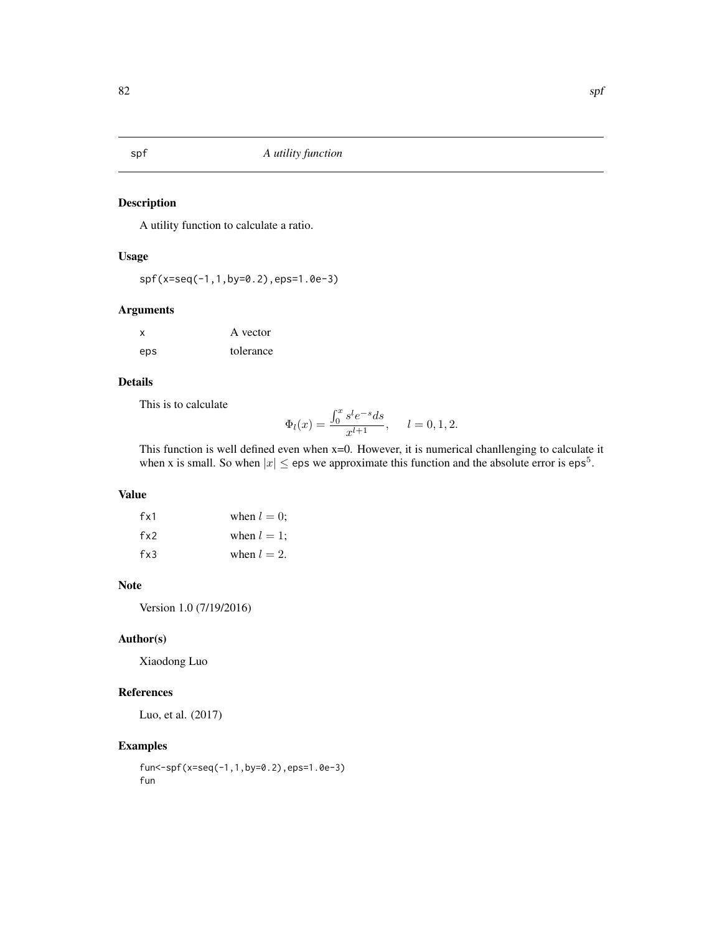<span id="page-81-0"></span>

# Description

A utility function to calculate a ratio.

# Usage

spf(x=seq(-1,1,by=0.2),eps=1.0e-3)

# Arguments

| $\boldsymbol{\mathsf{x}}$ | A vector  |
|---------------------------|-----------|
| eps                       | tolerance |

# Details

This is to calculate

$$
\Phi_l(x) = \frac{\int_0^x s^l e^{-s} ds}{x^{l+1}}, \quad l = 0, 1, 2.
$$

This function is well defined even when x=0. However, it is numerical chanllenging to calculate it when x is small. So when  $|x| \le$  eps we approximate this function and the absolute error is eps<sup>5</sup>.

## Value

| fx1      | when $l = 0$ : |
|----------|----------------|
| $f_{x2}$ | when $l = 1$ ; |
| fx3      | when $l = 2$ . |

# Note

Version 1.0 (7/19/2016)

# Author(s)

Xiaodong Luo

# References

Luo, et al. (2017)

```
fun<-spf(x=seq(-1,1,by=0.2),eps=1.0e-3)
fun
```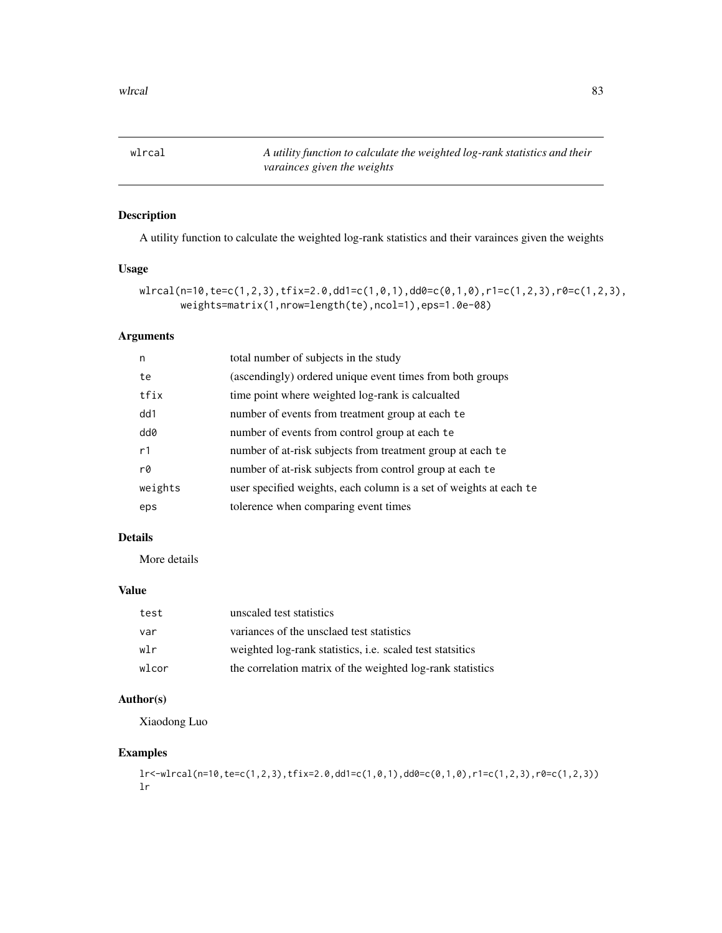<span id="page-82-0"></span>wlrcal *A utility function to calculate the weighted log-rank statistics and their varainces given the weights*

# Description

A utility function to calculate the weighted log-rank statistics and their varainces given the weights

## Usage

```
wlrcal(n=10,te=c(1,2,3),tfix=2.0,dd1=c(1,0,1),dd0=c(0,1,0),r1=c(1,2,3),r0=c(1,2,3),
      weights=matrix(1,nrow=length(te),ncol=1),eps=1.0e-08)
```
# Arguments

| n       | total number of subjects in the study                              |
|---------|--------------------------------------------------------------------|
| te      | (ascendingly) ordered unique event times from both groups          |
| tfix    | time point where weighted log-rank is calcualted                   |
| dd1     | number of events from treatment group at each te                   |
| dd0     | number of events from control group at each te                     |
| r1      | number of at-risk subjects from treatment group at each te         |
| r0      | number of at-risk subjects from control group at each te           |
| weights | user specified weights, each column is a set of weights at each te |
| eps     | tolerence when comparing event times                               |

## Details

More details

# Value

| test  | unscaled test statistics                                         |
|-------|------------------------------------------------------------------|
| var   | variances of the unsclaed test statistics                        |
| wlr   | weighted log-rank statistics, <i>i.e.</i> scaled test statistics |
| wlcor | the correlation matrix of the weighted log-rank statistics       |

# Author(s)

Xiaodong Luo

```
lr<-wlrcal(n=10,te=c(1,2,3),tfix=2.0,dd1=c(1,0,1),dd0=c(0,1,0),r1=c(1,2,3),r0=c(1,2,3))
lr
```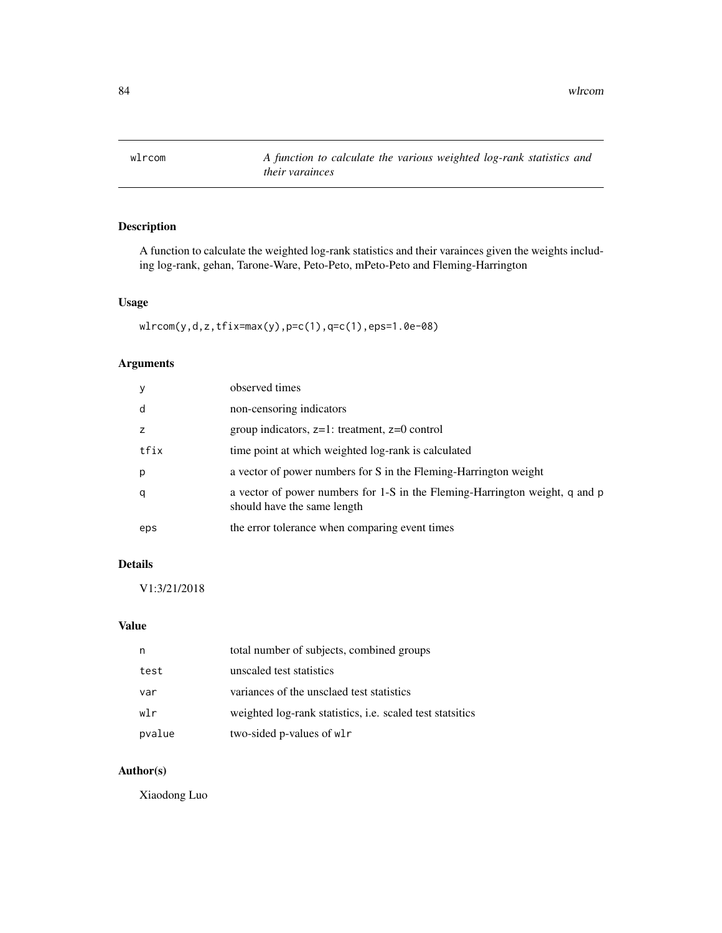<span id="page-83-0"></span>wlrcom *A function to calculate the various weighted log-rank statistics and their varainces*

# Description

A function to calculate the weighted log-rank statistics and their varainces given the weights including log-rank, gehan, Tarone-Ware, Peto-Peto, mPeto-Peto and Fleming-Harrington

# Usage

wlrcom(y,d,z,tfix=max(y),p=c(1),q=c(1),eps=1.0e-08)

## Arguments

| y    | observed times                                                                                             |
|------|------------------------------------------------------------------------------------------------------------|
| d    | non-censoring indicators                                                                                   |
|      | group indicators, $z=1$ : treatment, $z=0$ control                                                         |
| tfix | time point at which weighted log-rank is calculated                                                        |
| р    | a vector of power numbers for S in the Fleming-Harrington weight                                           |
| q    | a vector of power numbers for 1-S in the Fleming-Harrington weight, q and p<br>should have the same length |
| eps  | the error tolerance when comparing event times                                                             |

# Details

V1:3/21/2018

## Value

| n      | total number of subjects, combined groups                 |
|--------|-----------------------------------------------------------|
| test   | unscaled test statistics                                  |
| var    | variances of the unsclaed test statistics                 |
| wlr    | weighted log-rank statistics, i.e. scaled test statsitics |
| pvalue | two-sided p-values of wl                                  |

# Author(s)

Xiaodong Luo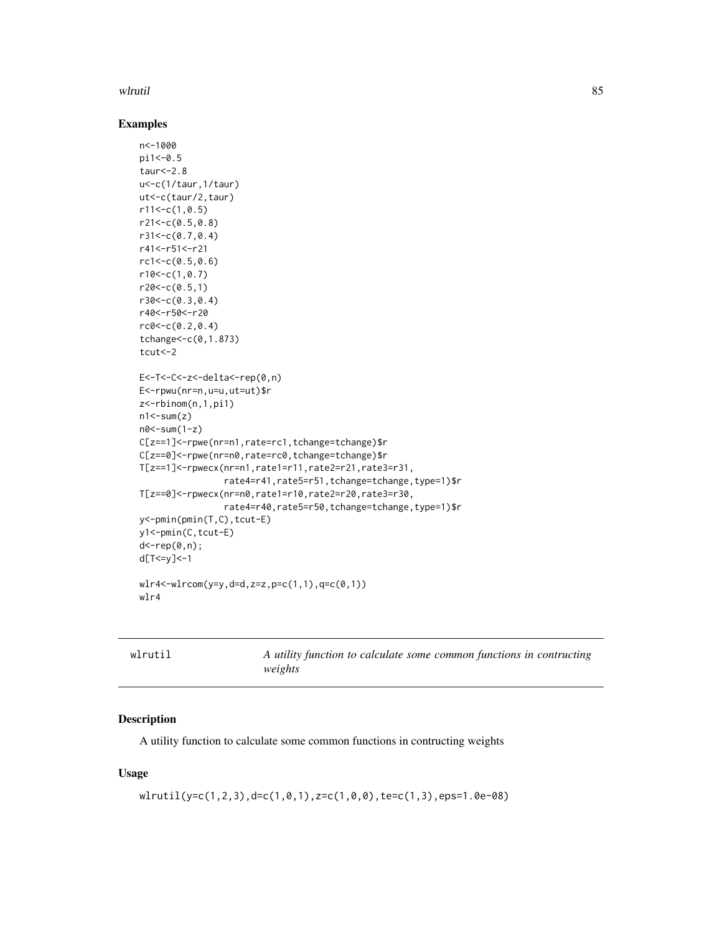## <span id="page-84-0"></span>wlrutil 85

## Examples

```
n<-1000
pi1<-0.5
taur < -2.8u<-c(1/taur,1/taur)
ut<-c(taur/2,taur)
r11<-c(1,0.5)r21<-c(0.5,0.8)
r31<-c(0.7,0.4)
r41<-r51<-r21
rc1 < -c(0.5, 0.6)r10<-c(1,0.7)
r20 < -c(0.5, 1)r30<-c(0.3,0.4)
r40<-r50<-r20
rc0 < -c(0.2, 0.4)tchange<-c(0,1.873)
tcut<-2
E<-T<-C<-z<-delta<-rep(0,n)
E<-rpwu(nr=n,u=u,ut=ut)$r
z<-rbinom(n,1,pi1)
n1 < -sum(z)n0<-sum(1-z)
C[z==1]<-rpwe(nr=n1,rate=rc1,tchange=tchange)$r
C[z==0]<-rpwe(nr=n0,rate=rc0,tchange=tchange)$r
T[z==1]<-rpwecx(nr=n1,rate1=r11,rate2=r21,rate3=r31,
                rate4=r41,rate5=r51,tchange=tchange,type=1)$r
T[z==0]<-rpwecx(nr=n0,rate1=r10,rate2=r20,rate3=r30,
                rate4=r40,rate5=r50,tchange=tchange,type=1)$r
y<-pmin(pmin(T,C),tcut-E)
y1<-pmin(C,tcut-E)
d<-rep(0,n);
d[T<=y]<-1
wlr4<-wlrcom(y=y,d=d,z=z,p=c(1,1),q=c(0,1))
wlr4
```
A utility function to calculate some common functions in contructing *weights*

# Description

A utility function to calculate some common functions in contructing weights

## Usage

```
wlrutil(y=c(1,2,3),d=c(1,0,1),z=c(1,0,0),te=c(1,3),eps=1.0e-08)
```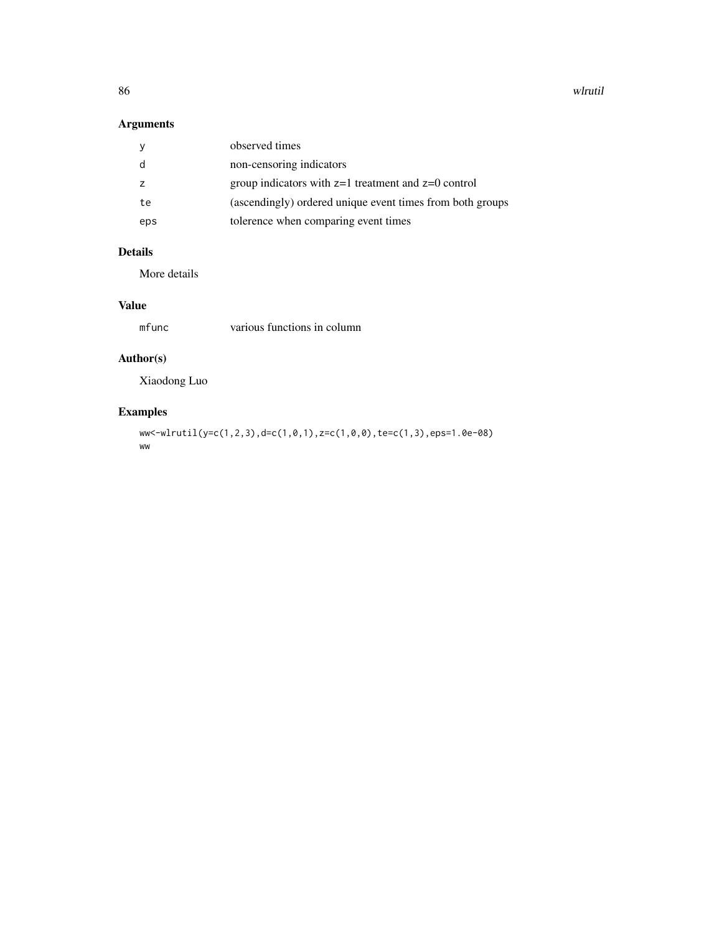86 wlrutil

# Arguments

|     | observed times                                            |
|-----|-----------------------------------------------------------|
|     | non-censoring indicators                                  |
|     | group indicators with $z=1$ treatment and $z=0$ control   |
| te  | (ascendingly) ordered unique event times from both groups |
| eps | tolerence when comparing event times                      |

# Details

More details

# Value

mfunc various functions in column

# Author(s)

Xiaodong Luo

# Examples

ww<-wlrutil(y=c(1,2,3),d=c(1,0,1),z=c(1,0,0),te=c(1,3),eps=1.0e-08) ww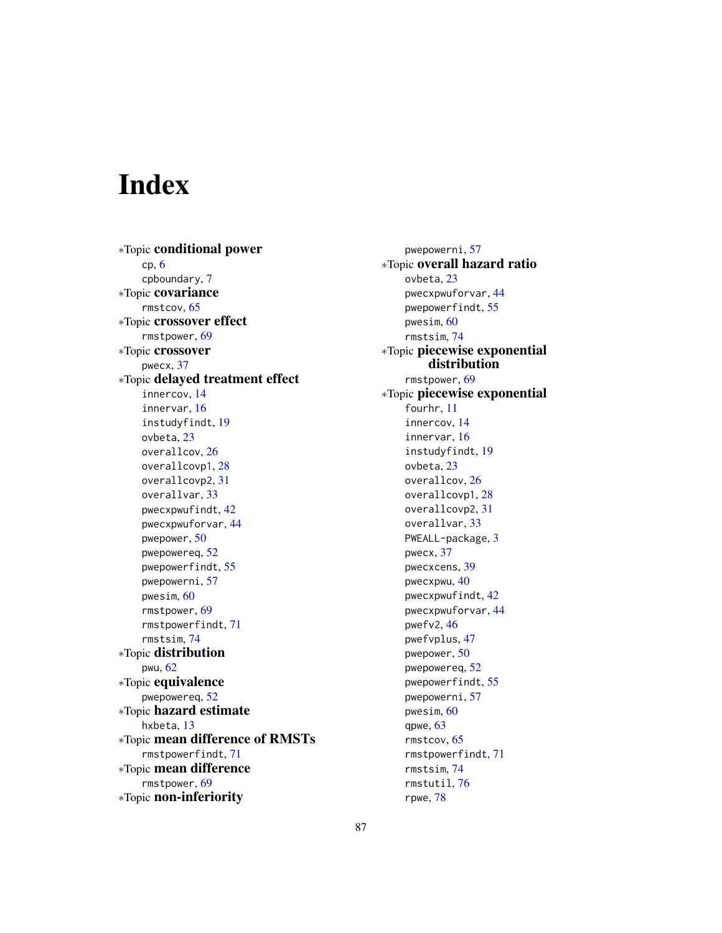# **Index**

∗Topic conditional power cp, [6](#page-5-0) cpboundary, [7](#page-6-0) ∗Topic covariance rmstcov, [65](#page-64-0) ∗Topic crossover effect rmstpower, [69](#page-68-0) ∗Topic crossover pwecx, [37](#page-36-0) ∗Topic delayed treatment effect innercov, [14](#page-13-0) innervar, [16](#page-15-1) instudyfindt, [19](#page-18-0) ovbeta, [23](#page-22-1) overallcov, [26](#page-25-0) overallcovp1, [28](#page-27-0) overallcovp2, [31](#page-30-0) overallvar, [33](#page-32-0) pwecxpwufindt, [42](#page-41-0) pwecxpwuforvar, [44](#page-43-0) pwepower, [50](#page-49-0) pwepowereq, [52](#page-51-0) pwepowerfindt, [55](#page-54-0) pwepowerni, [57](#page-56-0) pwesim, [60](#page-59-0) rmstpower, [69](#page-68-0) rmstpowerfindt, [71](#page-70-0) rmstsim, [74](#page-73-0) ∗Topic distribution pwu, [62](#page-61-0) ∗Topic equivalence pwepowereq, [52](#page-51-0) ∗Topic hazard estimate hxbeta, [13](#page-12-0) ∗Topic mean difference of RMSTs rmstpowerfindt, [71](#page-70-0) ∗Topic mean difference rmstpower, [69](#page-68-0) ∗Topic non-inferiority

pwepowerni, [57](#page-56-0) ∗Topic overall hazard ratio ovbeta, [23](#page-22-1) pwecxpwuforvar, [44](#page-43-0) pwepowerfindt, [55](#page-54-0) pwesim, [60](#page-59-0) rmstsim, [74](#page-73-0) ∗Topic piecewise exponential distribution rmstpower, [69](#page-68-0) ∗Topic piecewise exponential fourhr, [11](#page-10-0) innercov, [14](#page-13-0) innervar, [16](#page-15-1) instudyfindt, [19](#page-18-0) ovbeta, [23](#page-22-1) overallcov, [26](#page-25-0) overallcovp1, [28](#page-27-0) overallcovp2, [31](#page-30-0) overallvar, [33](#page-32-0) PWEALL-package, [3](#page-2-0) pwecx, [37](#page-36-0) pwecxcens, [39](#page-38-0) pwecxpwu, [40](#page-39-0) pwecxpwufindt, [42](#page-41-0) pwecxpwuforvar, [44](#page-43-0) pwefv2, [46](#page-45-0) pwefvplus, [47](#page-46-0) pwepower, [50](#page-49-0) pwepowereq, [52](#page-51-0) pwepowerfindt, [55](#page-54-0) pwepowerni, [57](#page-56-0) pwesim, [60](#page-59-0) qpwe, [63](#page-62-1) rmstcov, [65](#page-64-0) rmstpowerfindt, [71](#page-70-0) rmstsim, [74](#page-73-0) rmstutil, [76](#page-75-0)

rpwe, [78](#page-77-1)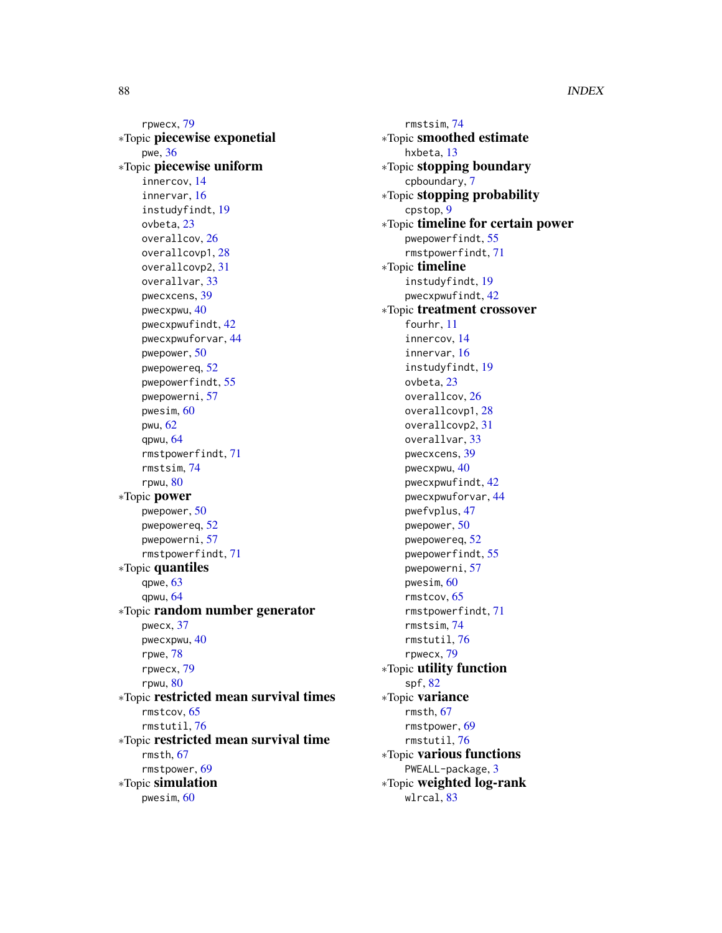rpwecx, [79](#page-78-0) ∗Topic piecewise exponetial pwe, [36](#page-35-1) ∗Topic piecewise uniform innercov, [14](#page-13-0) innervar, [16](#page-15-1) instudyfindt, [19](#page-18-0) ovbeta, [23](#page-22-1) overallcov, [26](#page-25-0) overallcovp1, [28](#page-27-0) overallcovp2, [31](#page-30-0) overallvar, [33](#page-32-0) pwecxcens, [39](#page-38-0) pwecxpwu, [40](#page-39-0) pwecxpwufindt, [42](#page-41-0) pwecxpwuforvar, [44](#page-43-0) pwepower, [50](#page-49-0) pwepowereq, [52](#page-51-0) pwepowerfindt, [55](#page-54-0) pwepowerni, [57](#page-56-0) pwesim, [60](#page-59-0) pwu, [62](#page-61-0) qpwu, [64](#page-63-0) rmstpowerfindt, [71](#page-70-0) rmstsim, [74](#page-73-0) rpwu, [80](#page-79-0) ∗Topic power pwepower, [50](#page-49-0) pwepowereq, [52](#page-51-0) pwepowerni, [57](#page-56-0) rmstpowerfindt, [71](#page-70-0) ∗Topic quantiles qpwe, [63](#page-62-1) qpwu, [64](#page-63-0) ∗Topic random number generator pwecx, [37](#page-36-0) pwecxpwu, [40](#page-39-0) rpwe, [78](#page-77-1) rpwecx, [79](#page-78-0) rpwu, [80](#page-79-0) ∗Topic restricted mean survival times rmstcov, [65](#page-64-0) rmstutil, [76](#page-75-0) ∗Topic restricted mean survival time rmsth, [67](#page-66-0) rmstpower, [69](#page-68-0) ∗Topic simulation pwesim, [60](#page-59-0)

rmstsim, [74](#page-73-0) ∗Topic smoothed estimate hxbeta, [13](#page-12-0) ∗Topic stopping boundary cpboundary, [7](#page-6-0) ∗Topic stopping probability cpstop, [9](#page-8-0) ∗Topic timeline for certain power pwepowerfindt, [55](#page-54-0) rmstpowerfindt, [71](#page-70-0) ∗Topic timeline instudyfindt, [19](#page-18-0) pwecxpwufindt, [42](#page-41-0) ∗Topic treatment crossover fourhr, [11](#page-10-0) innercov, [14](#page-13-0) innervar, [16](#page-15-1) instudyfindt, [19](#page-18-0) ovbeta, [23](#page-22-1) overallcov, [26](#page-25-0) overallcovp1, [28](#page-27-0) overallcovp2, [31](#page-30-0) overallvar, [33](#page-32-0) pwecxcens, [39](#page-38-0) pwecxpwu, [40](#page-39-0) pwecxpwufindt, [42](#page-41-0) pwecxpwuforvar, [44](#page-43-0) pwefvplus, [47](#page-46-0) pwepower, [50](#page-49-0) pwepowereq, [52](#page-51-0) pwepowerfindt, [55](#page-54-0) pwepowerni, [57](#page-56-0) pwesim, [60](#page-59-0) rmstcov, [65](#page-64-0) rmstpowerfindt, [71](#page-70-0) rmstsim, [74](#page-73-0) rmstutil, [76](#page-75-0) rpwecx, [79](#page-78-0) ∗Topic utility function spf, [82](#page-81-0) ∗Topic variance rmsth, [67](#page-66-0) rmstpower, [69](#page-68-0) rmstutil, [76](#page-75-0) ∗Topic various functions PWEALL-package, [3](#page-2-0) ∗Topic weighted log-rank wlrcal, [83](#page-82-0)